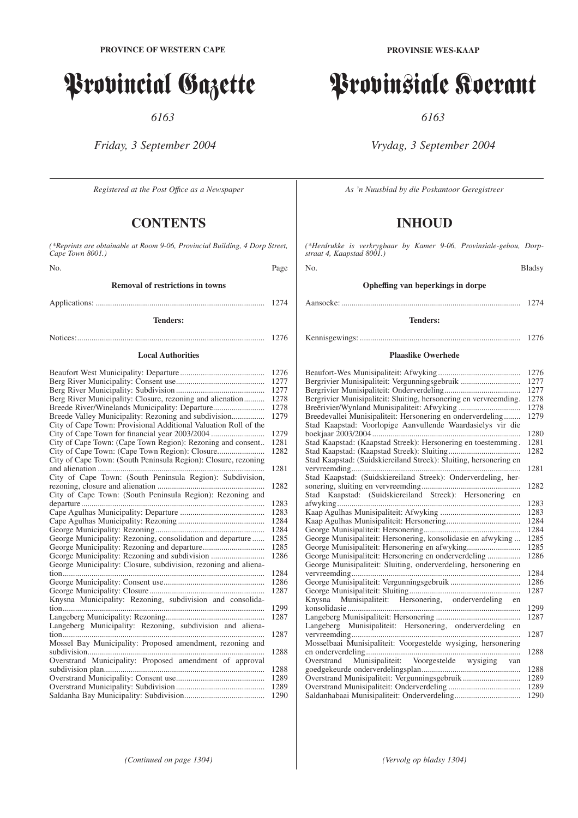## Provincial Gazette

*6163*

*Friday, 3 September 2004*

*Registered at the Post Offıce as a Newspaper*

### **CONTENTS**

*(\*Reprints are obtainable at Room 9-06, Provincial Building, 4 Dorp Street, Cape Town 8001.)*

No. Page

**Removal of restrictions in towns**

#### Applications: .................................................................................. 1274

**Tenders:**

## Notices:........................................................................................... 1276

#### **Local Authorities**

|                                                                 | 1276 |
|-----------------------------------------------------------------|------|
|                                                                 | 1277 |
|                                                                 | 1277 |
| Berg River Municipality: Closure, rezoning and alienation       | 1278 |
|                                                                 | 1278 |
|                                                                 | 1279 |
| City of Cape Town: Provisional Additional Valuation Roll of the |      |
|                                                                 | 1279 |
| City of Cape Town: (Cape Town Region): Rezoning and consent     | 1281 |
|                                                                 | 1282 |
|                                                                 |      |
| City of Cape Town: (South Peninsula Region): Closure, rezoning  |      |
|                                                                 | 1281 |
| City of Cape Town: (South Peninsula Region): Subdivision,       |      |
|                                                                 | 1282 |
| City of Cape Town: (South Peninsula Region): Rezoning and       |      |
| departure                                                       | 1283 |
|                                                                 | 1283 |
|                                                                 | 1284 |
|                                                                 | 1284 |
| George Municipality: Rezoning, consolidation and departure      | 1285 |
|                                                                 | 1285 |
|                                                                 | 1286 |
| George Municipality: Closure, subdivision, rezoning and aliena- |      |
|                                                                 | 1284 |
|                                                                 | 1286 |
|                                                                 | 1287 |
| Knysna Municipality: Rezoning, subdivision and consolida-       |      |
|                                                                 | 1299 |
|                                                                 | 1287 |
| Langeberg Municipality: Rezoning, subdivision and aliena-       |      |
|                                                                 | 1287 |
| Mossel Bay Municipality: Proposed amendment, rezoning and       |      |
|                                                                 | 1288 |
| Overstrand Municipality: Proposed amendment of approval         |      |
|                                                                 |      |
|                                                                 | 1288 |
|                                                                 | 1289 |
|                                                                 | 1289 |
|                                                                 | 1290 |

# Provinsiale Koerant

*6163*

*Vrydag, 3 September 2004*

*As 'n Nuusblad by die Poskantoor Geregistreer*

### **INHOUD**

*(\*Herdrukke is verkrygbaar by Kamer 9-06, Provinsiale-gebou, Dorpstraat 4, Kaapstad 8001.)*

No. Bladsy

### **Opheffing van beperkings in dorpe**

Aansoeke: ....................................................................................... 1274

#### **Tenders:**

Kennisgewings: .............................................................................. 1276

### **Plaaslike Owerhede**

|                                                                   | 1276 |
|-------------------------------------------------------------------|------|
| Bergrivier Munisipaliteit: Vergunningsgebruik                     | 1277 |
|                                                                   | 1277 |
| Bergrivier Munisipaliteit: Sluiting, hersonering en vervreemding. | 1278 |
|                                                                   | 1278 |
| Breedevallei Munisipaliteit: Hersonering en onderverdeling        | 1279 |
| Stad Kaapstad: Voorlopige Aanvullende Waardasielys vir die        |      |
|                                                                   | 1280 |
| Stad Kaapstad: (Kaapstad Streek): Hersonering en toestemming.     | 1281 |
|                                                                   | 1282 |
| Stad Kaapstad: (Suidskiereiland Streek): Sluiting, hersonering en |      |
|                                                                   | 1281 |
| Stad Kaapstad: (Suidskiereiland Streek): Onderverdeling, her-     |      |
|                                                                   | 1282 |
| Stad Kaapstad: (Suidskiereiland Streek): Hersonering en           |      |
|                                                                   | 1283 |
|                                                                   | 1283 |
|                                                                   | 1284 |
|                                                                   | 1284 |
| George Munisipaliteit: Hersonering, konsolidasie en afwyking      | 1285 |
| George Munisipaliteit: Hersonering en afwyking                    | 1285 |
|                                                                   | 1286 |
| George Munisipaliteit: Sluiting, onderverdeling, hersonering en   |      |
|                                                                   | 1284 |
|                                                                   | 1286 |
|                                                                   | 1287 |
| Knysna Munisipaliteit: Hersonering, onderverdeling en             |      |
|                                                                   | 1299 |
|                                                                   | 1287 |
| Langeberg Munisipaliteit: Hersonering, onderverdeling en          |      |
|                                                                   | 1287 |
| Mosselbaai Munisipaliteit: Voorgestelde wysiging, hersonering     |      |
|                                                                   | 1288 |
|                                                                   |      |
|                                                                   | 1288 |
| Overstrand Munisipaliteit: Vergunningsgebruik                     | 1289 |
|                                                                   | 1289 |
|                                                                   | 1290 |
|                                                                   |      |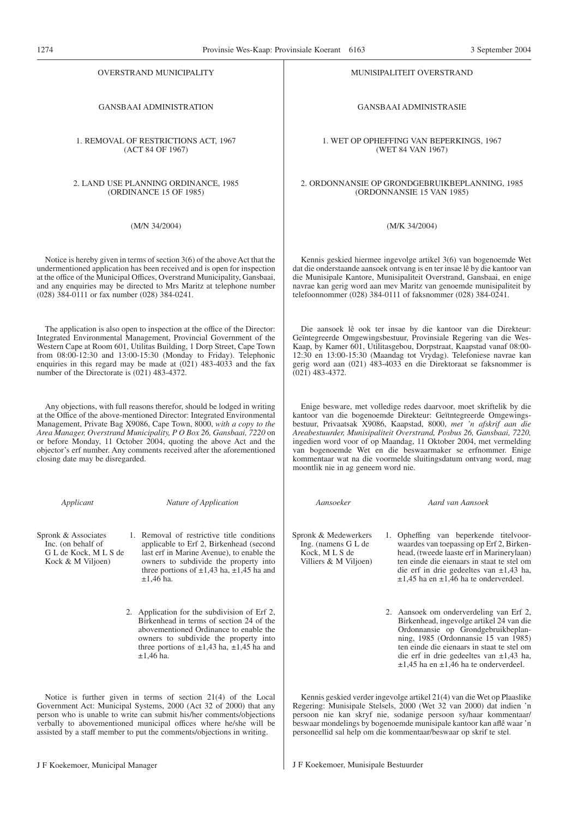OVERSTRAND MUNICIPALITY

GANSBAAI ADMINISTRATION

1. REMOVAL OF RESTRICTIONS ACT, 1967 (ACT 84 OF 1967)

2. LAND USE PLANNING ORDINANCE, 1985 (ORDINANCE 15 OF 1985)

(M/N 34/2004)

Notice is hereby given in terms of section 3(6) of the above Act that the undermentioned application has been received and is open for inspection at the office of the Municipal Offices, Overstrand Municipality, Gansbaai, and any enquiries may be directed to Mrs Maritz at telephone number (028) 384-0111 or fax number (028) 384-0241.

The application is also open to inspection at the office of the Director: Integrated Environmental Management, Provincial Government of the Western Cape at Room 601, Utilitas Building, 1 Dorp Street, Cape Town from 08:00-12:30 and 13:00-15:30 (Monday to Friday). Telephonic enquiries in this regard may be made at (021) 483-4033 and the fax number of the Directorate is (021) 483-4372.

Any objections, with full reasons therefor, should be lodged in writing at the Office of the above-mentioned Director: Integrated Environmental Management, Private Bag X9086, Cape Town, 8000, *with a copy to the Area Manager, Overstrand Municipality, P O Box 26, Gansbaai, 7220* on or before Monday, 11 October 2004, quoting the above Act and the objector's erf number. Any comments received after the aforementioned closing date may be disregarded.

| Applicant                                                                               | Nature of Application                                                                                                                                                                                                                                                                                                                                       | Aansoeker                                                                                                                 |
|-----------------------------------------------------------------------------------------|-------------------------------------------------------------------------------------------------------------------------------------------------------------------------------------------------------------------------------------------------------------------------------------------------------------------------------------------------------------|---------------------------------------------------------------------------------------------------------------------------|
| Spronk & Associates<br>Inc. (on behalf of<br>G L de Kock, M L S de<br>Kock & M Viljoen) | 1. Removal of restrictive title conditions<br>applicable to Erf 2, Birkenhead (second<br>last erf in Marine Avenue), to enable the<br>owners to subdivide the property into<br>three portions of $\pm 1,43$ ha, $\pm 1,45$ ha and<br>$±1,46$ ha.                                                                                                            | Spronk & Medewerker<br>Ing. (namens G L de<br>Kock, MLS de<br>Villiers & M Viljoen                                        |
|                                                                                         | 2. Application for the subdivision of Erf 2,<br>Birkenhead in terms of section 24 of the<br>abovementioned Ordinance to enable the<br>owners to subdivide the property into<br>three portions of $\pm 1,43$ ha, $\pm 1,45$ ha and<br>$±1,46$ ha.                                                                                                            |                                                                                                                           |
|                                                                                         | Notice is further given in terms of section $21(4)$ of the Local<br>Government Act: Municipal Systems, 2000 (Act 32 of 2000) that any<br>person who is unable to write can submit his/her comments/objections<br>verbally to abovementioned municipal offices where he/she will be<br>assisted by a staff member to put the comments/objections in writing. | Kennis geskied verde<br>Regering: Munisipale<br>persoon nie kan skry<br>beswaar mondelings by<br>personeellid sal help or |

MUNlSIPALITEIT OVERSTRAND

GANSBAAI ADMINISTRASIE

1. WET OP OPHEFFING VAN BEPERKINGS, 1967 (WET 84 VAN 1967)

2. ORDONNANSIE OP GRONDGEBRUIKBEPLANNING, 1985 (ORDONNANSIE 15 VAN 1985)

(M/K 34/2004)

Kennis geskied hiermee ingevolge artikel 3(6) van bogenoemde Wet dat die onderstaande aansoek ontvang is en ter insae lê by die kantoor van die Munisipale Kantore, Munisipaliteit Overstrand, Gansbaai, en enige navrae kan gerig word aan mev Maritz van genoemde munisipaliteit by telefoonnommer (028) 384-0111 of faksnommer (028) 384-0241.

Die aansoek lê ook ter insae by die kantoor van die Direkteur: Geïntegreerde Omgewingsbestuur, Provinsiale Regering van die Wes-Kaap, by Kamer 601, Utilitasgebou, Dorpstraat, Kaapstad vanaf 08:00- 12:30 en 13:00-15:30 (Maandag tot Vrydag). Telefoniese navrae kan gerig word aan (021) 483-4033 en die Direktoraat se faksnommer is  $(021)$  483-4372.

Enige besware, met volledige redes daarvoor, moet skriftelik by die kantoor van die bogenoemde Direkteur: Geïtntegreerde Omgewingsbestuur, Privaatsak X9086, Kaapstad, 8000, *met 'n afskrif aan die Areabestuurder, Munisipaliteit Overstrand, Posbus 26, Gansbaai, 7220,* ingedien word voor of op Maandag, 11 Oktober 2004, met vermelding van bogenoemde Wet en die beswaarmaker se erfnommer. Enige kommentaar wat na die voormelde sluitingsdatum ontvang word, mag moontlik nie in ag geneem word nie.

*Aansoeker Aard van Aansoek*

- **Medewerkers** & M Viljoen) 1. Opheffing van beperkende titelvoorwaardes van toepassing op Erf 2, Birkenhead, (tweede laaste erf in Marinerylaan) ten einde die eienaars in staat te stel om die erf in drie gedeeltes van ±1,43 ha,  $\pm 1,45$  ha en  $\pm 1,46$  ha te onderverdeel.
	- 2. Aansoek om onderverdeling van Erf 2, Birkenhead, ingevolge artikel 24 van die Ordonnansie op Grondgebruikbeplanning, 1985 (Ordonnansie 15 van 1985) ten einde die eienaars in staat te stel om die erf in drie gedeeltes van ±1,43 ha,  $\pm 1,45$  ha en  $\pm 1,46$  ha te onderverdeel.

geskied verder ingevolge artikel 21(4) van die Wet op Plaaslike Munisipale Stelsels, 2000 (Wet 32 van 2000) dat indien 'n nie kan skryf nie, sodanige persoon sy/haar kommentaar/ mondelings by bogenoemde munisipale kantoor kan aflê waar 'n llid sal help om die kommentaar/beswaar op skrif te stel.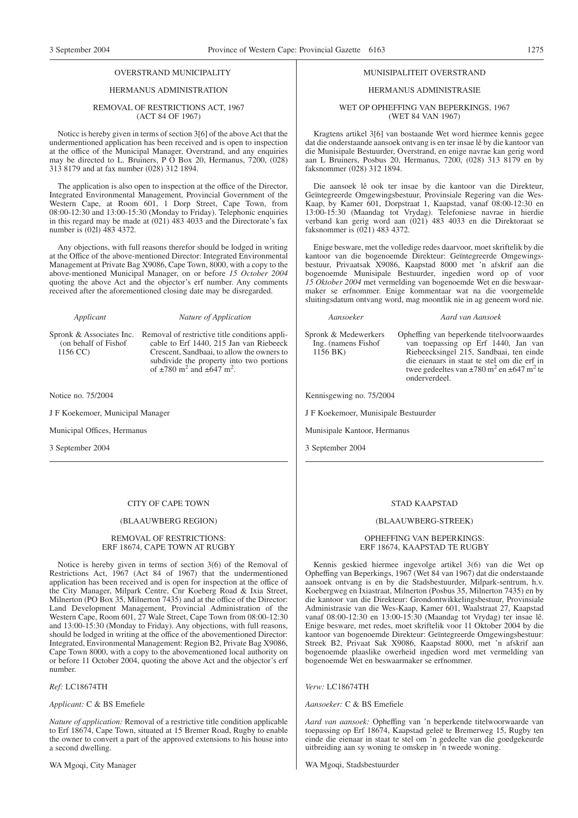#### OVERSTRAND MUNICIPALITY

#### HERMANUS ADMINISTRATION

#### REMOVAL OF RESTRICTIONS ACT, 1967 (ACT 84 OF 1967)

Noticc is hereby given in terms of section 3[6] of the above Act that the undermentioned application has been received and is open to inspection at the office of the Municipal Manager, Overstrand, and any enquiries may be directed to L. Bruiners, P O Box 20, Hermanus, 7200, (028) 313 8179 and at fax number (028) 312 1894.

The application is also open to inspection at the office of the Director, Integrated Environmental Management, Provincial Government of the Western Cape, at Room 601, 1 Dorp Street, Cape Town, from 08:00-12:30 and 13:00-15:30 (Monday to Friday). Telephonic enquiries in this regard may be made at (021) 483 4033 and the Directorate's fax number is (02l) 483 4372.

Any objections, with full reasons therefor should be lodged in writing at the Office of the above-mentioned Director: Integrated Environmental Management at Private Bag X9086, Cape Town, 8000, with a copy to the above-mentioned Municipal Manager, on or before *15 October 2004* quoting the above Act and the objector's erf number. Any comments received after the aforementioned closing date may be disregarded.

#### *Applicant Nature of Application*

(on behalf of Fishof 1156 CC)

Spronk & Associates Inc. Removal of restrictive title conditions applicable to Erf 1440, 215 Jan van Riebeeck Crescent, Sandbaai, to allow the owners to subdivide the property into two portions of  $\pm 780$  m<sup>2</sup> and  $\pm 647$  m<sup>2</sup>.

Notice no. 75/2004

J F Koekemoer, Municipal Manager

Municipal Offices, Hermanus

3 September 2004

#### CITY OF CAPE TOWN

#### (BLAAUWBERG REGION)

#### REMOVAL OF RESTRICTIONS: ERF 18674, CAPE TOWN AT RUGBY

Notice is hereby given in terms of section 3(6) of the Removal of Restrictions Act, 1967 (Act 84 of 1967) that the undermentioned application has been received and is open for inspection at the office of the City Manager, Milpark Centre, Cnr Koeberg Road & Ixia Street, Milnerton (PO Box 35, Milnerton 7435) and at the office of the Director: Land Development Management, Provincial Administration of the Western Cape, Room 601, 27 Wale Street, Cape Town from 08:00-12:30 and 13:00-15:30 (Monday to Friday). Any objections, with full reasons, should be lodged in writing at the office of the abovementioned Director: Integrated, Environmental Management: Region B2, Private Bag X9086, Cape Town 8000, with a copy to the abovementioned local authority on or before 11 October 2004, quoting the above Act and the objector's erf number.

#### *Ref:* LC18674TH

*Applicant:* C & BS Emefiele

*Nature of application:* Removal of a restrictive title condition applicable to Erf 18674, Cape Town, situated at 15 Bremer Road, Rugby to enable the owner to convert a part of the approved extensions to his house into a second dwelling.

WA Mgoqi, City Manager

#### MUNISIPALITEIT OVERSTRAND

#### HERMANUS ADMINISTRASIE

WET OP OPHEFFING VAN BEPERKINGS, 1967 (WET 84 VAN 1967)

Kragtens artikel 3[6] van bostaande Wet word hiermee kennis gegee dat die onderstaande aansoek ontvang is en ter insae lê by die kantoor van die Munisipale Bestuurder, Overstrand, en enige navrae kan gerig word aan L Bruiners, Posbus 20, Hermanus, 7200, (028) 313 8179 en by faksnommer (028) 312 1894.

Die aansoek lê ook ter insae by die kantoor van die Direkteur, Geïntegreerde Omgewingsbestuur, Provinsiale Regering van die Wes-Kaap, by Kamer 601, Dorpstraat 1, Kaapstad, vanaf 08:00-12:30 en 13:00-15:30 (Maandag tot Vrydag). Telefoniese navrae in hierdie verband kan gerig word aan (021) 483 4033 en die Direktoraat se faksnommer is (021) 483 4372.

Enige besware, met the volledige redes daarvoor, moet skriftelik by die kantoor van die bogenoemde Direkteur: Geïntegreerde Omgewingsbestuur, Privaatsak X9086, Kaapstad 8000 met 'n afskrif aan die bogenoemde Munisipale Bestuurder, ingedien word op of voor *15 Oktober 2004* met vermelding van bogenoemde Wet en die beswaarmaker se erfnommer. Enige kommentaar wat na die voorgemelde sluitingsdatum ontvang word, mag moontlik nie in ag geneem word nie.

#### *Aansoeker Aard van Aansoek*

Spronk & Medewerkers Ing. (namens Fishof 1156 BK)

Opheffing van beperkende titelvoorwaardes van toepassing op Erf 1440, Jan van Riebeecksingel 215, Sandbaai, ten einde die eienaars in staat te stel om die erf in twee gedeeltes van  $\pm 780$  m<sup>2</sup> en  $\pm 647$  m<sup>2</sup> te onderverdeel.

Kennisgewing no. 75/2004

J F Koekemoer, Munisipale Bestuurder

Munisipale Kantoor, Hermanus

3 September 2004

#### STAD KAAPSTAD

#### (BLAAUWBERG-STREEK)

#### OPHEFFING VAN BEPERKINGS: ERF 18674, KAAPSTAD TE RUGBY

Kennis geskied hiermee ingevolge artikel 3(6) van die Wet op Opheffing van Beperkings, 1967 (Wet 84 van 1967) dat die onderstaande aansoek ontvang is en by die Stadsbestuurder, Milpark-sentrum, h.v. Koebergweg en Ixiastraat, Milnerton (Posbus 35, Milnerton 7435) en by die kantoor van die Direkteur: Grondontwikkelingsbestuur, Provinsiale Administrasie van die Wes-Kaap, Kamer 601, Waalstraat 27, Kaapstad vanaf 08:00-12:30 en 13:00-15:30 (Maandag tot Vrydag) ter insae lê. Enige besware, met redes, moet skriftelik voor 11 Oktober 2004 by die kantoor van bogenoemde Direkteur: Geïntegreerde Omgewingsbestuur: Streek B2, Privaat Sak X9086, Kaapstad 8000, met 'n afskrif aan bogenoemde plaaslike owerheid ingedien word met vermelding van bogenoemde Wet en beswaarmaker se erfnommer.

#### *Verw:* LC18674TH

*Aansoeker:* C & BS Emefiele

*Aard van aansoek:* Opheffing van 'n beperkende titelwoorwaarde van toepassing op Erf 18674, Kaapstad geleë te Bremerweg 15, Rugby ten einde die eienaar in staat te stel om 'n gedeelte van die goedgekeurde uitbreiding aan sy woning te omskep in 'n tweede woning.

WA Mgoqi, Stadsbestuurder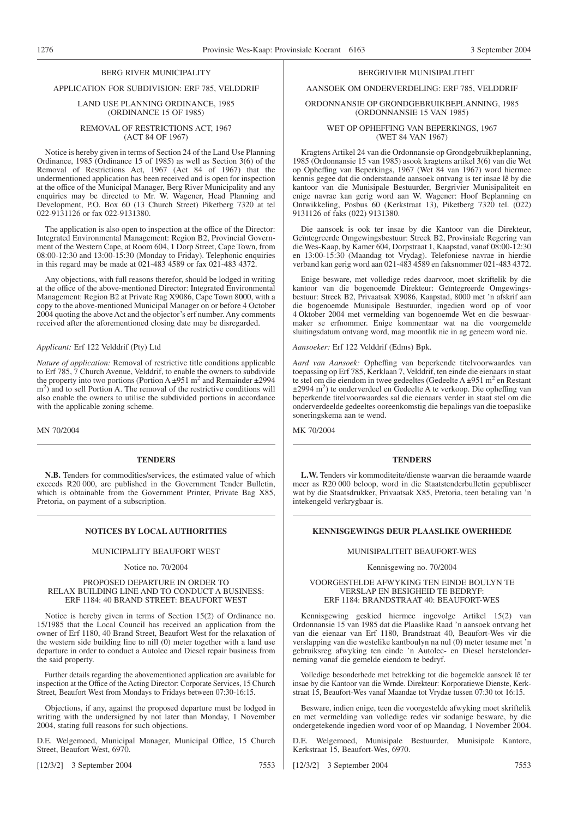#### BERG RIVER MUNICIPALITY

#### APPLICATION FOR SUBDIVISION: ERF 785, VELDDRIF

#### LAND USE PLANNING ORDINANCE, 1985 (ORDINANCE 15 OF 1985)

#### REMOVAL OF RESTRICTIONS ACT, 1967 (ACT 84 OF 1967)

Notice is hereby given in terms of Section 24 of the Land Use Planning Ordinance, 1985 (Ordinance 15 of 1985) as well as Section 3(6) of the Removal of Restrictions Act, 1967 (Act 84 of 1967) that the undermentioned application has been received and is open for inspection at the office of the Municipal Manager, Berg River Municipality and any enquiries may be directed to Mr. W. Wagener, Head Planning and Development, P.O. Box 60 (13 Church Street) Piketberg 7320 at tel 022-9131126 or fax 022-9131380.

The application is also open to inspection at the office of the Director: Integrated Environmental Management: Region B2, Provincial Government of the Western Cape, at Room 604, 1 Dorp Street, Cape Town, from 08:00-12:30 and 13:00-15:30 (Monday to Friday). Telephonic enquiries in this regard may be made at 021-483 4589 or fax 021-483 4372.

Any objections, with full reasons therefor, should be lodged in writing at the office of the above-mentioned Director: Integrated Environmental Management: Region B2 at Private Rag X9086, Cape Town 8000, with a copy to the above-mentioned Municipal Manager on or before 4 October 2004 quoting the above Act and the objector's erf number. Any comments received after the aforementioned closing date may be disregarded.

#### *Applicant:* Erf 122 Velddrif (Pty) Ltd

*Nature of application:* Removal of restrictive title conditions applicable to Erf 785, 7 Church Avenue, Velddrif, to enable the owners to subdivide the property into two portions (Portion A  $\pm$ 951 m<sup>2</sup> and Remainder  $\pm$ 2994  $(m<sup>2</sup>)$  and to sell Portion A. The removal of the restrictive conditions will also enable the owners to utilise the subdivided portions in accordance with the applicable zoning scheme.

MN 70/2004

#### **TENDERS**

**N.B.** Tenders for commodities/services, the estimated value of which exceeds R20 000, are published in the Government Tender Bulletin, which is obtainable from the Government Printer, Private Bag X85, Pretoria, on payment of a subscription.

#### MUNICIPALITY BEAUFORT WEST

#### Notice no. 70/2004

#### PROPOSED DEPARTURE IN ORDER TO RELAX BUILDING LINE AND TO CONDUCT A BUSINESS: ERF 1184: 40 BRAND STREET: BEAUFORT WEST

Notice is hereby given in terms of Section 15(2) of Ordinance no. 15/1985 that the Local Council has received an application from the owner of Erf 1180, 40 Brand Street, Beaufort West for the relaxation of the western side building line to nill (0) meter together with a land use departure in order to conduct a Autolec and Diesel repair business from the said property.

Further details regarding the abovementioned application are available for inspection at the Office of the Acting Director: Corporate Services, 15 Church Street, Beaufort West from Mondays to Fridays between 07:30-16:15.

Objections, if any, against the proposed departure must be lodged in writing with the undersigned by not later than Monday, 1 November 2004, stating full reasons for such objections.

D.E. Welgemoed, Municipal Manager, Municipal Office, 15 Church Street, Beaufort West, 6970.

[12/3/2] 3 September 2004 7553

#### BERGRIVIER MUNISIPALITEIT

### AANSOEK OM ONDERVERDELING: ERF 785, VELDDRIF

#### ORDONNANSIE OP GRONDGEBRUIKBEPLANNING, 1985 (ORDONNANSIE 15 VAN 1985)

#### WET OP OPHEFFING VAN BEPERKlNGS, 1967 (WET 84 VAN 1967)

Kragtens Artikel 24 van die Ordonnansie op Grondgebruikbeplanning, 1985 (Ordonnansie 15 van 1985) asook kragtens artikel 3(6) van die Wet op Opheffing van Beperkings, 1967 (Wet 84 van 1967) word hiermee kennis gegee dat die onderstaande aansoek ontvang is ter insae lê by die kantoor van die Munisipale Bestuurder, Bergrivier Munisipaliteit en enige navrae kan gerig word aan W. Wagener: Hoof Beplanning en Ontwikkeling, Posbus 60 (Kerkstraat 13), Piketberg 7320 tel. (022) 9131126 of faks (022) 9131380.

Die aansoek is ook ter insae by die Kantoor van die Direkteur, Geïntegreerde Omgewingsbestuur: Streek B2, Provinsiale Regering van die Wes-Kaap, by Kamer 604, Dorpstraat 1, Kaapstad, vanaf 08:00-12:30 en 13:00-15:30 (Maandag tot Vrydag). Telefoniese navrae in hierdie verband kan gerig word aan 021-483 4589 en faksnommer 021-483 4372.

Enige besware, met volledige redes daarvoor, moet skriftelik by die kantoor van die bogenoemde Direkteur: Geïntegreerde Omgewingsbestuur: Streek B2, Privaatsak X9086, Kaapstad, 8000 met 'n afskrif aan die bogenoemde Munisipale Bestuurder, ingedien word op of voor 4 Oktober 2004 met vermelding van bogenoemde Wet en die beswaarmaker se erfnommer. Enige kommentaar wat na die voorgemelde sluitingsdatum ontvang word, mag moontlik nie in ag geneem word nie.

*Aansoeker:* Erf 122 Velddrif (Edms) Bpk.

*Aard van Aansoek:* Opheffing van beperkende titelvoorwaardes van toepassing op Erf 785, Kerklaan 7, Velddrif, ten einde die eienaars in staat te stel om die eiendom in twee gedeeltes (Gedeelte A  $\pm$ 951 m<sup>2</sup> en Restant ±2994 m2 ) te onderverdeel en Gedeelte A te verkoop. Die opheffing van beperkende titelvoorwaardes sal die eienaars verder in staat stel om die onderverdeelde gedeeltes ooreenkomstig die bepalings van die toepaslike soneringskema aan te wend.

MK 70/2004

#### **TENDERS**

**L.W.** Tenders vir kommoditeite/dienste waarvan die beraamde waarde meer as R20 000 beloop, word in die Staatstenderbulletin gepubliseer wat by die Staatsdrukker, Privaatsak X85, Pretoria, teen betaling van 'n intekengeld verkrygbaar is.

#### **NOTICES BY LOCAL AUTHORITIES KENNISGEWINGS DEUR PLAASLIKE OWERHEDE**

#### MUNISIPALITEIT BEAUFORT-WES

#### Kennisgewing no. 70/2004

#### VOORGESTELDE AFWYKING TEN EINDE BOULYN TE VERSLAP EN BESIGHEID TE BEDRYF: ERF 1184: BRANDSTRAAT 40: BEAUFORT-WES

Kennisgewing geskied hiermee ingevolge Artikel 15(2) van Ordonnansie 15 van 1985 dat die Plaaslike Raad 'n aansoek ontvang het van die eienaar van Erf 1180, Brandstraat 40, Beaufort-Wes vir die verslapping van die westelike kantboulyn na nul (0) meter tesame met 'n gebruiksreg afwyking ten einde 'n Autolec- en Diesel herstelonderneming vanaf die gemelde eiendom te bedryf.

Volledige besonderhede met betrekking tot die bogemelde aansoek lê ter insae by die Kantoor van die Wrnde. Direkteur: Korporatiewe Dienste, Kerkstraat 15, Beaufort-Wes vanaf Maandae tot Vrydae tussen 07:30 tot 16:15.

Besware, indien enige, teen die voorgestelde afwyking moet skriftelik en met vermelding van volledige redes vir sodanige besware, by die ondergetekende ingedien word voor of op Maandag, 1 November 2004.

D.E. Welgemoed, Munisipale Bestuurder, Munisipale Kantore, Kerkstraat 15, Beaufort-Wes, 6970.

[12/3/2] 3 September 2004 7553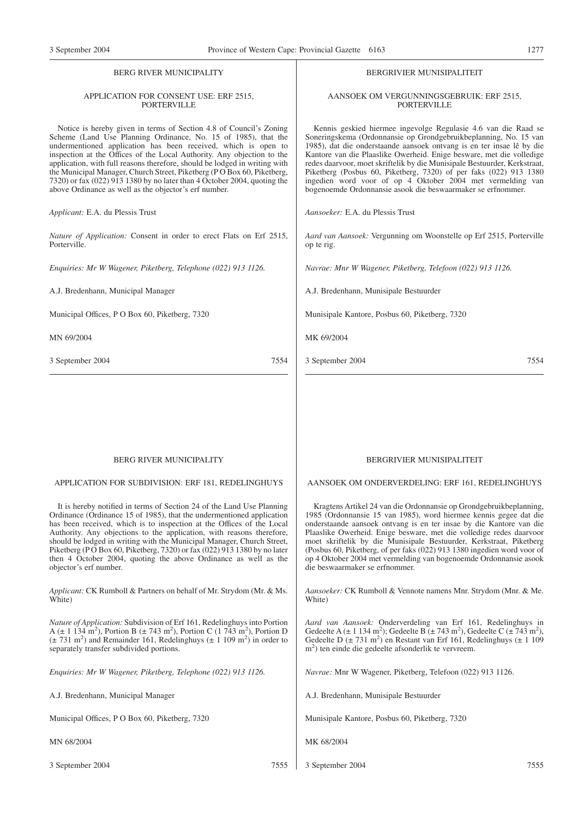#### BERG RIVER MUNICIPALITY

#### APPLICATION FOR CONSENT USE: ERF 2515, **PORTERVILLE**

Notice is hereby given in terms of Section 4.8 of Council's Zoning Scheme (Land Use Planning Ordinance, No. 15 of 1985), that the undermentioned application has been received, which is open to inspection at the Offices of the Local Authority. Any objection to the application, with full reasons therefore, should be lodged in writing with the Municipal Manager, Church Street, Piketberg (P O Box 60, Piketberg, 7320) or fax (022) 913 1380 by no later than 4 October 2004, quoting the above Ordinance as well as the objector's erf number.

*Applicant:* E.A. du Plessis Trust

*Nature of Application:* Consent in order to erect Flats on Erf 2515, Porterville.

*Enquiries: Mr W Wagener, Piketberg, Telephone (022) 913 1126.*

A.J. Bredenhann, Municipal Manager

Municipal Offices, P O Box 60, Piketberg, 7320

MN 69/2004

3 September 2004 7554

#### BERGRIVIER MUNISIPALITEIT

#### AANSOEK OM VERGUNNINGSGEBRUIK: ERF 2515, **PORTERVILLE**

Kennis geskied hiermee ingevolge Regulasie 4.6 van die Raad se Soneringskema (Ordonnansie op Grondgebruikbeplanning, No. 15 van 1985), dat die onderstaande aansoek ontvang is en ter insae lê by die Kantore van die Plaaslike Owerheid. Enige besware, met die volledige redes daarvoor, moet skriftelik by die Munisipale Bestuurder, Kerkstraat, Piketberg (Posbus 60, Piketberg, 7320) of per faks (022) 913 1380 ingedien word voor of op 4 Oktober 2004 met vermelding van bogenoemde Ordonnansie asook die beswaarmaker se erfnommer.

*Aansoeker:* E.A. du Plessis Trust

*Aard van Aansoek:* Vergunning om Woonstelle op Erf 2515, Porterville op te rig.

*Navrae: Mnr W Wagener, Piketberg, Telefoon (022) 913 1126.*

A.J. Bredenhann, Munisipale Bestuurder

Munisipale Kantore, Posbus 60, Piketberg, 7320

MK 69/2004

3 September 2004 7554

#### BERG RIVER MUNICIPALITY

#### APPLICATION FOR SUBDIVISION: ERF 181, REDELINGHUYS

It is hereby notified in terms of Section 24 of the Land Use Planning Ordinance (Ordinance 15 of 1985), that the undermentioned application has been received, which is to inspection at the Offices of the Local Authority. Any objections to the application, with reasons therefore, should be lodged in writing with the Municipal Manager, Church Street, Piketberg (P O Box 60, Piketberg, 7320) or fax (022) 913 1380 by no later then 4 October 2004, quoting the above Ordinance as well as the objector's erf number.

*Applicant:* CK Rumboll & Partners on behalf of Mr. Strydom (Mr. & Ms. White)

*Nature of Application:* Subdivision of Erf 161, Redelinghuys into Portion A ( $\pm$  1 134 m<sup>2</sup>), Portion B ( $\pm$  743 m<sup>2</sup>), Portion C (1 743 m<sup>2</sup>), Portion D  $(\pm 731 \text{ m}^2)$  and Remainder 161, Redelinghuys ( $\pm 1$  109 m<sup>2</sup>) in order to separately transfer subdivided portions.

*Enquiries: Mr W Wagener, Piketberg, Telephone (022) 913 1126.*

A.J. Bredenhann, Municipal Manager

Municipal Offices, P O Box 60, Piketberg, 7320

MN 68/2004

3 September 2004 7555

#### BERGRIVIER MUNISIPALITEIT

AANSOEK OM ONDERVERDELING: ERF 161, REDELINGHUYS

Kragtens Artikel 24 van die Ordonnansie op Grondgebruikbeplanning, 1985 (Ordonnansie 15 van 1985), word hiermee kennis gegee dat die onderstaande aansoek ontvang is en ter insae by die Kantore van die Plaaslike Owerheid. Enige besware, met die volledige redes daarvoor moet skriftelik by die Munisipale Bestuurder, Kerkstraat, Piketberg (Posbus 60, Piketberg, of per faks (022) 913 1380 ingedien word voor of op 4 Oktober 2004 met vermelding van bogenoemde Ordonnansie asook die beswaarmaker se erfnommer.

*Aansoeker:* CK Rumboll & Vennote namens Mnr. Strydom (Mnr. & Me. White)

Aard van Aansoek: Onderverdeling van Erf 161, Redelinghuys in Gedeelte A (± 1 134 m<sup>2</sup>); Gedeelte B (± 743 m<sup>2</sup>), Gedeelte D ( $\pm$  731 m<sup>2</sup>) en Restant van Erf 161, Redelinghuys ( $\pm$  1 109 m<sup>2</sup>) ten einde die gedeelte afsonderlik te vervreem.

*Navrae:* Mnr W Wagener, Piketberg, Telefoon (022) 913 1126.

A.J. Bredenhann, Munisipale Bestuurder

Munisipale Kantore, Posbus 60, Piketberg, 7320

MK 68/2004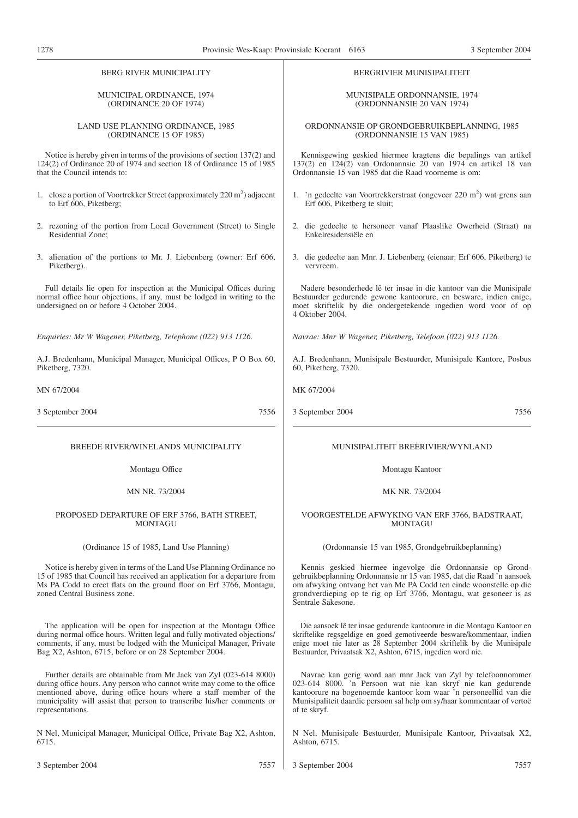| <b>BERG RIVER MUNICIPALITY</b>                                                                                                                                                                                                                           | BERGRIVIER MUNISIPALITEIT                                                                                                                                                                                                                                                                             |
|----------------------------------------------------------------------------------------------------------------------------------------------------------------------------------------------------------------------------------------------------------|-------------------------------------------------------------------------------------------------------------------------------------------------------------------------------------------------------------------------------------------------------------------------------------------------------|
| MUNICIPAL ORDINANCE, 1974                                                                                                                                                                                                                                | <b>MUNISIPALE ORDONNANSIE, 1974</b>                                                                                                                                                                                                                                                                   |
| (ORDINANCE 20 OF 1974)                                                                                                                                                                                                                                   | (ORDONNANSIE 20 VAN 1974)                                                                                                                                                                                                                                                                             |
| LAND USE PLANNING ORDINANCE, 1985                                                                                                                                                                                                                        | ORDONNANSIE OP GRONDGEBRUIKBEPLANNING, 1985                                                                                                                                                                                                                                                           |
| (ORDINANCE 15 OF 1985)                                                                                                                                                                                                                                   | (ORDONNANSIE 15 VAN 1985)                                                                                                                                                                                                                                                                             |
| Notice is hereby given in terms of the provisions of section 137(2) and                                                                                                                                                                                  | Kennisgewing geskied hiermee kragtens die bepalings van artikel                                                                                                                                                                                                                                       |
| 124(2) of Ordinance 20 of 1974 and section 18 of Ordinance 15 of 1985                                                                                                                                                                                    | 137(2) en 124(2) van Ordonannsie 20 van 1974 en artikel 18 van                                                                                                                                                                                                                                        |
| that the Council intends to:                                                                                                                                                                                                                             | Ordonnansie 15 van 1985 dat die Raad voorneme is om:                                                                                                                                                                                                                                                  |
| 1. close a portion of Voortrekker Street (approximately 220 m <sup>2</sup> ) adjacent                                                                                                                                                                    | 1. 'n gedeelte van Voortrekkerstraat (ongeveer 220 m <sup>2</sup> ) wat grens aan                                                                                                                                                                                                                     |
| to Erf 606, Piketberg;                                                                                                                                                                                                                                   | Erf 606, Piketberg te sluit;                                                                                                                                                                                                                                                                          |
| 2. rezoning of the portion from Local Government (Street) to Single                                                                                                                                                                                      | 2. die gedeelte te hersoneer vanaf Plaaslike Owerheid (Straat) na                                                                                                                                                                                                                                     |
| Residential Zone;                                                                                                                                                                                                                                        | Enkelresidensiële en                                                                                                                                                                                                                                                                                  |
| 3. alienation of the portions to Mr. J. Liebenberg (owner: Erf 606,                                                                                                                                                                                      | 3. die gedeelte aan Mnr. J. Liebenberg (eienaar: Erf 606, Piketberg) te                                                                                                                                                                                                                               |
| Piketberg).                                                                                                                                                                                                                                              | vervreem.                                                                                                                                                                                                                                                                                             |
| Full details lie open for inspection at the Municipal Offices during<br>normal office hour objections, if any, must be lodged in writing to the<br>undersigned on or before 4 October 2004.                                                              | Nadere besonderhede lê ter insae in die kantoor van die Munisipale<br>Bestuurder gedurende gewone kantoorure, en besware, indien enige,<br>moet skriftelik by die ondergetekende ingedien word voor of op<br>4 Oktober 2004.                                                                          |
| Enquiries: Mr W Wagener, Piketberg, Telephone (022) 913 1126.                                                                                                                                                                                            | Navrae: Mnr W Wagener, Piketberg, Telefoon (022) 913 1126.                                                                                                                                                                                                                                            |
| A.J. Bredenhann, Municipal Manager, Municipal Offices, P O Box 60,                                                                                                                                                                                       | A.J. Bredenhann, Munisipale Bestuurder, Munisipale Kantore, Posbus                                                                                                                                                                                                                                    |
| Piketberg, 7320.                                                                                                                                                                                                                                         | 60, Piketberg, 7320.                                                                                                                                                                                                                                                                                  |
| MN 67/2004                                                                                                                                                                                                                                               | MK 67/2004                                                                                                                                                                                                                                                                                            |
|                                                                                                                                                                                                                                                          |                                                                                                                                                                                                                                                                                                       |
| 7556                                                                                                                                                                                                                                                     | 3 September 2004                                                                                                                                                                                                                                                                                      |
| 3 September 2004                                                                                                                                                                                                                                         | 7556                                                                                                                                                                                                                                                                                                  |
| BREEDE RIVER/WINELANDS MUNICIPALITY                                                                                                                                                                                                                      | MUNISIPALITEIT BREËRIVIER/WYNLAND                                                                                                                                                                                                                                                                     |
| Montagu Office                                                                                                                                                                                                                                           | Montagu Kantoor                                                                                                                                                                                                                                                                                       |
| MN NR. 73/2004                                                                                                                                                                                                                                           | MK NR. 73/2004                                                                                                                                                                                                                                                                                        |
| PROPOSED DEPARTURE OF ERF 3766, BATH STREET,                                                                                                                                                                                                             | VOORGESTELDE AFWYKING VAN ERF 3766, BADSTRAAT,                                                                                                                                                                                                                                                        |
| <b>MONTAGU</b>                                                                                                                                                                                                                                           | <b>MONTAGU</b>                                                                                                                                                                                                                                                                                        |
| (Ordinance 15 of 1985, Land Use Planning)                                                                                                                                                                                                                | (Ordonnansie 15 van 1985, Grondgebruikbeplanning)                                                                                                                                                                                                                                                     |
| Notice is hereby given in terms of the Land Use Planning Ordinance no<br>15 of 1985 that Council has received an application for a departure from<br>Ms PA Codd to erect flats on the ground floor on Erf 3766, Montagu,<br>zoned Central Business zone. | Kennis geskied hiermee ingevolge die Ordonnansie op Grond-<br>gebruikbeplanning Ordonnansie nr 15 van 1985, dat die Raad 'n aansoek<br>om afwyking ontvang het van Me PA Codd ten einde woonstelle op die<br>grondverdieping op te rig op Erf 3766, Montagu, wat gesoneer is as<br>Sentrale Sakesone. |
| The application will be open for inspection at the Montagu Office                                                                                                                                                                                        | Die aansoek lê ter insae gedurende kantoorure in die Montagu Kantoor en                                                                                                                                                                                                                               |
| during normal office hours. Written legal and fully motivated objections/                                                                                                                                                                                | skriftelike regsgeldige en goed gemotiveerde besware/kommentaar, indien                                                                                                                                                                                                                               |
| comments, if any, must be lodged with the Municipal Manager, Private                                                                                                                                                                                     | enige moet nie later as 28 September 2004 skriftelik by die Munisipale                                                                                                                                                                                                                                |
| Bag X2, Ashton, 6715, before or on 28 September 2004.                                                                                                                                                                                                    | Bestuurder, Privaatsak X2, Ashton, 6715, ingedien word nie.                                                                                                                                                                                                                                           |
| Further details are obtainable from Mr Jack van Zyl (023-614 8000)                                                                                                                                                                                       | Navrae kan gerig word aan mnr Jack van Zyl by telefoonnommer                                                                                                                                                                                                                                          |
| during office hours. Any person who cannot write may come to the office                                                                                                                                                                                  | 023-614 8000. 'n Persoon wat nie kan skryf nie kan gedurende                                                                                                                                                                                                                                          |
| mentioned above, during office hours where a staff member of the                                                                                                                                                                                         | kantoorure na bogenoemde kantoor kom waar 'n personeellid van die                                                                                                                                                                                                                                     |
| municipality will assist that person to transcribe his/her comments or                                                                                                                                                                                   | Munisipaliteit daardie persoon sal help om sy/haar kommentaar of vertoë                                                                                                                                                                                                                               |
| representations.                                                                                                                                                                                                                                         | af te skryf.                                                                                                                                                                                                                                                                                          |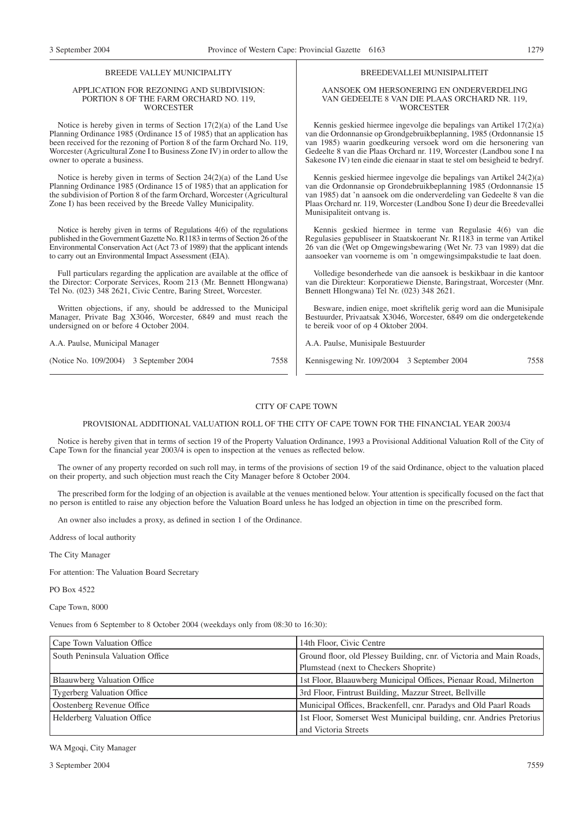#### BREEDE VALLEY MUNICIPALITY

#### APPLICATION FOR REZONING AND SUBDIVISION: PORTION 8 OF THE FARM ORCHARD NO. 119, **WORCESTER**

Notice is hereby given in terms of Section 17(2)(a) of the Land Use Planning Ordinance 1985 (Ordinance 15 of 1985) that an application has been received for the rezoning of Portion 8 of the farm Orchard No. 119, Worcester (Agricultural Zone I to Business Zone IV) in order to allow the owner to operate a business.

Notice is hereby given in terms of Section 24(2)(a) of the Land Use Planning Ordinance 1985 (Ordinance 15 of 1985) that an application for the subdivision of Portion 8 of the farm Orchard, Worcester (Agricultural Zone I) has been received by the Breede Valley Municipality.

Notice is hereby given in terms of Regulations 4(6) of the regulations published in the Government Gazette No. R1183 in terms of Section 26 of the Environmental Conservation Act (Act 73 of 1989) that the applicant intends to carry out an Environmental Impact Assessment (EIA).

Full particulars regarding the application are available at the office of the Director: Corporate Services, Room 213 (Mr. Bennett Hlongwana) Tel No. (023) 348 2621, Civic Centre, Baring Street, Worcester.

Written objections, if any, should be addressed to the Municipal Manager, Private Bag X3046, Worcester, 6849 and must reach the undersigned on or before 4 October 2004.

A.A. Paulse, Municipal Manager

(Notice No. 109/2004) 3 September 2004 7558

#### BREEDEVALLEI MUNISIPALITEIT

#### AANSOEK OM HERSONERING EN ONDERVERDELING VAN GEDEELTE 8 VAN DIE PLAAS ORCHARD NR. 119, **WORCESTER**

Kennis geskied hiermee ingevolge die bepalings van Artikel 17(2)(a) van die Ordonnansie op Grondgebruikbeplanning, 1985 (Ordonnansie 15 van 1985) waarin goedkeuring versoek word om die hersonering van Gedeelte 8 van die Plaas Orchard nr. 119, Worcester (Landbou sone I na Sakesone IV) ten einde die eienaar in staat te stel om besigheid te bedryf.

Kennis geskied hiermee ingevolge die bepalings van Artikel 24(2)(a) van die Ordonnansie op Grondebruikbeplanning 1985 (Ordonnansie 15 van 1985) dat 'n aansoek om die onderverdeling van Gedeelte 8 van die Plaas Orchard nr. 119, Worcester (Landbou Sone I) deur die Breedevallei Munisipaliteit ontvang is.

Kennis geskied hiermee in terme van Regulasie 4(6) van die Regulasies gepubliseer in Staatskoerant Nr. R1183 in terme van Artikel 26 van die (Wet op Omgewingsbewaring (Wet Nr. 73 van 1989) dat die aansoeker van voorneme is om 'n omgewingsimpakstudie te laat doen.

Volledige besonderhede van die aansoek is beskikbaar in die kantoor van die Direkteur: Korporatiewe Dienste, Baringstraat, Worcester (Mnr. Bennett Hlongwana) Tel Nr. (023) 348 2621.

Besware, indien enige, moet skriftelik gerig word aan die Munisipale Bestuurder, Privaatsak X3046, Worcester, 6849 om die ondergetekende te bereik voor of op 4 Oktober 2004.

A.A. Paulse, Munisipale Bestuurder

Kennisgewing Nr. 109/2004 3 September 2004 7558

#### CITY OF CAPE TOWN

#### PROVISIONAL ADDITIONAL VALUATION ROLL OF THE CITY OF CAPE TOWN FOR THE FINANCIAL YEAR 2003/4

Notice is hereby given that in terms of section 19 of the Property Valuation Ordinance, 1993 a Provisional Additional Valuation Roll of the City of Cape Town for the financial year 2003/4 is open to inspection at the venues as reflected below.

The owner of any property recorded on such roll may, in terms of the provisions of section 19 of the said Ordinance, object to the valuation placed on their property, and such objection must reach the City Manager before 8 October 2004.

The prescribed form for the lodging of an objection is available at the venues mentioned below. Your attention is specifically focused on the fact that no person is entitled to raise any objection before the Valuation Board unless he has lodged an objection in time on the prescribed form.

An owner also includes a proxy, as defined in section 1 of the Ordinance.

Address of local authority

The City Manager

For attention: The Valuation Board Secretary

PO Box 4522

Cape Town, 8000

Venues from 6 September to 8 October 2004 (weekdays only from 08:30 to 16:30):

| Cape Town Valuation Office         | 14th Floor, Civic Centre                                             |
|------------------------------------|----------------------------------------------------------------------|
| South Peninsula Valuation Office   | Ground floor, old Plessey Building, cnr. of Victoria and Main Roads, |
|                                    | Plumstead (next to Checkers Shoprite)                                |
| Blaauwberg Valuation Office        | 1st Floor, Blaauwberg Municipal Offices, Pienaar Road, Milnerton     |
| <b>Tygerberg Valuation Office</b>  | 3rd Floor, Fintrust Building, Mazzur Street, Bellyille               |
| Oostenberg Revenue Office          | Municipal Offices, Brackenfell, cnr. Paradys and Old Paarl Roads     |
| <b>Helderberg Valuation Office</b> | 1st Floor, Somerset West Municipal building, cnr. Andries Pretorius  |
|                                    | and Victoria Streets                                                 |

WA Mgoqi, City Manager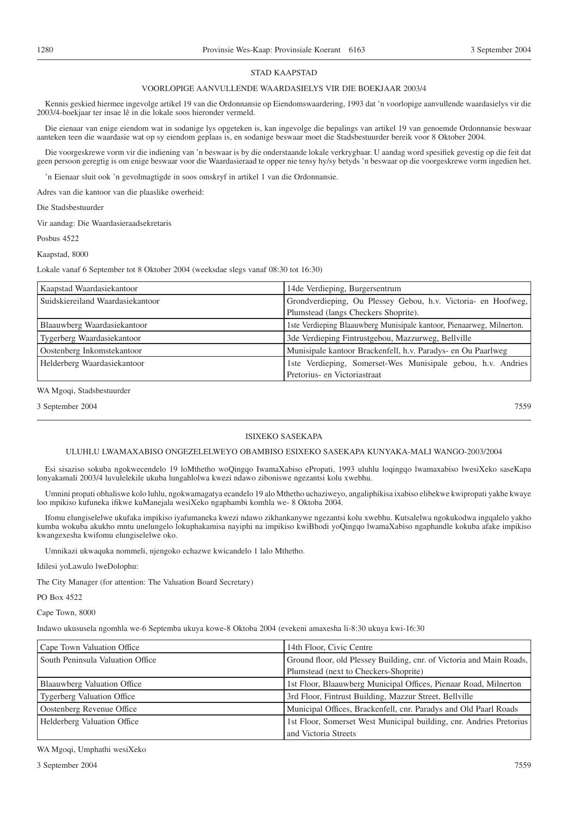#### STAD KAAPSTAD

#### VOORLOPIGE AANVULLENDE WAARDASIELYS VIR DIE BOEKJAAR 2003/4

Kennis geskied hiermee ingevolge artikel 19 van die Ordonnansie op Eiendomswaardering, 1993 dat 'n voorlopige aanvullende waardasielys vir die 2003/4-boekjaar ter insae lê in die lokale soos hieronder vermeld.

Die eienaar van enige eiendom wat in sodanige lys opgeteken is, kan ingevolge die bepalings van artikel 19 van genoemde Ordonnansie beswaar aanteken teen die waardasie wat op sy eiendom geplaas is, en sodanige beswaar moet die Stadsbestuurder bereik voor 8 Oktober 2004.

Die voorgeskrewe vorm vir die indiening van 'n beswaar is by die onderstaande lokale verkrygbaar. U aandag word spesifiek gevestig op die feit dat geen persoon geregtig is om enige beswaar voor die Waardasieraad te opper nie tensy hy/sy betyds 'n beswaar op die voorgeskrewe vorm ingedien het.

'n Eienaar sluit ook 'n gevolmagtigde in soos omskryf in artikel 1 van die Ordonnansie.

Adres van die kantoor van die plaaslike owerheid:

Die Stadsbestuurder

Vir aandag: Die Waardasieraadsekretaris

Posbus 4522

Kaapstad, 8000

Lokale vanaf 6 September tot 8 Oktober 2004 (weeksdae slegs vanaf 08:30 tot 16:30)

| Kaapstad Waardasiekantoor        | 14de Verdieping, Burgersentrum                                        |
|----------------------------------|-----------------------------------------------------------------------|
| Suidskiereiland Waardasiekantoor | Grondverdieping, Ou Plessey Gebou, h.v. Victoria- en Hoofweg,         |
|                                  | Plumstead (langs Checkers Shoprite).                                  |
| Blaauwberg Waardasiekantoor      | 1ste Verdieping Blaauwberg Munisipale kantoor, Pienaarweg, Milnerton. |
| Tygerberg Waardasiekantoor       | 3de Verdieping Fintrustgebou, Mazzurweg, Bellville                    |
| Oostenberg Inkomstekantoor       | Munisipale kantoor Brackenfell, h.v. Paradys- en Ou Paarlweg          |
| Helderberg Waardasiekantoor      | 1ste Verdieping, Somerset-Wes Munisipale gebou, h.v. Andries          |
|                                  | Pretorius- en Victoriastraat                                          |

WA Mgoqi, Stadsbestuurder

3 September 2004 7559

#### ISIXEKO SASEKAPA

#### ULUHLU LWAMAXABISO ONGEZELELWEYO OBAMBISO ESIXEKO SASEKAPA KUNYAKA-MALI WANGO-2003/2004

Esi sisaziso sokuba ngokwecendelo 19 loMthetho woQingqo IwamaXabiso ePropati, 1993 uluhlu loqingqo lwamaxabiso lwesiXeko saseKapa lonyakamali 2003/4 luvulelekile ukuba lungahlolwa kwezi ndawo ziboniswe ngezantsi kolu xwebhu.

Umnini propati obhaliswe kolo luhlu, ngokwamagatya ecandelo 19 alo Mthetho uchaziweyo, angaliphikisa ixabiso elibekwe kwipropati yakhe kwaye loo mpikiso kufuneka ifikwe kuManejala wesiXeko ngaphambi komhla we- 8 Oktoba 2004.

Ifomu elungiselelwe ukufaka impikiso iyafumaneka kwezi ndawo zikhankanywe ngezantsi kolu xwebhu. Kutsalelwa ngokukodwa ingqalelo yakho kumba wokuba akukho mntu unelungelo lokuphakamisa nayiphi na impikiso kwiBhodi yoQingqo lwamaXabiso ngaphandle kokuba afake impikiso kwangexesha kwifomu elungiselelwe oko.

Umnikazi ukwaquka nommeli, njengoko echazwe kwicandelo 1 lalo Mthetho.

Idilesi yoLawulo lweDolophu:

The City Manager (for attention: The Valuation Board Secretary)

PO Box 4522

Cape Town, 8000

Indawo ukususela ngomhla we-6 Septemba ukuya kowe-8 Oktoba 2004 (evekeni amaxesha li-8:30 ukuya kwi-16:30

| Cape Town Valuation Office         | 14th Floor, Civic Centre                                             |
|------------------------------------|----------------------------------------------------------------------|
| South Peninsula Valuation Office   | Ground floor, old Plessey Building, cnr. of Victoria and Main Roads, |
|                                    | Plumstead (next to Checkers-Shoprite)                                |
| Blaauwberg Valuation Office        | 1st Floor, Blaauwberg Municipal Offices, Pienaar Road, Milnerton     |
| <b>Tygerberg Valuation Office</b>  | 3rd Floor, Fintrust Building, Mazzur Street, Bellville               |
| Oostenberg Revenue Office          | Municipal Offices, Brackenfell, cnr. Paradys and Old Paarl Roads     |
| <b>Helderberg Valuation Office</b> | 1st Floor, Somerset West Municipal building, cnr. Andries Pretorius  |
|                                    | and Victoria Streets                                                 |

WA Mgoqi, Umphathi wesiXeko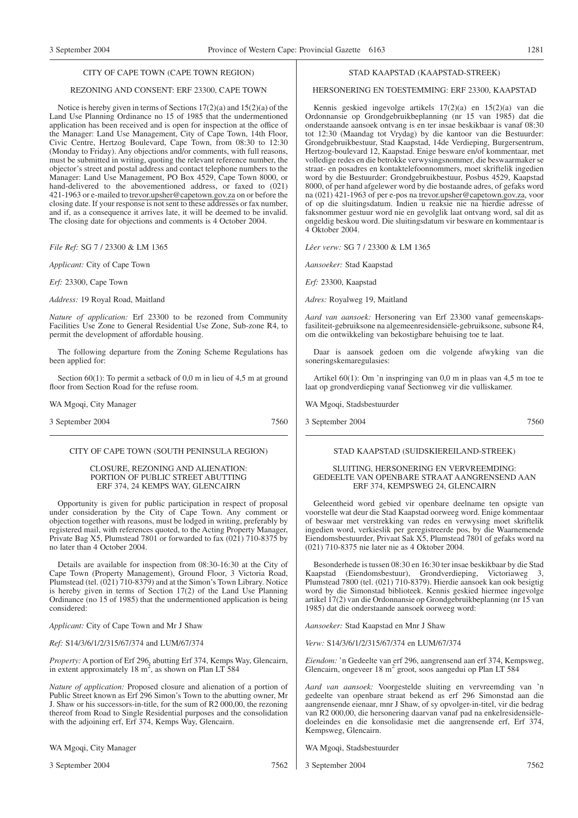#### CITY OF CAPE TOWN (CAPE TOWN REGION)

#### REZONING AND CONSENT: ERF 23300, CAPE TOWN

Notice is hereby given in terms of Sections 17(2)(a) and 15(2)(a) of the Land Use Planning Ordinance no 15 of 1985 that the undermentioned application has been received and is open for inspection at the office of the Manager: Land Use Management, City of Cape Town, 14th Floor, Civic Centre, Hertzog Boulevard, Cape Town, from 08:30 to 12:30 (Monday to Friday). Any objections and/or comments, with full reasons, must be submitted in writing, quoting the relevant reference number, the objector's street and postal address and contact telephone numbers to the Manager: Land Use Management, PO Box 4529, Cape Town 8000, or hand-delivered to the abovementioned address, or faxed to (021) 421-1963 or e-mailed to trevor.upsher@capetown.gov.za on or before the closing date. If your response is not sent to these addresses or fax number, and if, as a consequence it arrives late, it will be deemed to be invalid. The closing date for objections and comments is 4 October 2004.

*File Ref:* SG 7 / 23300 & LM 1365

*Applicant:* City of Cape Town

*Erf:* 23300, Cape Town

*Address:* 19 Royal Road, Maitland

*Nature of application:* Erf 23300 to be rezoned from Community Facilities Use Zone to General Residential Use Zone, Sub-zone R4, to permit the development of affordable housing.

The following departure from the Zoning Scheme Regulations has been applied for:

Section 60(1): To permit a setback of 0,0 m in lieu of 4,5 m at ground floor from Section Road for the refuse room.

WA Mgoqi, City Manager

3 September 2004 7560

#### CITY OF CAPE TOWN (SOUTH PENINSULA REGION)

#### CLOSURE, REZONING AND ALIENATION: PORTION OF PUBLIC STREET ABUTTING ERF 374, 24 KEMPS WAY, GLENCAIRN

Opportunity is given for public participation in respect of proposal under consideration by the City of Cape Town. Any comment or objection together with reasons, must be lodged in writing, preferably by registered mail, with references quoted, to the Acting Property Manager, Private Bag X5, Plumstead 7801 or forwarded to fax (021) 710-8375 by no later than 4 October 2004.

Details are available for inspection from 08:30-16:30 at the City of Cape Town (Property Management), Ground Floor, 3 Victoria Road, Plumstead (tel. (021) 710-8379) and at the Simon's Town Library. Notice is hereby given in terms of Section 17(2) of the Land Use Planning Ordinance (no 15 of 1985) that the undermentioned application is being considered:

*Applicant:* City of Cape Town and Mr J Shaw

*Ref:* S14/3/6/1/2/315/67/374 and LUM/67/374

*Property:* A portion of Erf 296, abutting Erf 374, Kemps Way, Glencairn, in extent approximately  $18 \text{ m}^2$ , as shown on Plan LT 584

*Nature of application:* Proposed closure and alienation of a portion of Public Street known as Erf 296 Simon's Town to the abutting owner, Mr J. Shaw or his successors-in-title, for the sum of R2 000,00, the rezoning thereof from Road to Single Residential purposes and the consolidation with the adjoining erf, Erf 374, Kemps Way, Glencairn.

WA Mgoqi, City Manager

3 September 2004 7562

#### STAD KAAPSTAD (KAAPSTAD-STREEK)

#### HERSONERING EN TOESTEMMING: ERF 23300, KAAPSTAD

Kennis geskied ingevolge artikels 17(2)(a) en 15(2)(a) van die Ordonnansie op Grondgebruikbeplanning (nr 15 van 1985) dat die onderstaande aansoek ontvang is en ter insae beskikbaar is vanaf 08:30 tot 12:30 (Maandag tot Vrydag) by die kantoor van die Bestuurder: Grondgebruikbestuur, Stad Kaapstad, 14de Verdieping, Burgersentrum, Hertzog-boulevard 12, Kaapstad. Enige besware en/of kommentaar, met volledige redes en die betrokke verwysingsnommer, die beswaarmaker se straat- en posadres en kontaktelefoonnommers, moet skriftelik ingedien word by die Bestuurder: Grondgebruikbestuur, Posbus 4529, Kaapstad 8000, of per hand afgelewer word by die bostaande adres, of gefaks word na (021) 421-1963 of per e-pos na trevor.upsher@capetown.gov.za, voor of op die sluitingsdatum. Indien u reaksie nie na hierdie adresse of faksnommer gestuur word nie en gevolglik laat ontvang word, sal dit as ongeldig beskou word. Die sluitingsdatum vir besware en kommentaar is 4 Oktober 2004.

*Lêer verw:* SG 7 / 23300 & LM 1365

*Aansoeker:* Stad Kaapstad

*Erf:* 23300, Kaapstad

*Adres:* Royalweg 19, Maitland

*Aard van aansoek:* Hersonering van Erf 23300 vanaf gemeenskapsfasiliteit-gebruiksone na algemeenresidensiële-gebruiksone, subsone R4, om die ontwikkeling van bekostigbare behuising toe te laat.

Daar is aansoek gedoen om die volgende afwyking van die soneringskemaregulasies:

Artikel 60(1): Om 'n inspringing van 0,0 m in plaas van 4,5 m toe te laat op grondverdieping vanaf Sectionweg vir die vulliskamer.

WA Mgoqi, Stadsbestuurder

3 September 2004 7560

#### STAD KAAPSTAD (SUIDSKIEREILAND-STREEK)

#### SLUITING, HERSONERING EN VERVREEMDING: GEDEELTE VAN OPENBARE STRAAT AANGRENSEND AAN ERF 374, KEMPSWEG 24, GLENCAIRN

Geleentheid word gebied vir openbare deelname ten opsigte van voorstelle wat deur die Stad Kaapstad oorweeg word. Enige kommentaar of beswaar met verstrekking van redes en verwysing moet skriftelik ingedien word, verkieslik per geregistreerde pos, by die Waarnemende Eiendomsbestuurder, Privaat Sak X5, Plumstead 7801 of gefaks word na (021) 710-8375 nie later nie as 4 Oktober 2004.

Besonderhede is tussen 08:30 en 16:30 ter insae beskikbaar by die Stad Kaapstad (Eiendomsbestuur), Grondverdieping, Victoriaweg 3, Plumstead 7800 (tel. (021) 710-8379). Hierdie aansoek kan ook besigtig word by die Simonstad biblioteek. Kennis geskied hiermee ingevolge artikel 17(2) van die Ordonnansie op Grondgebruikbeplanning (nr 15 van 1985) dat die onderstaande aansoek oorweeg word:

*Aansoeker:* Stad Kaapstad en Mnr J Shaw

*Verw:* S14/3/6/1/2/315/67/374 en LUM/67/374

*Eiendom:* 'n Gedeelte van erf 296, aangrensend aan erf 374, Kempsweg, Glencairn, ongeveer 18 m<sup>2</sup> groot, soos aangedui op Plan LT 584

*Aard van aansoek:* Voorgestelde sluiting en vervreemding van 'n gedeelte van openbare straat bekend as erf 296 Simonstad aan die aangrensende eienaar, mnr J Shaw, of sy opvolger-in-titel, vir die bedrag van R2 000,00, die hersonering daarvan vanaf pad na enkelresidensiëledoeleindes en die konsolidasie met die aangrensende erf, Erf 374, Kempsweg, Glencairn.

WA Mgoqi, Stadsbestuurder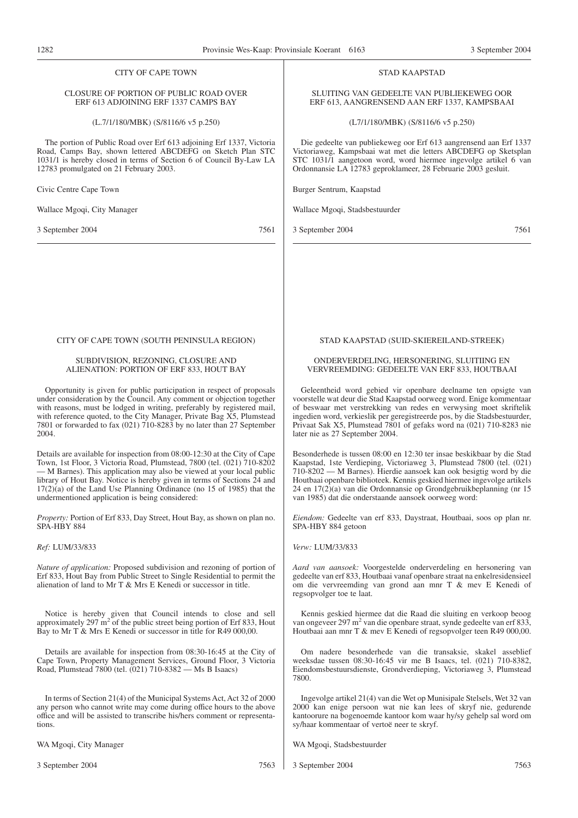| 1282                                                                                                                                                                                                                                                                                                                                                                                                                                 | 3 September 2004<br>Provinsie Wes-Kaap: Provinsiale Koerant 6163                                                                                                                                                                                                                                                                                                                                                                   |
|--------------------------------------------------------------------------------------------------------------------------------------------------------------------------------------------------------------------------------------------------------------------------------------------------------------------------------------------------------------------------------------------------------------------------------------|------------------------------------------------------------------------------------------------------------------------------------------------------------------------------------------------------------------------------------------------------------------------------------------------------------------------------------------------------------------------------------------------------------------------------------|
| <b>CITY OF CAPE TOWN</b>                                                                                                                                                                                                                                                                                                                                                                                                             | <b>STAD KAAPSTAD</b>                                                                                                                                                                                                                                                                                                                                                                                                               |
| CLOSURE OF PORTION OF PUBLIC ROAD OVER<br>ERF 613 ADJOINING ERF 1337 CAMPS BAY                                                                                                                                                                                                                                                                                                                                                       | SLUITING VAN GEDEELTE VAN PUBLIEKEWEG OOR<br>ERF 613, AANGRENSEND AAN ERF 1337, KAMPSBAAI                                                                                                                                                                                                                                                                                                                                          |
| $(L.7/1/180/MBK)$ (S/8116/6 v5 p.250)                                                                                                                                                                                                                                                                                                                                                                                                | $(L7/1/180/MBK)$ (S/8116/6 v5 p.250)                                                                                                                                                                                                                                                                                                                                                                                               |
| The portion of Public Road over Erf 613 adjoining Erf 1337, Victoria<br>Road, Camps Bay, shown lettered ABCDEFG on Sketch Plan STC<br>1031/1 is hereby closed in terms of Section 6 of Council By-Law LA<br>12783 promulgated on 21 February 2003.                                                                                                                                                                                   | Die gedeelte van publiekeweg oor Erf 613 aangrensend aan Erf 1337<br>Victoriaweg, Kampsbaai wat met die letters ABCDEFG op Sketsplan<br>STC 1031/1 aangetoon word, word hiermee ingevolge artikel 6 van<br>Ordonnansie LA 12783 geproklameer, 28 Februarie 2003 gesluit.                                                                                                                                                           |
| Civic Centre Cape Town                                                                                                                                                                                                                                                                                                                                                                                                               | Burger Sentrum, Kaapstad                                                                                                                                                                                                                                                                                                                                                                                                           |
| Wallace Mgoqi, City Manager                                                                                                                                                                                                                                                                                                                                                                                                          | Wallace Mgoqi, Stadsbestuurder                                                                                                                                                                                                                                                                                                                                                                                                     |
| 7561<br>3 September 2004                                                                                                                                                                                                                                                                                                                                                                                                             | 3 September 2004<br>7561                                                                                                                                                                                                                                                                                                                                                                                                           |
| CITY OF CAPE TOWN (SOUTH PENINSULA REGION)                                                                                                                                                                                                                                                                                                                                                                                           | STAD KAAPSTAD (SUID-SKIEREILAND-STREEK)                                                                                                                                                                                                                                                                                                                                                                                            |
| SUBDIVISION, REZONING, CLOSURE AND                                                                                                                                                                                                                                                                                                                                                                                                   | ONDERVERDELING, HERSONERING, SLUITIING EN                                                                                                                                                                                                                                                                                                                                                                                          |
| ALIENATION: PORTION OF ERF 833, HOUT BAY                                                                                                                                                                                                                                                                                                                                                                                             | VERVREEMDING: GEDEELTE VAN ERF 833, HOUTBAAI                                                                                                                                                                                                                                                                                                                                                                                       |
| Opportunity is given for public participation in respect of proposals<br>under consideration by the Council. Any comment or objection together<br>with reasons, must be lodged in writing, preferably by registered mail,<br>with reference quoted, to the City Manager, Private Bag X5, Plumstead<br>7801 or forwarded to fax (021) 710-8283 by no later than 27 September<br>2004.                                                 | Geleentheid word gebied vir openbare deelname ten opsigte van<br>voorstelle wat deur die Stad Kaapstad oorweeg word. Enige kommentaar<br>of beswaar met verstrekking van redes en verwysing moet skriftelik<br>ingedien word, verkieslik per geregistreerde pos, by die Stadsbestuurder,<br>Privaat Sak X5, Plumstead 7801 of gefaks word na (021) 710-8283 nie<br>later nie as 27 September 2004.                                 |
| Details are available for inspection from 08:00-12:30 at the City of Cape<br>Town, 1st Floor, 3 Victoria Road, Plumstead, 7800 (tel. (021) 710-8202<br>— M Barnes). This application may also be viewed at your local public<br>library of Hout Bay. Notice is hereby given in terms of Sections 24 and<br>$17(2)(a)$ of the Land Use Planning Ordinance (no 15 of 1985) that the<br>undermentioned application is being considered: | Besonderhede is tussen 08:00 en 12:30 ter insae beskikbaar by die Stad<br>Kaapstad, 1ste Verdieping, Victoriaweg 3, Plumstead 7800 (tel. (021)<br>710-8202 — M Barnes). Hierdie aansoek kan ook besigtig word by die<br>Houtbaai openbare biblioteek. Kennis geskied hiermee ingevolge artikels<br>$24$ en $17(2)(a)$ van die Ordonnansie op Grondgebruikbeplanning (nr 15<br>van 1985) dat die onderstaande aansoek oorweeg word: |
| <i>Property:</i> Portion of Erf 833, Day Street, Hout Bay, as shown on plan no.<br>SPA-HBY 884                                                                                                                                                                                                                                                                                                                                       | <i>Eiendom:</i> Gedeelte van erf 833, Daystraat, Houtbaai, soos op plan nr.<br>SPA-HBY 884 getoon                                                                                                                                                                                                                                                                                                                                  |
| Ref: LUM/33/833                                                                                                                                                                                                                                                                                                                                                                                                                      | Verw: LUM/33/833                                                                                                                                                                                                                                                                                                                                                                                                                   |
| <i>Nature of application:</i> Proposed subdivision and rezoning of portion of<br>Erf 833, Hout Bay from Public Street to Single Residential to permit the<br>alienation of land to Mr T & Mrs E Kenedi or successor in title.                                                                                                                                                                                                        | Aard van aansoek: Voorgestelde onderverdeling en hersonering van<br>gedeelte van erf 833, Houtbaai vanaf openbare straat na enkelresidensieel<br>om die vervreemding van grond aan mnr T & mev E Kenedi of<br>regsopvolger to te laat.                                                                                                                                                                                             |
| Notice is hereby given that Council intends to close and sell<br>approximately 297 $m2$ of the public street being portion of Erf 833, Hout<br>Bay to Mr T & Mrs E Kenedi or successor in title for R49 000,00.                                                                                                                                                                                                                      | Kennis geskied hiermee dat die Raad die sluiting en verkoop beoog<br>van ongeveer 297 m <sup>2</sup> van die openbare straat, synde gedeelte van erf 833,<br>Houtbaai aan mnr T & mev E Kenedi of regsopvolger teen R49 000,00.                                                                                                                                                                                                    |
| Details are available for inspection from 08:30-16:45 at the City of<br>Cape Town, Property Management Services, Ground Floor, 3 Victoria<br>Road, Plumstead 7800 (tel. (021) 710-8382 — Ms B Isaacs)                                                                                                                                                                                                                                | Om nadere besonderhede van die transaksie, skakel asseblief<br>weeksdae tussen 08:30-16:45 vir me B Isaacs, tel. (021) 710-8382,<br>Eiendomsbestuursdienste, Grondverdieping, Victoriaweg 3, Plumstead<br>7800.                                                                                                                                                                                                                    |

In terms of Section 21(4) of the Municipal Systems Act, Act 32 of 2000 Ingevolge artikel 21(4) van die Wet op Munisipale Stelsels, Wet 32 van 2000 kan enige persoon wat nie kan lees of skryf nie, gedurende kantoorure na bogenoemde kantoor kom waar hy/sy gehelp sal word om sy/haar kommentaar of vertoë neer te skryf.

WA Mgoqi, Stadsbestuurder

3 September 2004 7563

WA Mgoqi, City Manager

tions.

any person who cannot write may come during office hours to the above office and will be assisted to transcribe his/hers comment or representa-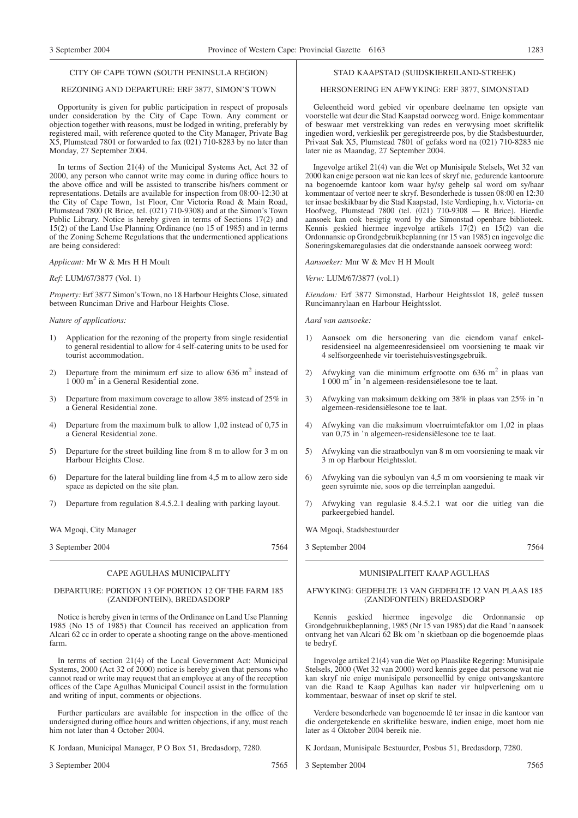#### CITY OF CAPE TOWN (SOUTH PENINSULA REGION)

#### REZONING AND DEPARTURE: ERF 3877, SIMON'S TOWN

Opportunity is given for public participation in respect of proposals under consideration by the City of Cape Town. Any comment or objection together with reasons, must be lodged in writing, preferably by registered mail, with reference quoted to the City Manager, Private Bag X5, Plumstead 7801 or forwarded to fax (021) 710-8283 by no later than Monday, 27 September 2004.

In terms of Section 21(4) of the Municipal Systems Act, Act 32 of 2000, any person who cannot write may come in during office hours to the above office and will be assisted to transcribe his/hers comment or representations. Details are available for inspection from 08:00-12:30 at the City of Cape Town, 1st Floor, Cnr Victoria Road & Main Road, Plumstead 7800 (R Brice, tel. (021) 710-9308) and at the Simon's Town Public Library. Notice is hereby given in terms of Sections 17(2) and 15(2) of the Land Use Planning Ordinance (no 15 of 1985) and in terms of the Zoning Scheme Regulations that the undermentioned applications are being considered:

#### *Applicant:* Mr W & Mrs H H Moult

#### *Ref:* LUM/67/3877 (Vol. 1)

*Property:* Erf 3877 Simon's Town, no 18 Harbour Heights Close, situated between Runciman Drive and Harbour Heights Close.

#### *Nature of applications:*

- 1) Application for the rezoning of the property from single residential to general residential to allow for 4 self-catering units to be used for tourist accommodation.
- 2) Departure from the minimum erf size to allow  $636 \text{ m}^2$  instead of 1 000 m2 in a General Residential zone.
- 3) Departure from maximum coverage to allow 38% instead of 25% in a General Residential zone.
- 4) Departure from the maximum bulk to allow 1,02 instead of 0,75 in a General Residential zone.
- 5) Departure for the street building line from 8 m to allow for 3 m on Harbour Heights Close.
- 6) Departure for the lateral building line from 4,5 m to allow zero side space as depicted on the site plan.
- 7) Departure from regulation 8.4.5.2.1 dealing with parking layout.

WA Mgoqi, City Manager

3 September 2004 7564

#### CAPE AGULHAS MUNICIPALITY

#### DEPARTURE: PORTION 13 OF PORTION 12 OF THE FARM 185 (ZANDFONTEIN), BREDASDORP

Notice is hereby given in terms of the Ordinance on Land Use Planning 1985 (No 15 of 1985) that Council has received an application from Alcari 62 cc in order to operate a shooting range on the above-mentioned farm.

In terms of section 21(4) of the Local Government Act: Municipal Systems, 2000 (Act 32 of 2000) notice is hereby given that persons who cannot read or write may request that an employee at any of the reception offices of the Cape Agulhas Municipal Council assist in the formulation and writing of input, comments or objections.

Further particulars are available for inspection in the office of the undersigned during office hours and written objections, if any, must reach him not later than 4 October 2004.

K Jordaan, Municipal Manager, P O Box 51, Bredasdorp, 7280.

3 September 2004 7565

#### STAD KAAPSTAD (SUIDSKIEREILAND-STREEK)

#### HERSONERING EN AFWYKING: ERF 3877, SIMONSTAD

Geleentheid word gebied vir openbare deelname ten opsigte van voorstelle wat deur die Stad Kaapstad oorweeg word. Enige kommentaar of beswaar met verstrekking van redes en verwysing moet skriftelik ingedien word, verkieslik per geregistreerde pos, by die Stadsbestuurder, Privaat Sak X5, Plumstead 7801 of gefaks word na (021) 710-8283 nie later nie as Maandag, 27 September 2004.

Ingevolge artikel 21(4) van die Wet op Munisipale Stelsels, Wet 32 van 2000 kan enige persoon wat nie kan lees of skryf nie, gedurende kantoorure na bogenoemde kantoor kom waar hy/sy gehelp sal word om sy/haar kommentaar of vertoë neer te skryf. Besonderhede is tussen 08:00 en 12:30 ter insae beskikbaar by die Stad Kaapstad, 1ste Verdieping, h.v. Victoria- en Hoofweg, Plumstead 7800 (tel. (021) 710-9308 — R Brice). Hierdie aansoek kan ook besigtig word by die Simonstad openbare biblioteek. Kennis geskied hiermee ingevolge artikels 17(2) en 15(2) van die Ordonnansie op Grondgebruikbeplanning (nr 15 van 1985) en ingevolge die Soneringskemaregulasies dat die onderstaande aansoek oorweeg word:

*Aansoeker:* Mnr W & Mev H H Moult

*Verw:* LUM/67/3877 (vol.1)

*Eiendom:* Erf 3877 Simonstad, Harbour Heightsslot 18, geleë tussen Runcimanrylaan en Harbour Heightsslot.

*Aard van aansoeke:*

- 1) Aansoek om die hersonering van die eiendom vanaf enkelresidensieel na algemeenresidensieel om voorsiening te maak vir 4 selfsorgeenhede vir toeristehuisvestingsgebruik.
- 2) Afwyking van die minimum erfgrootte om 636 m<sup>2</sup> in plaas van 1 000 m2 in 'n algemeen-residensiëlesone toe te laat.
- 3) Afwyking van maksimum dekking om 38% in plaas van 25% in 'n algemeen-residensiëlesone toe te laat.
- 4) Afwyking van die maksimum vloerruimtefaktor om 1,02 in plaas van 0,75 in 'n algemeen-residensiëlesone toe te laat.
- 5) Afwyking van die straatboulyn van 8 m om voorsiening te maak vir 3 m op Harbour Heightsslot.
- 6) Afwyking van die syboulyn van 4,5 m om voorsiening te maak vir geen syruimte nie, soos op die terreinplan aangedui.
- 7) Afwyking van regulasie 8.4.5.2.1 wat oor die uitleg van die parkeergebied handel.

WA Mgoqi, Stadsbestuurder

3 September 2004 7564

#### MUNISIPALITEIT KAAP AGULHAS

#### AFWYKING: GEDEELTE 13 VAN GEDEELTE 12 VAN PLAAS 185 (ZANDFONTEIN) BREDASDORP

Kennis geskied hiermee ingevolge die Ordonnansie op Grondgebruikbeplanning, 1985 (Nr 15 van 1985) dat die Raad 'n aansoek ontvang het van Alcari 62 Bk om 'n skietbaan op die bogenoemde plaas te bedryf.

Ingevolge artikel 21(4) van die Wet op Plaaslike Regering: Munisipale Stelsels, 2000 (Wet 32 van 2000) word kennis gegee dat persone wat nie kan skryf nie enige munisipale personeellid by enige ontvangskantore van die Raad te Kaap Agulhas kan nader vir hulpverlening om u kommentaar, beswaar of inset op skrif te stel.

Verdere besonderhede van bogenoemde lê ter insae in die kantoor van die ondergetekende en skriftelike besware, indien enige, moet hom nie later as 4 Oktober 2004 bereik nie.

K Jordaan, Munisipale Bestuurder, Posbus 51, Bredasdorp, 7280.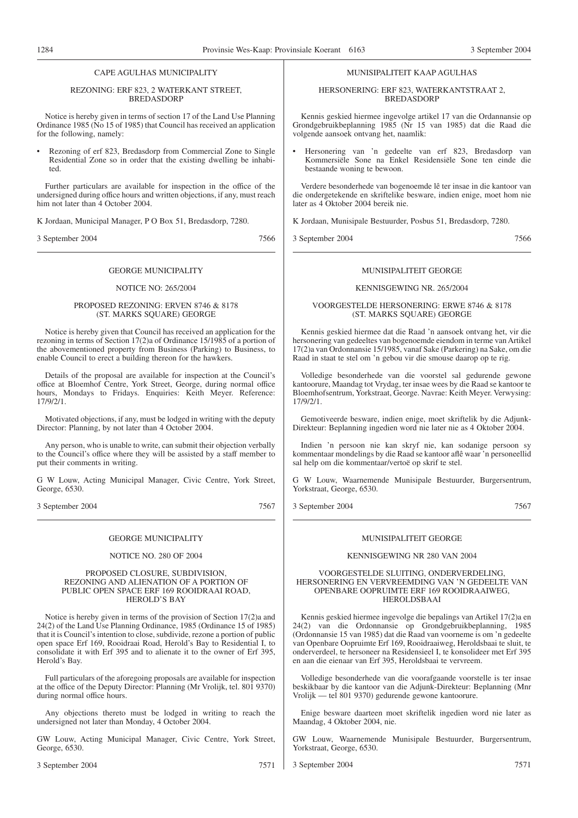#### CAPE AGULHAS MUNICIPALITY

#### REZONING: ERF 823, 2 WATERKANT STREET, **BREDASDORP**

Notice is hereby given in terms of section 17 of the Land Use Planning Ordinance 1985 (No 15 of 1985) that Council has received an application for the following, namely:

• Rezoning of erf 823, Bredasdorp from Commercial Zone to Single Residential Zone so in order that the existing dwelling be inhabited.

Further particulars are available for inspection in the office of the undersigned during office hours and written objections, if any, must reach him not later than 4 October 2004.

K Jordaan, Municipal Manager, P O Box 51, Bredasdorp, 7280.

3 September 2004 7566

#### GEORGE MUNICIPALITY

#### NOTICE NO: 265/2004

#### PROPOSED REZONING: ERVEN 8746 & 8178 (ST. MARKS SQUARE) GEORGE

Notice is hereby given that Council has received an application for the rezoning in terms of Section 17(2)a of Ordinance 15/1985 of a portion of the abovementioned property from Business (Parking) to Business, to enable Council to erect a building thereon for the hawkers.

Details of the proposal are available for inspection at the Council's office at Bloemhof Centre, York Street, George, during normal office hours, Mondays to Fridays. Enquiries: Keith Meyer. Reference: 17/9/2/1.

Motivated objections, if any, must be lodged in writing with the deputy Director: Planning, by not later than 4 October 2004.

Any person, who is unable to write, can submit their objection verbally to the Council's office where they will be assisted by a staff member to put their comments in writing.

G W Louw, Acting Municipal Manager, Civic Centre, York Street, George, 6530.

3 September 2004 7567

#### GEORGE MUNICIPALITY

#### NOTICE NO. 280 OF 2004

#### PROPOSED CLOSURE, SUBDIVISION, REZONING AND ALIENATION OF A PORTION OF PUBLIC OPEN SPACE ERF 169 ROOIDRAAI ROAD, HEROLD'S BAY

Notice is hereby given in terms of the provision of Section 17(2)a and 24(2) of the Land Use Planning Ordinance, 1985 (Ordinance 15 of 1985) that it is Council's intention to close, subdivide, rezone a portion of public open space Erf 169, Rooidraai Road, Herold's Bay to Residential I, to consolidate it with Erf 395 and to alienate it to the owner of Erf 395, Herold's Bay.

Full particulars of the aforegoing proposals are available for inspection at the office of the Deputy Director: Planning (Mr Vrolijk, tel. 801 9370) during normal office hours.

Any objections thereto must be lodged in writing to reach the undersigned not later than Monday, 4 October 2004.

GW Louw, Acting Municipal Manager, Civic Centre, York Street, George, 6530.

3 September 2004 7571

#### MUNISIPALITEIT KAAP AGULHAS

HERSONERING: ERF 823, WATERKANTSTRAAT 2, **BREDASDORP** 

Kennis geskied hiermee ingevolge artikel 17 van die Ordannansie op Grondgebruikbeplanning 1985 (Nr 15 van 1985) dat die Raad die volgende aansoek ontvang het, naamlik:

• Hersonering van 'n gedeelte van erf 823, Bredasdorp van Kommersiële Sone na Enkel Residensiële Sone ten einde die bestaande woning te bewoon.

Verdere besonderhede van bogenoemde lê ter insae in die kantoor van die ondergetekende en skriftelike besware, indien enige, moet hom nie later as 4 Oktober 2004 bereik nie.

K Jordaan, Munisipale Bestuurder, Posbus 51, Bredasdorp, 7280.

3 September 2004 7566

#### MUNISIPALITEIT GEORGE

#### KENNISGEWING NR. 265/2004

#### VOORGESTELDE HERSONERING: ERWE 8746 & 8178 (ST. MARKS SQUARE) GEORGE

Kennis geskied hiermee dat die Raad 'n aansoek ontvang het, vir die hersonering van gedeeltes van bogenoemde eiendom in terme van Artikel 17(2)a van Ordonnansie 15/1985, vanaf Sake (Parkering) na Sake, om die Raad in staat te stel om 'n gebou vir die smouse daarop op te rig.

Volledige besonderhede van die voorstel sal gedurende gewone kantoorure, Maandag tot Vrydag, ter insae wees by die Raad se kantoor te Bloemhofsentrum, Yorkstraat, George. Navrae: Keith Meyer. Verwysing: 17/9/2/1.

Gemotiveerde besware, indien enige, moet skriftelik by die Adjunk-Direkteur: Beplanning ingedien word nie later nie as 4 Oktober 2004.

Indien 'n persoon nie kan skryf nie, kan sodanige persoon sy kommentaar mondelings by die Raad se kantoor aflê waar 'n personeellid sal help om die kommentaar/vertoë op skrif te stel.

G W Louw, Waarnemende Munisipale Bestuurder, Burgersentrum, Yorkstraat, George, 6530.

3 September 2004 7567

#### MUNISIPALITEIT GEORGE

#### KENNISGEWING NR 280 VAN 2004

#### VOORGESTELDE SLUITING, ONDERVERDELING, HERSONERING EN VERVREEMDING VAN 'N GEDEELTE VAN OPENBARE OOPRUIMTE ERF 169 ROOIDRAAIWEG, HEROLDSBAAI

Kennis geskied hiermee ingevolge die bepalings van Artikel 17(2)a en 24(2) van die Ordonnansie op Grondgebruikbeplanning, 1985 (Ordonnansie 15 van 1985) dat die Raad van voorneme is om 'n gedeelte van Openbare Oopruimte Erf 169, Rooidraaiweg, Heroldsbaai te sluit, te onderverdeel, te hersoneer na Residensieel I, te konsolideer met Erf 395 en aan die eienaar van Erf 395, Heroldsbaai te vervreem.

Volledige besonderhede van die voorafgaande voorstelle is ter insae beskikbaar by die kantoor van die Adjunk-Direkteur: Beplanning (Mnr Vrolijk — tel 801 9370) gedurende gewone kantoorure.

Enige besware daarteen moet skriftelik ingedien word nie later as Maandag, 4 Oktober 2004, nie.

GW Louw, Waarnemende Munisipale Bestuurder, Burgersentrum, Yorkstraat, George, 6530.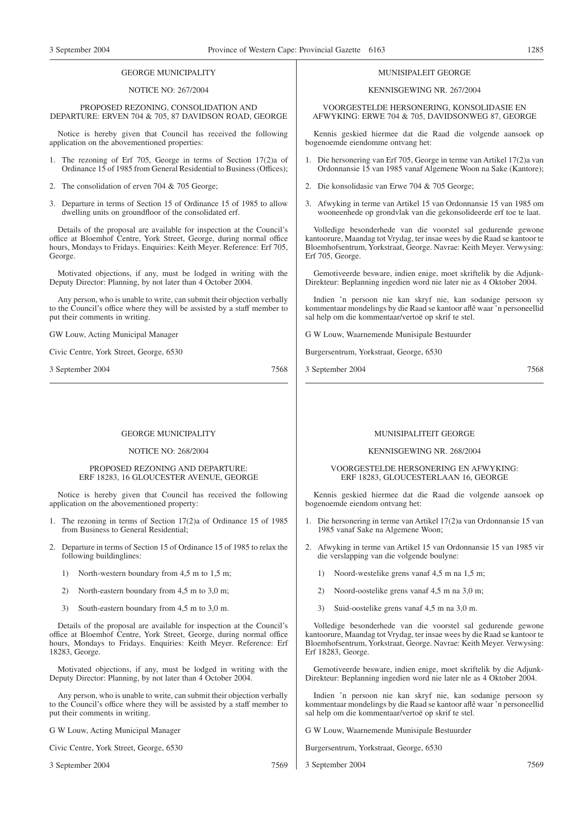#### GEORGE MUNICIPALITY

#### NOTICE NO: 267/2004

PROPOSED REZONING, CONSOLIDATION AND DEPARTURE: ERVEN 704 & 705, 87 DAVIDSON ROAD, GEORGE

Notice is hereby given that Council has received the following application on the abovementioned properties:

- 1. The rezoning of Erf 705, George in terms of Section 17(2)a of Ordinance 15 of 1985 from General Residential to Business (Offices);
- 2. The consolidation of erven 704 & 705 George;
- 3. Departure in terms of Section 15 of Ordinance 15 of 1985 to allow dwelling units on groundfloor of the consolidated erf.

Details of the proposal are available for inspection at the Council's office at Bloemhof Centre, York Street, George, during normal office hours, Mondays to Fridays. Enquiries: Keith Meyer. Reference: Erf 705, George.

Motivated objections, if any, must be lodged in writing with the Deputy Director: Planning, by not later than 4 October 2004.

Any person, who is unable to write, can submit their objection verbally to the Council's office where they will be assisted by a staff member to put their comments in writing.

GW Louw, Acting Municipal Manager

Civic Centre, York Street, George, 6530

3 September 2004 7568

#### MUNISIPALEIT GEORGE

#### KENNISGEWING NR. 267/2004

VOORGESTELDE HERSONERING, KONSOLIDASIE EN AFWYKING: ERWE 704 & 705, DAVIDSONWEG 87, GEORGE

Kennis geskied hiermee dat die Raad die volgende aansoek op bogenoemde eiendomme ontvang het:

- 1. Die hersonering van Erf 705, George in terme van Artikel 17(2)a van Ordonnansie 15 van 1985 vanaf Algemene Woon na Sake (Kantore);
- 2. Die konsolidasie van Erwe 704 & 705 George;
- 3. Afwyking in terme van Artikel 15 van Ordonnansie 15 van 1985 om wooneenhede op grondvlak van die gekonsolideerde erf toe te laat.

Volledige besonderhede van die voorstel sal gedurende gewone kantoorure, Maandag tot Vrydag, ter insae wees by die Raad se kantoor te Bloemhofsentrum, Yorkstraat, George. Navrae: Keith Meyer. Verwysing: Erf 705, George.

Gemotiveerde besware, indien enige, moet skriftelik by die Adjunk-Direkteur: Beplanning ingedien word nie later nie as 4 Oktober 2004.

Indien 'n persoon nie kan skryf nie, kan sodanige persoon sy kommentaar mondelings by die Raad se kantoor aflê waar 'n personeellid sal help om die kommentaar/vertoë op skrif te stel.

G W Louw, Waarnemende Munisipale Bestuurder

Burgersentrum, Yorkstraat, George, 6530

3 September 2004 7568

#### GEORGE MUNICIPALITY

#### NOTICE NO: 268/2004

#### PROPOSED REZONING AND DEPARTURE: ERF 18283, 16 GLOUCESTER AVENUE, GEORGE

Notice is hereby given that Council has received the following application on the abovementioned property:

- 1. The rezoning in terms of Section 17(2)a of Ordinance 15 of 1985 from Business to General Residential;
- 2. Departure in terms of Section 15 of Ordinance 15 of 1985 to relax the following buildinglines:
	- 1) North-western boundary from 4,5 m to 1,5 m;
	- 2) North-eastern boundary from 4,5 m to 3,0 m;
	- 3) South-eastern boundary from 4,5 m to 3,0 m.

Details of the proposal are available for inspection at the Council's office at Bloemhof Centre, York Street, George, during normal office hours, Mondays to Fridays. Enquiries: Keith Meyer. Reference: Erf 18283, George.

Motivated objections, if any, must be lodged in writing with the Deputy Director: Planning, by not later than 4 October 2004.

Any person, who is unable to write, can submit their objection verbally to the Council's office where they will be assisted by a staff member to put their comments in writing.

G W Louw, Acting Municipal Manager

Civic Centre, York Street, George, 6530

3 September 2004 7569

#### MUNISIPALITEIT GEORGE

#### KENNISGEWING NR. 268/2004

#### VOORGESTELDE HERSONERING EN AFWYKING: ERF 18283, GLOUCESTERLAAN 16, GEORGE

Kennis geskied hiermee dat die Raad die volgende aansoek op bogenoemde eiendom ontvang het:

- 1. Die hersonering in terme van Artikel 17(2)a van Ordonnansie 15 van 1985 vanaf Sake na Algemene Woon;
- 2. Afwyking in terme van Artikel 15 van Ordonnansie 15 van 1985 vir die verslapping van die volgende boulyne:
	- 1) Noord-westelike grens vanaf 4,5 m na 1,5 m;
	- 2) Noord-oostelike grens vanaf 4,5 m na 3,0 m;
	- 3) Suid-oostelike grens vanaf 4,5 m na 3,0 m.

Volledige besonderhede van die voorstel sal gedurende gewone kantoorure, Maandag tot Vrydag, ter insae wees by die Raad se kantoor te Bloemhofsentrum, Yorkstraat, George. Navrae: Keith Meyer. Verwysing: Erf 18283, George.

Gemotiveerde besware, indien enige, moet skriftelik by die Adjunk-Direkteur: Beplanning ingedien word nie later nle as 4 Oktober 2004.

Indien 'n persoon nie kan skryf nie, kan sodanige persoon sy kommentaar mondelings by die Raad se kantoor aflê waar 'n personeellid sal help om die kommentaar/vertoë op skrif te stel.

G W Louw, Waarnemende Munisipale Bestuurder

Burgersentrum, Yorkstraat, George, 6530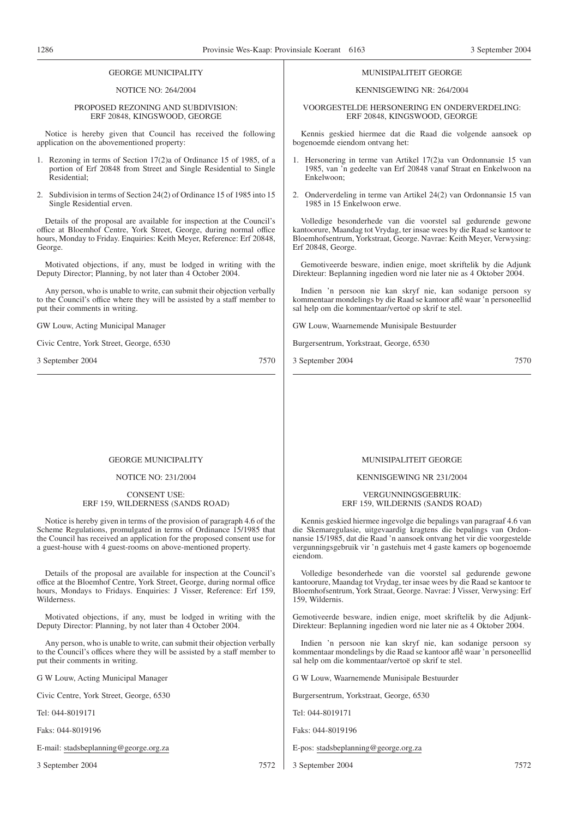#### GEORGE MUNICIPALITY

#### NOTICE NO: 264/2004

#### PROPOSED REZONING AND SUBDIVISION: ERF 20848, KINGSWOOD, GEORGE

Notice is hereby given that Council has received the following application on the abovementioned property:

- 1. Rezoning in terms of Section 17(2)a of Ordinance 15 of 1985, of a portion of Erf 20848 from Street and Single Residential to Single Residential;
- 2. Subdivision in terms of Section 24(2) of Ordinance 15 of 1985 into 15 Single Residential erven.

Details of the proposal are available for inspection at the Council's office at Bloemhof Centre, York Street, George, during normal office hours, Monday to Friday. Enquiries: Keith Meyer, Reference: Erf 20848, George.

Motivated objections, if any, must be lodged in writing with the Deputy Director; Planning, by not later than 4 October 2004.

Any person, who is unable to write, can submit their objection verbally to the Council's office where they will be assisted by a staff member to put their comments in writing.

GW Louw, Acting Municipal Manager

Civic Centre, York Street, George, 6530

3 September 2004 7570

#### MUNISIPALITEIT GEORGE

#### KENNISGEWING NR: 264/2004

VOORGESTELDE HERSONERING EN ONDERVERDELING: ERF 20848, KINGSWOOD, GEORGE

Kennis geskied hiermee dat die Raad die volgende aansoek op bogenoemde eiendom ontvang het:

- 1. Hersonering in terme van Artikel 17(2)a van Ordonnansie 15 van 1985, van 'n gedeelte van Erf 20848 vanaf Straat en Enkelwoon na Enkelwoon;
- 2. Onderverdeling in terme van Artikel 24(2) van Ordonnansie 15 van 1985 in 15 Enkelwoon erwe.

Volledige besonderhede van die voorstel sal gedurende gewone kantoorure, Maandag tot Vrydag, ter insae wees by die Raad se kantoor te Bloemhofsentrum, Yorkstraat, George. Navrae: Keith Meyer, Verwysing: Erf 20848, George.

Gemotiveerde besware, indien enige, moet skriftelik by die Adjunk Direkteur: Beplanning ingedien word nie later nie as 4 Oktober 2004.

Indien 'n persoon nie kan skryf nie, kan sodanige persoon sy kommentaar mondelings by die Raad se kantoor aflê waar 'n personeellid sal help om die kommentaar/vertoë op skrif te stel.

GW Louw, Waarnemende Munisipale Bestuurder

Burgersentrum, Yorkstraat, George, 6530

3 September 2004 7570

#### GEORGE MUNICIPALITY

#### NOTICE NO: 231/2004

#### CONSENT USE: ERF 159, WILDERNESS (SANDS ROAD)

Notice is hereby given in terms of the provision of paragraph 4.6 of the Scheme Regulations, promulgated in terms of Ordinance 15/1985 that the Council has received an application for the proposed consent use for a guest-house with 4 guest-rooms on above-mentioned property.

Details of the proposal are available for inspection at the Council's office at the Bloemhof Centre, York Street, George, during normal office hours, Mondays to Fridays. Enquiries: J Visser, Reference: Erf 159, Wilderness.

Motivated objections, if any, must be lodged in writing with the Deputy Director: Planning, by not later than 4 October 2004.

Any person, who is unable to write, can submit their objection verbally to the Council's offices where they will be assisted by a staff member to put their comments in writing.

G W Louw, Acting Municipal Manager

Civic Centre, York Street, George, 6530

Tel: 044-8019171

Faks: 044-8019196

#### E-mail: stadsbeplanning@george.org.za

3 September 2004 7572

#### MUNISIPALITEIT GEORGE

#### KENNISGEWING NR 231/2004

#### VERGUNNINGSGEBRUIK: ERF 159, WILDERNIS (SANDS ROAD)

Kennis geskied hiermee ingevolge die bepalings van paragraaf 4.6 van die Skemaregulasie, uitgevaardig kragtens die bepalings van Ordonnansie 15/1985, dat die Raad 'n aansoek ontvang het vir die voorgestelde vergunningsgebruik vir 'n gastehuis met 4 gaste kamers op bogenoemde eiendom.

Volledige besonderhede van die voorstel sal gedurende gewone kantoorure, Maandag tot Vrydag, ter insae wees by die Raad se kantoor te Bloemhofsentrum, York Straat, George. Navrae: J Visser, Verwysing: Erf 159, Wildernis.

Gemotiveerde besware, indien enige, moet skriftelik by die Adjunk-Direkteur: Beplanning ingedien word nie later nie as 4 Oktober 2004.

Indien 'n persoon nie kan skryf nie, kan sodanige persoon sy kommentaar mondelings by die Raad se kantoor aflê waar 'n personeellid sal help om die kommentaar/vertoë op skrif te stel.

G W Louw, Waarnemende Munisipale Bestuurder

Burgersentrum, Yorkstraat, George, 6530

Tel: 044-8019171

Faks: 044-8019196

#### E-pos: stadsbeplanning@george.org.za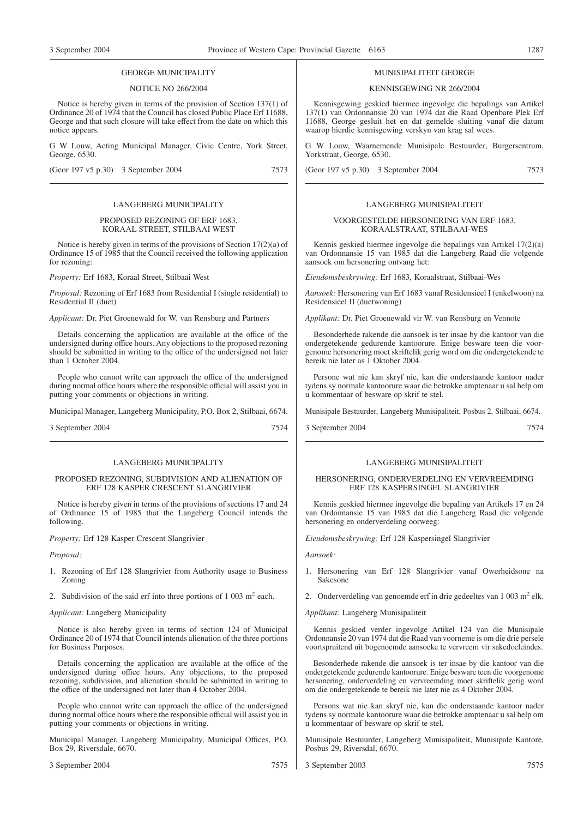#### GEORGE MUNICIPALITY

#### NOTICE NO 266/2004

Notice is hereby given in terms of the provision of Section 137(1) of Ordinance 20 of 1974 that the Council has closed Public Place Erf 11688, George and that such closure will take effect from the date on which this notice appears.

G W Louw, Acting Municipal Manager, Civic Centre, York Street, George, 6530.

(Geor 197 v5 p.30) 3 September 2004 7573

#### LANGEBERG MUNICIPALITY

#### PROPOSED REZONING OF ERF 1683, KORAAL STREET, STILBAAI WEST

Notice is hereby given in terms of the provisions of Section 17(2)(a) of Ordinance 15 of 1985 that the Council received the following application for rezoning:

*Property:* Erf 1683, Koraal Street, Stilbaai West

*Proposal:* Rezoning of Erf 1683 from Residential I (single residential) to Residential II (duet)

*Applicant:* Dr. Piet Groenewald for W. van Rensburg and Partners

Details concerning the application are available at the office of the undersigned during office hours. Any objections to the proposed rezoning should be submitted in writing to the office of the undersigned not later than 1 October 2004.

People who cannot write can approach the office of the undersigned during normal office hours where the responsible official will assist you in putting your comments or objections in writing.

Municipal Manager, Langeberg Municipality, P.O. Box 2, Stilbaai, 6674.

3 September 2004 7574

#### LANGEBERG MUNICIPALITY

#### PROPOSED REZONING, SUBDIVISION AND ALIENATION OF ERF 128 KASPER CRESCENT SLANGRIVIER

Notice is hereby given in terms of the provisions of sections 17 and 24 of Ordinance 15 of 1985 that the Langeberg Council intends the following.

*Property:* Erf 128 Kasper Crescent Slangrivier

#### *Proposal:*

- 1. Rezoning of Erf 128 Slangrivier from Authority usage to Business Zoning
- 2. Subdivision of the said erf into three portions of  $1\,003$  m<sup>2</sup> each.

#### *Applicant:* Langeberg Municipality

Notice is also hereby given in terms of section 124 of Municipal Ordinance 20 of 1974 that Council intends alienation of the three portions for Business Purposes.

Details concerning the application are available at the office of the undersigned during office hours. Any objections, to the proposed rezoning, subdivision, and alienation should be submitted in writing to the office of the undersigned not later than 4 October 2004.

People who cannot write can approach the office of the undersigned during normal office hours where the responsible official will assist you in putting your comments or objections in writing.

Municipal Manager, Langeberg Municipality, Municipal Offices, P.O. Box 29, Riversdale, 6670.

3 September 2004 7575

#### MUNISIPALITEIT GEORGE

### KENNISGEWING NR 266/2004

Kennisgewing geskied hiermee ingevolge die bepalings van Artikel 137(1) van Ordonnansie 20 van 1974 dat die Raad Openbare Plek Erf 11688, George gesluit het en dat gemelde sluiting vanaf die datum waarop hierdie kennisgewing verskyn van krag sal wees.

G W Louw, Waarnemende Munisipale Bestuurder, Burgersentrum, Yorkstraat, George, 6530.

(Geor 197 v5 p.30) 3 September 2004 7573

#### LANGEBERG MUNISIPALITEIT

#### VOORGESTELDE HERSONERING VAN ERF 1683, KORAALSTRAAT, STILBAAI-WES

Kennis geskied hiermee ingevolge die bepalings van Artikel 17(2)(a) van Ordonnansie 15 van 1985 dat die Langeberg Raad die volgende aansoek om hersonering ontvang het:

*Eiendomsbeskrywing:* Erf 1683, Koraalstraat, Stilbaai-Wes

*Aansoek:* Hersonering van Erf 1683 vanaf Residensieel I (enkelwoon) na Residensieel II (duetwoning)

*Applikant:* Dr. Piet Groenewald vir W. van Rensburg en Vennote

Besonderhede rakende die aansoek is ter insae by die kantoor van die ondergetekende gedurende kantoorure. Enige besware teen die voorgenome hersonering moet skriftelik gerig word om die ondergetekende te bereik nie later as 1 Oktober 2004.

Persone wat nie kan skryf nie, kan die onderstaande kantoor nader tydens sy normale kantoorure waar die betrokke amptenaar u sal help om u kommentaar of besware op skrif te stel.

Munisipale Bestuurder, Langeberg Munisipaliteit, Posbus 2, Stilbaai, 6674.

3 September 2004 7574

## LANGEBERG MUNISIPALITEIT

#### HERSONERING, ONDERVERDELING EN VERVREEMDING ERF 128 KASPERSINGEL SLANGRIVIER

Kennis geskied hiermee ingevolge die bepaling van Artikels 17 en 24 van Ordonnansie 15 van 1985 dat die Langeberg Raad die volgende hersonering en onderverdeling oorweeg:

*Eiendomsbeskrywing:* Erf 128 Kaspersingel Slangrivier

*Aansoek:*

- 1. Hersonering van Erf 128 Slangrivier vanaf Owerheidsone na Sakesone
- 2. Onderverdeling van genoemde erf in drie gedeeltes van  $1\,003\,\mathrm{m}^2$  elk.

*Applikant:* Langeberg Munisipaliteit

Kennis geskied verder ingevolge Artikel 124 van die Munisipale Ordonnansie 20 van 1974 dat die Raad van voorneme is om die drie persele voortspruitend uit bogenoemde aansoeke te vervreem vir sakedoeleindes.

Besonderhede rakende die aansoek is ter insae by die kantoor van die ondergetekende gedurende kantoorure. Enige besware teen die voorgenome hersonering, onderverdeling en vervreemding moet skriftelik gerig word om die ondergetekende te bereik nie later nie as 4 Oktober 2004.

Persons wat nie kan skryf nie, kan die onderstaande kantoor nader tydens sy normale kantoorure waar die betrokke amptenaar u sal help om u kommentaar of besware op skrif te stel.

Munisipale Bestuurder, Langeberg Munisipaliteit, Munisipale Kantore, Posbus 29, Riversdal, 6670.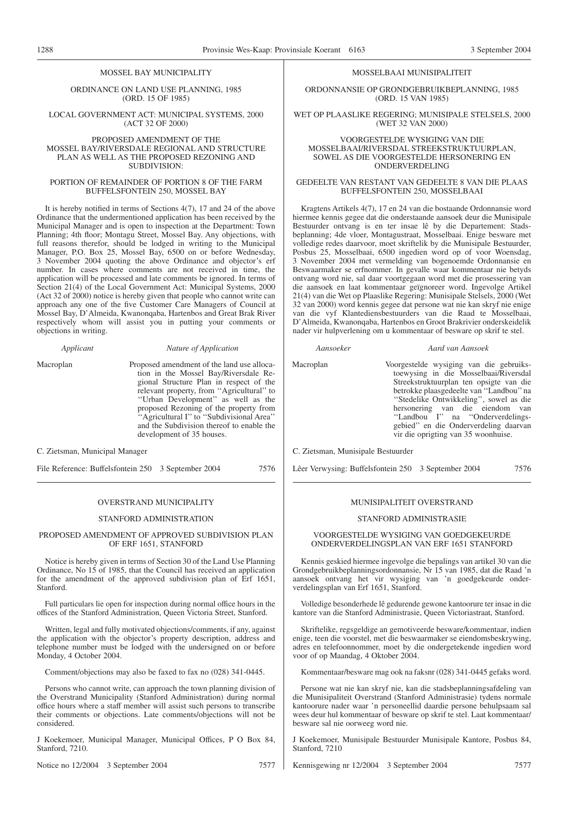#### MOSSEL BAY MUNICIPALITY

ORDINANCE ON LAND USE PLANNING, 1985 (ORD. 15 OF 1985)

LOCAL GOVERNMENT ACT: MUNICIPAL SYSTEMS, 2000 (ACT 32 OF 2000)

#### PROPOSED AMENDMENT OF THE MOSSEL BAY/RIVERSDALE REGIONAL AND STRUCTURE PLAN AS WELL AS THE PROPOSED REZONING AND SUBDIVISION:

#### PORTION OF REMAINDER OF PORTION 8 OF THE FARM BUFFELSFONTEIN 250, MOSSEL BAY

It is hereby notified in terms of Sections 4(7), 17 and 24 of the above Ordinance that the undermentioned application has been received by the Municipal Manager and is open to inspection at the Department: Town Planning; 4th floor; Montagu Street, Mossel Bay. Any objections, with full reasons therefor, should be lodged in writing to the Municipal Manager, P.O. Box 25, Mossel Bay, 6500 on or before Wednesday, 3 November 2004 quoting the above Ordinance and objector's erf number. In cases where comments are not received in time, the application will be processed and late comments be ignored. In terms of Section 21(4) of the Local Government Act: Municipal Systems, 2000 (Act 32 of 2000) notice is hereby given that people who cannot write can approach any one of the five Customer Care Managers of Council at Mossel Bay, D'Almeida, Kwanonqaba, Hartenbos and Great Brak River respectively whom will assist you in putting your comments or objections in writing.

| Applicant | Nature of Application                                                                                                                                                                                                                                                                                                                                                             |
|-----------|-----------------------------------------------------------------------------------------------------------------------------------------------------------------------------------------------------------------------------------------------------------------------------------------------------------------------------------------------------------------------------------|
| Macroplan | Proposed amendment of the land use alloca-<br>tion in the Mossel Bay/Riversdale Re-<br>gional Structure Plan in respect of the<br>relevant property, from "Agricultural" to<br>"Urban Development" as well as the<br>proposed Rezoning of the property from<br>"Agricultural I" to "Subdivisional Area"<br>and the Subdivision thereof to enable the<br>development of 35 houses. |

C. Zietsman, Municipal Manager

File Reference: Buffelsfontein 250 3 September 2004 7576

#### OVERSTRAND MUNICIPALITY

#### STANFORD ADMINISTRATION

#### PROPOSED AMENDMENT OF APPROVED SUBDIVISION PLAN OF ERF 1651, STANFORD

Notice is hereby given in terms of Section 30 of the Land Use Planning Ordinance, No 15 of 1985, that the Council has received an application for the amendment of the approved subdivision plan of Erf 1651, Stanford.

Full particulars lie open for inspection during normal office hours in the offices of the Stanford Administration, Queen Victoria Street, Stanford.

Written, legal and fully motivated objections/comments, if any, against the application with the objector's property description, address and telephone number must be lodged with the undersigned on or before Monday, 4 October 2004.

Comment/objections may also be faxed to fax no (028) 341-0445.

Persons who cannot write, can approach the town planning division of the Overstrand Municipality (Stanford Administration) during normal office hours where a staff member will assist such persons to transcribe their comments or objections. Late comments/objections will not be considered.

J Koekemoer, Municipal Manager, Municipal Offices, P O Box 84, Stanford, 7210.

Notice no 12/2004 3 September 2004 7577

#### MOSSELBAAI MUNISIPALITEIT

ORDONNANSIE OP GRONDGEBRUIKBEPLANNING, 1985 (ORD. 15 VAN 1985)

WET OP PLAASLlKE REGERING; MUNISIPALE STELSELS, 2000 (WET 32 VAN 2000)

#### VOORGESTELDE WYSIGING VAN DIE MOSSELBAAI/RIVERSDAL STREEKSTRUKTUURPLAN, SOWEL AS DIE VOORGESTELDE HERSONERING EN ONDERVERDELING

#### GEDEELTE VAN RESTANT VAN GEDEELTE 8 VAN DIE PLAAS BUFFELSFONTEIN 250, MOSSELBAAI

Kragtens Artikels 4(7), 17 en 24 van die bostaande Ordonnansie word hiermee kennis gegee dat die onderstaande aansoek deur die Munisipale Bestuurder ontvang is en ter insae lê by die Departement: Stadsbeplanning; 4de vloer, Montagustraat, Mosselbaai. Enige besware met volledige redes daarvoor, moet skriftelik by die Munisipale Bestuurder, Posbus 25, Mosselbaai, 6500 ingedien word op of voor Woensdag, 3 November 2004 met vermelding van bogenoemde Ordonnansie en Beswaarmaker se erfnommer. In gevalle waar kommentaar nie betyds ontvang word nie, sal daar voortgegaan word met die prosessering van die aansoek en laat kommentaar geïgnoreer word. Ingevolge Artikel 21(4) van die Wet op Plaaslike Regering: Munisipale Stelsels, 2000 (Wet 32 van 2000) word kennis gegee dat persone wat nie kan skryf nie enige van die vyf Klantediensbestuurders van die Raad te Mosselbaai, D'Almeida, Kwanonqaba, Hartenbos en Groot Brakrivier onderskeidelik nader vir hulpverlening om u kommentaar of besware op skrif te stel.

#### *Aansoeker Aard van Aansoek*

Macroplan Voorgestelde wysiging van die gebruikstoewysing in die Mosselbaai/Riversdal Streekstruktuurplan ten opsigte van die betrokke plaasgedeelte van ''Landbou''na ''Stedelike Ontwikkeling'', sowel as die hersonering van die eiendom van ''Landbou I'' na ''Onderverdelingsgebied'' en die Onderverdeling daarvan vir die oprigting van 35 woonhuise.

C. Zietsman, Munisipale Bestuurder

Lêer Verwysing: Buffelsfontein 250 3 September 2004 7576

#### MUNISIPALITEIT OVERSTRAND

#### STANFORD ADMINISTRASIE

#### VOORGESTELDE WYSIGING VAN GOEDGEKEURDE ONDERVERDELINGSPLAN VAN ERF 1651 STANFORD

Kennis geskied hiermee ingevolge die bepalings van artikel 30 van die Grondgebruikbeplanningsordonnansie, Nr 15 van 1985, dat die Raad 'n aansoek ontvang het vir wysiging van 'n goedgekeurde onderverdelingsplan van Erf 1651, Stanford.

Volledige besonderhede lê gedurende gewone kantoorure ter insae in die kantore van die Stanford Administrasie, Queen Victoriastraat, Stanford.

Skriftelike, regsgeldige an gemotiveerde besware/kommentaar, indien enige, teen die voorstel, met die beswaarmaker se eiendomsbeskrywing, adres en telefoonnommer, moet by die ondergetekende ingedien word voor of op Maandag, 4 Oktober 2004.

Kommentaar/besware mag ook na faksnr (028) 341-0445 gefaks word.

Persone wat nie kan skryf nie, kan die stadsbeplanningsafdeling van die Munisipaliteit Overstrand (Stanford Administrasie) tydens normale kantoorure nader waar 'n personeellid daardie persone behulpsaam sal wees deur hul kommentaar of besware op skrif te stel. Laat kommentaar/ besware sal nie oorweeg word nie.

J Koekemoer, Munisipale Bestuurder Munisipale Kantore, Posbus 84, Stanford, 7210

Kennisgewing nr 12/2004 3 September 2004 7577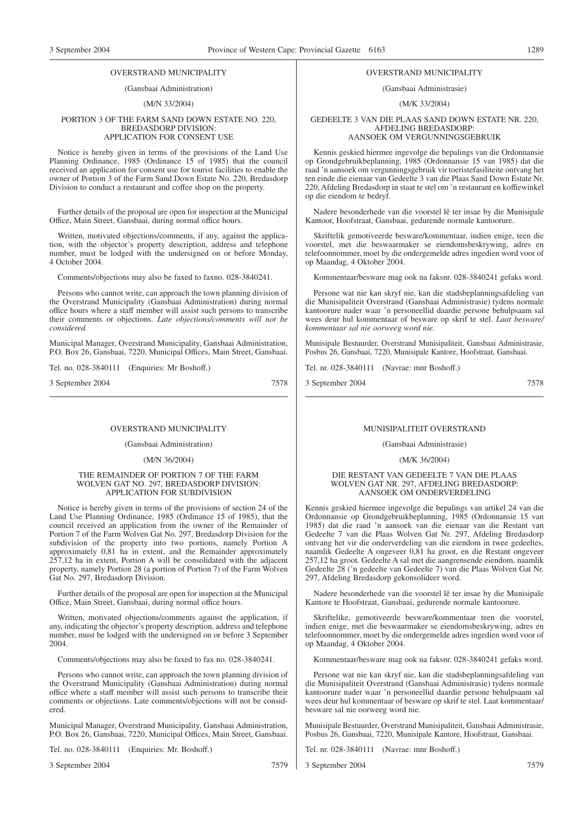#### OVERSTRAND MUNICIPALITY

#### (Gansbaai Administration)

#### (M/N 33/2004)

#### PORTION 3 OF THE FARM SAND DOWN ESTATE NO. 220, BREDASDORP DIVISION: APPLICATION FOR CONSENT USE

Notice is hereby given in terms of the provisions of the Land Use Planning Ordinance, 1985 (Ordinance 15 of 1985) that the council received an application for consent use for tourist facilities to enable the owner of Portion 3 of the Farm Sand Down Estate No. 220, Bredasdorp Division to conduct a restaurant and coffee shop on the property.

Further details of the proposal are open for inspection at the Municipal Office, Main Street, Gansbaai, during normal office hours.

Written, motivated objections/comments, if any, against the application, with the objector's property description, address and telephone number, must be lodged with the undersigned on or before Monday, 4 October 2004.

Comments/objections may also be faxed to faxno. 028-3840241.

Persons who cannot write, can approach the town planning division of the Overstrand Municipality (Gansbaai Administration) during normal office hours where a staff member will assist such persons to transcribe their comments or objections. *Late objections/comments will not be considered.*

Municipal Manager, Overstrand Municipality, Gansbaai Administration, P.O. Box 26, Gansbaai, 7220, Municipal Offices, Main Street, Gansbaai.

Tel. no. 028-3840111 (Enquiries: Mr Boshoff.)

3 September 2004 7578

#### OVERSTRAND MUNICIPALITY

(Gansbaai Administration)

(M/N 36/2004)

#### THE REMAINDER OF PORTION 7 OF THE FARM WOLVEN GAT NO. 297, BREDASDORP DIVISION: APPLICATION FOR SUBDIVISION

Notice is hereby given in terms of the provisions of section 24 of the Land Use Planning Ordinance, 1985 (Ordinance 15 of 1985), that the council received an application from the owner of the Remainder of Portion 7 of the Farm Wolven Gat No. 297, Bredasdorp Division for the subdivision of the property into two portions, namely Portion A approximately 0,81 ha in extent, and the Remainder approximately 257,12 ha in extent, Portion A will be consolidated with the adjacent property, namely Portion 28 (a portion of Portion 7) of the Farm Wolven Gat No. 297, Bredasdorp Division.

Further details of the proposal are open for inspection at the Municipal Office, Main Street, Gansbaai, during normal office hours.

Written, motivated objections/comments against the application, if any, indicating the objector's property description, address and telephone number, must be lodged with the undersigned on or before 3 September 2004.

Comments/objections may also be faxed to fax no. 028-3840241.

Persons who cannot write, can approach the town planning division of the Overstrand Municipality (Gansbaai Administration) during normal office where a staff member will assist such persons to transcribe their comments or objections. Late comments/objections will not be considered.

Municipal Manager, Overstrand Municipality, Gansbaai Administration, P.O. Box 26, Gansbaai, 7220, Municipal Offices, Main Street, Gansbaai.

Tel. no. 028-3840111 (Enquiries: Mr. Boshoff.)

3 September 2004 7579

#### OVERSTRAND MUNICIPALITY

#### (Gansbaai Administrasie)

#### (M/K 33/2004)

#### GEDEELTE 3 VAN DIE PLAAS SAND DOWN ESTATE NR. 220, AFDELING BREDASDORP: AANSOEK OM VERGUNNINGSGEBRUIK

Kennis geskied hiermee ingevolge die bepalings van die Ordonnansie op Grondgebruikbeplanning, 1985 (Ordonnansie 15 van 1985) dat die raad 'n aansoek om vergunningsgebruik vir toeristefasiliteite ontvang het ten einde die eienaar van Gedeelte 3 van die Plaas Sand Down Estate Nr. 220, Afdeling Bredasdorp in staat te stel om 'n restaurant en koffiewinkel op die eiendom te bedryf.

Nadere besonderhede van die voorstel lê ter insae by die Munisipale Kantoor, Hoofstraat, Gansbaai, gedurende normale kantoorure.

Skriftelik gemotiveerde besware/kommentaar, indien enige, teen die voorstel, met die beswaarmaker se eiendomsbeskrywing, adres en telefoonnommer, moet by die ondergemelde adres ingedien word voor of op Maandag, 4 Oktober 2004.

Kommentaar/besware mag ook na faksnr. 028-3840241 gefaks word.

Persone wat nie kan skryf nie, kan die stadsbeplanningsafdeling van die Munisipaliteit Overstrand (Gansbaai Administrasie) tydens normale kantoorure nader waar 'n personeellid daardie persone behulpsaam sal wees deur hul kommentaar of besware op skrif te stel. *Laat besware/ kommentaar sal nie oorweeg word nie.*

Munisipale Bestuurder, Overstrand Munisipaliteit, Gansbaai Administrasie, Posbus 26, Gansbaai, 7220, Munisipale Kantore, Hoofstraat, Gansbaai.

Tel. nr. 028-3840111 (Navrae: mnr Boshoff.)

3 September 2004 7578

#### MUNISIPALITEIT OVERSTRAND

(Gansbaai Administrasie)

(M/K 36/2004)

#### DIE RESTANT VAN GEDEELTE 7 VAN DIE PLAAS WOLVEN GAT NR. 297, AFDELING BREDASDORP: AANSOEK OM ONDERVERDELING

Kennis geskied hiermee ingevolge die bepalings van artikel 24 van die Ordonnansie op Grondgebruikbeplanning, 1985 (Ordonnansie 15 van 1985) dat die raad 'n aansoek van die eienaar van die Restant van Gedeelte 7 van die Plaas Wolven Gat Nr. 297, Afdeling Bredasdorp ontvang het vir die onderverdeling van die eiendom in twee gedeeltes, naamlik Gedeelte A ongeveer 0,81 ha groot, en die Restant ongeveer 257,12 ha groot. Gedeelte A sal met die aangrensende eiendom, naamlik Gedeelte 28 ('n gedeelte van Gedeelte 7) van die Plaas Wolven Gat Nr. 297, Afdeling Bredasdorp gekonsolideer word.

Nadere besonderhede van die voorstel lê ter insae by die Munisipale Kantore te Hoofstraat, Gansbaai, gedurende normale kantoorure.

Skriftelike, gemotiveerde besware/kommentaar teen die voorstel, indien enige, met die beswaarmaker se eiendomsbeskrywing, adres en telefoonnommer, moet by die ondergemelde adres ingedien word voor of op Maandag, 4 Oktober 2004.

Kommentaar/besware mag ook na faksnr. 028-3840241 gefaks word.

Persone wat nie kan skryf nie, kan die stadsbeplanningsafdeling van die Munisipaliteit Overstrand (Gansbaai Administrasie) tydens normale kantoorure nader waar 'n personeellid daardie persone behulpsaam sal wees deur hul kommentaar of besware op skrif te stel. Laat kommentaar/ besware sal nie oorweeg word nie.

Munisipale Bestuurder, Overstrand Munisipaliteit, Gansbaai Administrasie, Posbus 26, Gansbaai, 7220, Munisipale Kantore, Hoofstraat, Gansbaai.

Tel. nr. 028-3840111 (Navrae: mnr Boshoff.)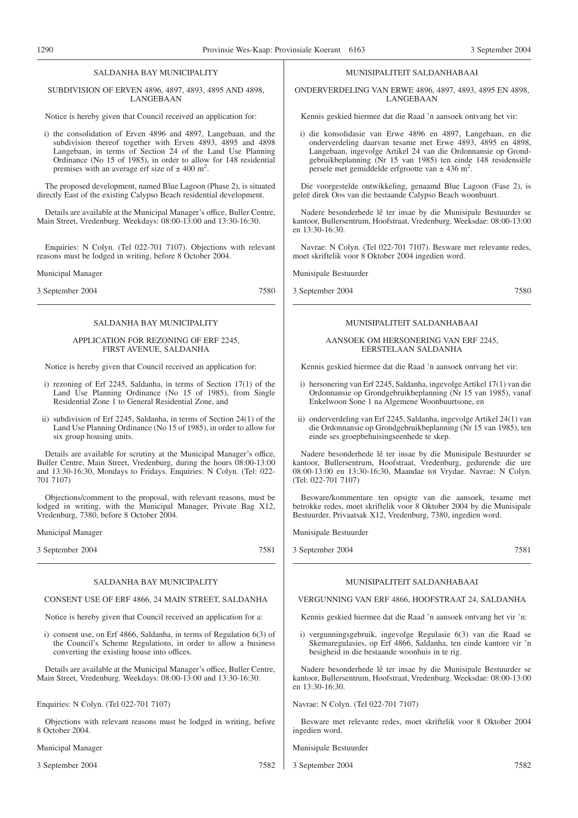#### SALDANHA BAY MUNICIPALITY

SUBDIVISION OF ERVEN 4896, 4897, 4893, 4895 AND 4898, LANGEBAAN

Notice is hereby given that Council received an application for:

i) the consolidation of Erven 4896 and 4897, Langebaan, and the subdivision thereof together with Erven 4893, 4895 and 4898 Langebaan, in terms of Section 24 of the Land Use Planning Ordinance (No 15 of 1985), in order to allow for 148 residential premises with an average erf size of  $\pm$  400 m<sup>2</sup>.

The proposed development, named Blue Lagoon (Phase 2), is situated directly East of the existing Calypso Beach residential development.

Details are available at the Municipal Manager's office, Buller Centre, Main Street, Vredenburg. Weekdays: 08:00-13:00 and 13:30-16:30.

Enquiries: N Colyn. (Tel 022-701 7107). Objections with relevant reasons must be lodged in writing, before 8 October 2004.

Municipal Manager

3 September 2004 7580

#### SALDANHA BAY MUNICIPALITY

#### APPLICATION FOR REZONING OF ERF 2245, FIRST AVENUE, SALDANHA

Notice is hereby given that Council received an application for:

- i) rezoning of Erf 2245, Saldanha, in terms of Section 17(1) of the Land Use Planning Ordinance (No 15 of 1985), from Single Residential Zone 1 to General Residential Zone, and
- ii) subdivision of Erf 2245, Saldanha, in terms of Section 24(1) of the Land Use Planning Ordinance (No 15 of 1985), in order to allow for six group housing units.

Details are available for scrutiny at the Municipal Manager's office, Buller Centre, Main Street, Vredenburg, during the hours 08:00-13:00 and 13:30-16:30, Mondays to Fridays. Enquiries: N Colyn. (Tel: 022- 701 7107)

Objections/comment to the proposal, with relevant reasons, must be lodged in writing, with the Municipal Manager, Private Bag X12, Vredenburg, 7380, before 8 October 2004.

Municipal Manager

3 September 2004 7581

#### SALDANHA BAY MUNICIPALITY

#### CONSENT USE OF ERF 4866, 24 MAIN STREET, SALDANHA

Notice is hereby given that Council received an application for a:

i) consent use, on Erf 4866, Saldanha, in terms of Regulation 6(3) of the Council's Scheme Regulations, in order to allow a business converting the existing house into offices.

Details are available at the Municipal Manager's office, Buller Centre, Main Street, Vredenburg. Weekdays: 08:00-13:00 and 13:30-16:30.

Enquiries: N Colyn. (Tel 022-701 7107)

Objections with relevant reasons must be lodged in writing, before 8 October 2004.

Municipal Manager

3 September 2004 7582

#### MUNISIPALITEIT SALDANHABAAI

ONDERVERDELING VAN ERWE 4896, 4897, 4893, 4895 EN 4898, LANGEBAAN

Kennis geskied hiermee dat die Raad 'n aansoek ontvang het vir:

i) die konsolidasie van Erwe 4896 en 4897, Langebaan, en die onderverdeling daarvan tesame met Erwe 4893, 4895 en 4898, Langebaan, ingevolge Artikel 24 van die Ordonnansie op Grondgebruikbeplanning (Nr 15 van 1985) ten einde 148 residensiële persele met gemiddelde erfgrootte van  $\pm$  436 m<sup>2</sup>.

Die voorgestelde ontwikkeling, genaamd Blue Lagoon (Fase 2), is geleë direk Oos van die bestaande Calypso Beach woonbuurt.

Nadere besonderhede lê ter insae by die Munisipale Bestuurder se kantoor, Bullersentrum, Hoofstraat, Vredenburg. Weeksdae: 08:00-13:00 en 13:30-16:30.

Navrae: N Colyn. (Tel 022-701 7107). Besware met relevante redes, moet skriftelik voor 8 Oktober 2004 ingedien word.

Munisipale Bestuurder

3 September 2004 7580

MUNISIPALITEIT SALDANHABAAI

#### AANSOEK OM HERSONERING VAN ERF 2245, EERSTELAAN SALDANHA

Kennis geskied hiermee dat die Raad 'n aansoek ontvang het vir:

- i) hersonering van Erf 2245, Saldanha, ingevolge Artikel 17(1) van die Ordonnansie op Grondgebruikbeplanning (Nr 15 van 1985), vanaf Enkelwoon Sone 1 na Algemene Woonbuurtsone, en
- ii) onderverdeling van Erf 2245, Saldanha, ingevolge Artikel 24(1) van die Ordonnansie op Grondgebruikbeplanning (Nr 15 van 1985), ten einde ses groepbehuisingseenhede te skep.

Nadere besonderhede lê ter insae by die Munisipale Bestuurder se kantoor, Bullersentrum, Hoofstraat, Vredenburg, gedurende die ure 08:00-13:00 en 13:30-16:30, Maandae tot Vrydae. Navrae: N Colyn. (Tel: 022-701 7107)

Besware/kommentare ten opsigte van die aansoek, tesame met betrokke redes, moet skriftelik voor 8 Oktober 2004 by die Munisipale Bestuurder, Privaatsak X12, Vredenburg, 7380, ingedien word.

Munisipale Bestuurder

3 September 2004 7581

#### MUNISIPALITEIT SALDANHABAAI

#### VERGUNNING VAN ERF 4866, HOOFSTRAAT 24, SALDANHA

Kennis geskied hiermee dat die Raad 'n aansoek ontvang het vir 'n:

i) vergunningsgebruik, ingevolge Regulasie 6(3) van die Raad se Skemaregulasies, op Erf 4866, Saldanha, ten einde kantore vir 'n besigheid in die bestaande woonhuis in te rig.

Nadere besonderhede lê ter insae by die Munisipale Bestuurder se kantoor, Bullersentrum, Hoofstraat, Vredenburg. Weeksdae: 08:00-13:00 en 13:30-16:30.

#### Navrae: N Colyn. (Tel 022-701 7107)

Besware met relevante redes, moet skriftelik voor 8 Oktober 2004 ingedien word.

Munisipale Bestuurder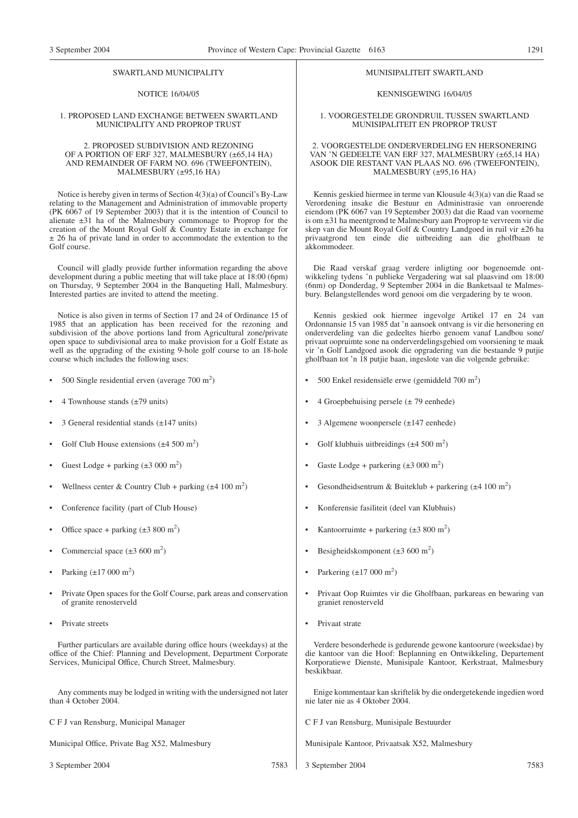#### SWARTLAND MUNICIPALITY

#### NOTICE 16/04/05

#### 1. PROPOSED LAND EXCHANGE BETWEEN SWARTLAND MUNICIPALITY AND PROPROP TRUST

#### 2. PROPOSED SUBDIVISION AND REZONING OF A PORTION OF ERF 327, MALMESBURY (±65,14 HA) AND REMAINDER OF FARM NO. 696 (TWEEFONTEIN), MALMESBURY (±95,16 HA)

Notice is hereby given in terms of Section 4(3)(a) of Council's By-Law relating to the Management and Administration of immovable property (PK 6067 of 19 September 2003) that it is the intention of Council to alienate ±31 ha of the Malmesbury commonage to Proprop for the creation of the Mount Royal Golf & Country Estate in exchange for  $± 26$  ha of private land in order to accommodate the extention to the Golf course.

Council will gladly provide further information regarding the above development during a public meeting that will take place at 18:00 (6pm) on Thursday, 9 September 2004 in the Banqueting Hall, Malmesbury. Interested parties are invited to attend the meeting.

Notice is also given in terms of Section 17 and 24 of Ordinance 15 of 1985 that an application has been received for the rezoning and subdivision of the above portions land from Agricultural zone/private open space to subdivisional area to make provision for a Golf Estate as well as the upgrading of the existing 9-hole golf course to an 18-hole course which includes the following uses:

- 500 Single residential erven (average  $700 \text{ m}^2$ )
- 4 Townhouse stands  $(\pm 79 \text{ units})$
- 3 General residential stands  $(\pm 147 \text{ units})$
- Golf Club House extensions  $(\pm 4.500 \text{ m}^2)$
- Guest Lodge + parking  $(\pm 3000 \text{ m}^2)$
- Wellness center & Country Club + parking  $(\pm 4 \ 100 \ m^2)$
- Conference facility (part of Club House)
- Office space + parking  $(\pm 3\,800\,\text{m}^2)$
- Commercial space  $(\pm 3\,600\,\mathrm{m}^2)$
- Parking  $(\pm 17000 \text{ m}^2)$
- Private Open spaces for the Golf Course, park areas and conservation of granite renosterveld
- Private streets

Further particulars are available during office hours (weekdays) at the office of the Chief: Planning and Development, Department Corporate Services, Municipal Office, Church Street, Malmesbury.

Any comments may be lodged in writing with the undersigned not later than 4 October 2004.

C F J van Rensburg, Municipal Manager

Municipal Office, Private Bag X52, Malmesbury

3 September 2004 7583

#### MUNISIPALITEIT SWARTLAND

#### KENNISGEWING 16/04/05

#### 1. VOORGESTELDE GRONDRUlL TUSSEN SWARTLAND MUNISIPALITEIT EN PROPROP TRUST

#### 2. VOORGESTELDE ONDERVERDELING EN HERSONERING VAN 'N GEDEELTE VAN ERF 327, MALMESBURY (±65,14 HA) ASOOK DIE RESTANT VAN PLAAS NO. 696 (TWEEFONTEIN), MALMESBURY (±95,16 HA)

Kennis geskied hiermee in terme van Klousule 4(3)(a) van die Raad se Verordening insake die Bestuur en Administrasie van onroerende eiendom (PK 6067 van 19 September 2003) dat die Raad van voorneme is om ±31 ha meentgrond te Malmesbury aan Proprop te vervreem vir die skep van die Mount Royal Golf & Country Landgoed in ruil vir ±26 ha privaatgrond ten einde die uitbreiding aan die gholfbaan te akkommodeer.

Die Raad verskaf graag verdere inligting oor bogenoemde ontwikkeling tydens 'n publieke Vergadering wat sal plaasvind om 18:00 (6nm) op Donderdag, 9 September 2004 in die Banketsaal te Malmesbury. Belangstellendes word genooi om die vergadering by te woon.

Kennis geskied ook hiermee ingevolge Artikel 17 en 24 van Ordonnansie 15 van 1985 dat 'n aansoek ontvang is vir die hersonering en onderverdeling van die gedeeltes hierbo genoem vanaf Landbou sone/ privaat oopruimte sone na onderverdelingsgebied om voorsiening te maak vir 'n Golf Landgoed asook die opgradering van die bestaande 9 putjie gholfbaan tot 'n 18 putjie baan, ingeslote van die volgende gebruike:

- 500 Enkel residensiële erwe (gemiddeld  $700 \text{ m}^2$ )
- 4 Groepbehuising persele  $(\pm 79$  eenhede)
- 3 Algemene woonpersele (±147 eenhede)
- Golf klubhuis uitbreidings  $(\pm 4.500 \text{ m}^2)$
- Gaste Lodge + parkering  $(\pm 3000 \text{ m}^2)$
- Gesondheidsentrum & Buiteklub + parkering  $(\pm 4 \ 100 \ m^2)$
- Konferensie fasiliteit (deel van Klubhuis)
- Kantoorruimte + parkering  $(\pm 3\,800\,\text{m}^2)$
- Besigheidskomponent  $(\pm 3\,600 \text{ m}^2)$
- Parkering  $(\pm 17000 \text{ m}^2)$
- Privaat Oop Ruimtes vir die Gholfbaan, parkareas en bewaring van graniet renosterveld
- Privaat strate

Verdere besonderhede is gedurende gewone kantoorure (weeksdae) by die kantoor van die Hoof: Beplanning en Ontwikkeling, Departement Korporatiewe Dienste, Munisipale Kantoor, Kerkstraat, Malmesbury beskikbaar.

Enige kommentaar kan skriftelik by die ondergetekende ingedien word nie later nie as 4 Oktober 2004.

C F J van Rensburg, Munisipale Bestuurder

Munisipale Kantoor, Privaatsak X52, Malmesbury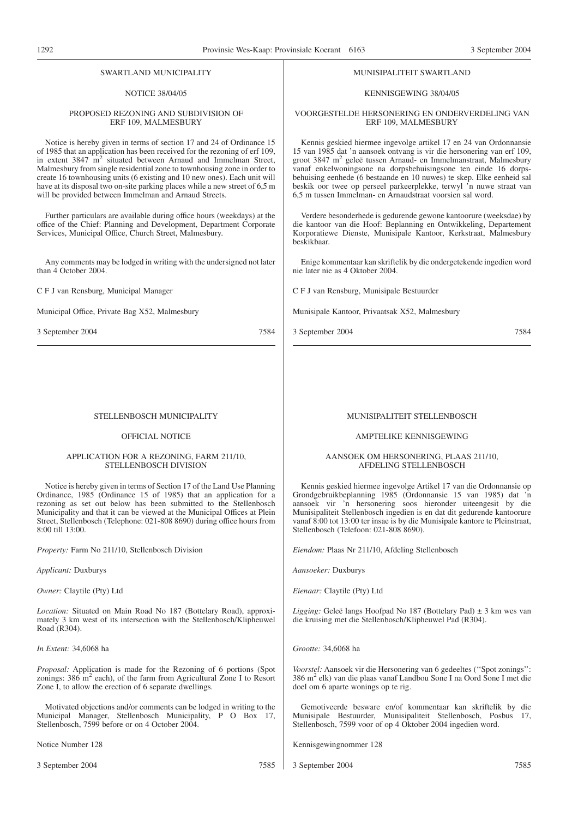#### SWARTLAND MUNICIPALITY NOTICE 38/04/05 PROPOSED REZONING AND SUBDIVISION OF ERF 109, MALMESBURY Notice is hereby given in terms of section 17 and 24 of Ordinance 15 of 1985 that an application has been received for the rezoning of erf 109, in extent 3847 m<sup>2</sup> situated between Arnaud and Immelman Street, Malmesbury from single residential zone to townhousing zone in order to create 16 townhousing units (6 existing and 10 new ones). Each unit will have at its disposal two on-site parking places while a new street of 6,5 m will be provided between Immelman and Arnaud Streets. Further particulars are available during office hours (weekdays) at the office of the Chief: Planning and Development, Department Corporate Services, Municipal Office, Church Street, Malmesbury. Any comments may be lodged in writing with the undersigned not later than 4 October 2004. C F J van Rensburg, Municipal Manager Municipal Office, Private Bag X52, Malmesbury 3 September 2004 7584 MUNISIPALITEIT SWARTLAND KENNISGEWING 38/04/05 VOORGESTELDE HERSONERING EN ONDERVERDELING VAN ERF 109, MALMESBURY Kennis geskied hiermee ingevolge artikel 17 en 24 van Ordonnansie 15 van 1985 dat 'n aansoek ontvang is vir die hersonering van erf 109, groot 3847 m2 geleë tussen Arnaud- en Immelmanstraat, Malmesbury vanaf enkelwoningsone na dorpsbehuisingsone ten einde 16 dorpsbehuising eenhede (6 bestaande en 10 nuwes) te skep. Elke eenheid sal beskik oor twee op perseel parkeerplekke, terwyl 'n nuwe straat van 6,5 m tussen Immelman- en Arnaudstraat voorsien sal word. Verdere besonderhede is gedurende gewone kantoorure (weeksdae) by die kantoor van die Hoof: Beplanning en Ontwikkeling, Departement Korporatiewe Dienste, Munisipale Kantoor, Kerkstraat, Malmesbury beskikbaar. Enige kommentaar kan skriftelik by die ondergetekende ingedien word nie later nie as 4 Oktober 2004. C F J van Rensburg, Munisipale Bestuurder Munisipale Kantoor, Privaatsak X52, Malmesbury 3 September 2004 7584 STELLENBOSCH MUNICIPALITY OFFICIAL NOTICE APPLICATION FOR A REZONING, FARM 211/10, STELLENBOSCH DIVISION Notice is hereby given in terms of Section 17 of the Land Use Planning Ordinance, 1985 (Ordinance 15 of 1985) that an application for a rezoning as set out below has been submitted to the Stellenbosch Municipality and that it can be viewed at the Municipal Offices at Plein Street, Stellenbosch (Telephone: 021-808 8690) during office hours from 8:00 till 13:00. *Property:* Farm No 211/10, Stellenbosch Division *Applicant:* Duxburys *Owner:* Claytile (Pty) Ltd *Location:* Situated on Main Road No 187 (Bottelary Road), approximately 3 km west of its intersection with the Stellenbosch/Klipheuwel Road (R304). *In Extent:* 34,6068 ha *Proposal:* Application is made for the Rezoning of 6 portions (Spot zonings:  $386 \text{ m}^2$  each), of the farm from Agricultural Zone I to Resort Zone I, to allow the erection of 6 separate dwellings. Motivated objections and/or comments can be lodged in writing to the MUNISIPALITEIT STELLENBOSCH AMPTELIKE KENNISGEWING AANSOEK OM HERSONERING, PLAAS 211/10, AFDELING STELLENBOSCH Kennis geskied hiermee ingevolge Artikel 17 van die Ordonnansie op Grondgebruikbeplanning 1985 (Ordonnansie 15 van 1985) dat 'n aansoek vir 'n hersonering soos hieronder uiteengesit by die Munisipaliteit Stellenbosch ingedien is en dat dit gedurende kantoorure vanaf 8:00 tot 13:00 ter insae is by die Munisipale kantore te Pleinstraat, Stellenbosch (Telefoon: 021-808 8690). *Eiendom:* Plaas Nr 211/10, Afdeling Stellenbosch *Aansoeker:* Duxburys *Eienaar:* Claytile (Pty) Ltd *Ligging:* Geleë langs Hoofpad No 187 (Bottelary Pad) ± 3 km wes van die kruising met die Stellenbosch/Klipheuwel Pad (R304). *Grootte:* 34,6068 ha *Voorstel:* Aansoek vir die Hersonering van 6 gedeeltes (''Spot zonings'': 386 m2 elk) van die plaas vanaf Landbou Sone I na Oord Sone I met die doel om 6 aparte wonings op te rig. Gemotiveerde besware en/of kommentaar kan skriftelik by die Munisipale Bestuurder, Munisipaliteit Stellenbosch, Posbus 17,

Municipal Manager, Stellenbosch Municipality, P O Box 17, Stellenbosch, 7599 before or on 4 October 2004.

Notice Number 128

Kennisgewingnommer 128

Stellenbosch, 7599 voor of op 4 Oktober 2004 ingedien word.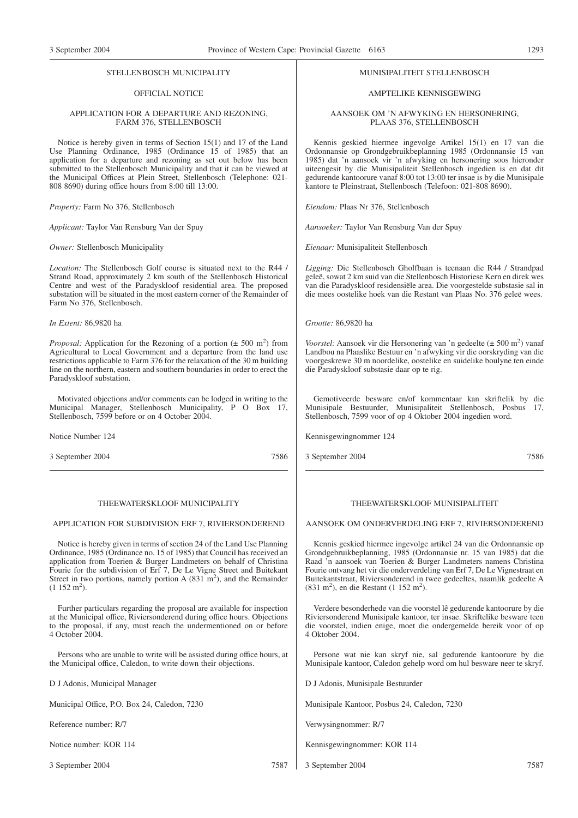#### STELLENBOSCH MUNICIPALITY

#### OFFICIAL NOTICE

#### APPLICATION FOR A DEPARTURE AND REZONING, FARM 376, STELLENBOSCH

Notice is hereby given in terms of Section 15(1) and 17 of the Land Use Planning Ordinance, 1985 (Ordinance 15 of 1985) that an application for a departure and rezoning as set out below has been submitted to the Stellenbosch Municipality and that it can be viewed at the Municipal Offices at Plein Street, Stellenbosch (Telephone: 021- 808 8690) during office hours from 8:00 till 13:00.

*Property:* Farm No 376, Stellenbosch

*Applicant:* Taylor Van Rensburg Van der Spuy

*Owner:* Stellenbosch Municipality

*Location:* The Stellenbosch Golf course is situated next to the R44 / Strand Road, approximately 2 km south of the Stellenbosch Historical Centre and west of the Paradyskloof residential area. The proposed substation will be situated in the most eastern corner of the Remainder of Farm No 376, Stellenbosch.

*In Extent:* 86,9820 ha

*Proposal:* Application for the Rezoning of a portion  $(\pm 500 \text{ m}^2)$  from Agricultural to Local Government and a departure from the land use restrictions applicable to Farm 376 for the relaxation of the 30 m building line on the northern, eastern and southern boundaries in order to erect the Paradyskloof substation.

Motivated objections and/or comments can be lodged in writing to the Municipal Manager, Stellenbosch Municipality, P O Box 17, Stellenbosch, 7599 before or on 4 October 2004.

Notice Number 124

3 September 2004 7586

#### THEEWATERSKLOOF MUNICIPALITY

#### APPLICATION FOR SUBDIVISION ERF 7, RIVIERSONDEREND

Notice is hereby given in terms of section 24 of the Land Use Planning Ordinance, 1985 (Ordinance no. 15 of 1985) that Council has received an application from Toerien & Burger Landmeters on behalf of Christina Fourie for the subdivision of Erf 7, De Le Vigne Street and Buitekant Street in two portions, namely portion A  $(831 \text{ m}^2)$ , and the Remainder  $(1\ 152\ m^2).$ 

Further particulars regarding the proposal are available for inspection at the Municipal office, Riviersonderend during office hours. Objections to the proposal, if any, must reach the undermentioned on or before 4 October 2004.

Persons who are unable to write will be assisted during office hours, at the Municipal office, Caledon, to write down their objections.

D J Adonis, Municipal Manager

Municipal Office, P.O. Box 24, Caledon, 7230

Reference number: R/7

Notice number: KOR 114

3 September 2004 7587

#### MUNISIPALITEIT STELLENBOSCH

#### AMPTELIKE KENNISGEWING

#### AANSOEK OM 'N AFWYKING EN HERSONERING, PLAAS 376, STELLENBOSCH

Kennis geskied hiermee ingevolge Artikel 15(1) en 17 van die Ordonnansie op Grondgebruikbeplanning 1985 (Ordonnansie 15 van 1985) dat 'n aansoek vir 'n afwyking en hersonering soos hieronder uiteengesit by die Munisipaliteit Stellenbosch ingedien is en dat dit gedurende kantoorure vanaf 8:00 tot 13:00 ter insae is by die Munisipale kantore te Pleinstraat, Stellenbosch (Telefoon: 021-808 8690).

*Eiendom:* Plaas Nr 376, Stellenbosch

*Aansoeker:* Taylor Van Rensburg Van der Spuy

*Eienaar:* Munisipaliteit Stellenbosch

*Ligging:* Die Stellenbosch Gholfbaan is teenaan die R44 / Strandpad geleë, sowat 2 km suid van die Stellenbosch Historiese Kern en direk wes van die Paradyskloof residensiële area. Die voorgestelde substasie sal in die mees oostelike hoek van die Restant van Plaas No. 376 geleë wees.

*Grootte:* 86,9820 ha

*Voorstel:* Aansoek vir die Hersonering van 'n gedeelte (± 500 m<sup>2</sup>) vanaf Landbou na Plaaslike Bestuur en 'n afwyking vir die oorskryding van die voorgeskrewe 30 m noordelike, oostelike en suidelike boulyne ten einde die Paradyskloof substasie daar op te rig.

Gemotiveerde besware en/of kommentaar kan skriftelik by die Munisipale Bestuurder, Munisipaliteit Stellenbosch, Posbus 17, Stellenbosch, 7599 voor of op 4 Oktober 2004 ingedien word.

Kennisgewingnommer 124

3 September 2004 7586

#### THEEWATERSKLOOF MUNISIPALITEIT

#### AANSOEK OM ONDERVERDELING ERF 7, RIVIERSONDEREND

Kennis geskied hiermee ingevolge artikel 24 van die Ordonnansie op Grondgebruikbeplanning, 1985 (Ordonnansie nr. 15 van 1985) dat die Raad 'n aansoek van Toerien & Burger Landmeters namens Christina Fourie ontvang het vir die onderverdeling van Erf 7, De Le Vignestraat en Buitekantstraat, Riviersonderend in twee gedeeltes, naamlik gedeelte A (831 m<sup>2</sup>), en die Restant (1 152 m<sup>2</sup>).

Verdere besonderhede van die voorstel lê gedurende kantoorure by die Riviersonderend Munisipale kantoor, ter insae. Skriftelike besware teen die voorstel, indien enige, moet die ondergemelde bereik voor of op 4 Oktober 2004.

Persone wat nie kan skryf nie, sal gedurende kantoorure by die Munisipale kantoor, Caledon gehelp word om hul besware neer te skryf.

D J Adonis, Munisipale Bestuurder

Munisipale Kantoor, Posbus 24, Caledon, 7230

Verwysingnommer: R/7

Kennisgewingnommer: KOR 114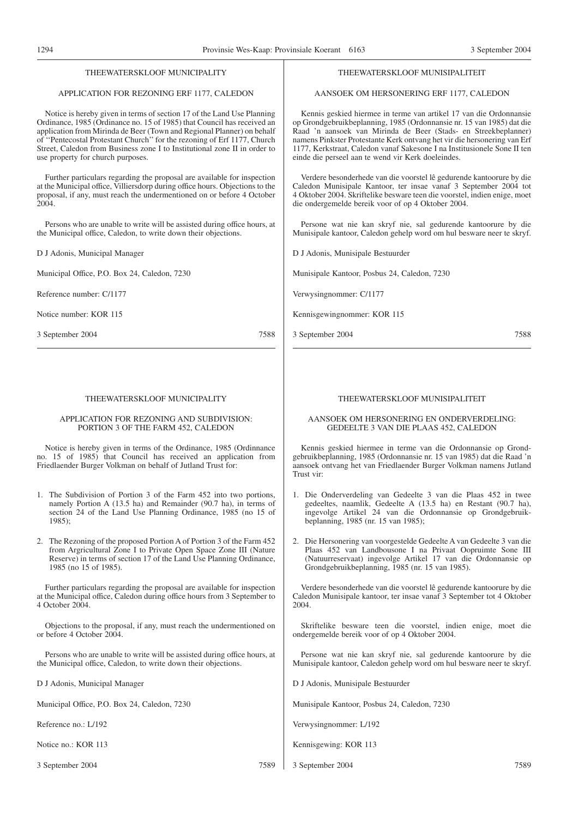#### THEEWATERSKLOOF MUNICIPALITY

#### APPLICATION FOR REZONING ERF 1177, CALEDON

Notice is hereby given in terms of section 17 of the Land Use Planning Ordinance, 1985 (Ordinance no. 15 of 1985) that Council has received an application from Mirinda de Beer (Town and Regional Planner) on behalf of ''Pentecostal Protestant Church'' for the rezoning of Erf 1177, Church Street, Caledon from Business zone I to Institutional zone II in order to use property for church purposes.

Further particulars regarding the proposal are available for inspection at the Municipal office, Villiersdorp during office hours. Objections to the proposal, if any, must reach the undermentioned on or before 4 October 2004.

Persons who are unable to write will be assisted during office hours, at the Municipal office, Caledon, to write down their objections.

D J Adonis, Municipal Manager

Municipal Office, P.O. Box 24, Caledon, 7230

Reference number: C/1177

Notice number: KOR 115

3 September 2004 7588

#### THEEWATERSKLOOF MUNICIPALITY

#### APPLICATION FOR REZONING AND SUBDIVISION: PORTION 3 OF THE FARM 452, CALEDON

Notice is hereby given in terms of the Ordinance, 1985 (Ordinnance no. 15 of 1985) that Council has received an application from Friedlaender Burger Volkman on behalf of Jutland Trust for:

- 1. The Subdivision of Portion 3 of the Farm 452 into two portions, namely Portion A (13.5 ha) and Remainder (90.7 ha), in terms of section 24 of the Land Use Planning Ordinance, 1985 (no 15 of 1985);
- 2. The Rezoning of the proposed Portion A of Portion 3 of the Farm 452 from Argricultural Zone I to Private Open Space Zone III (Nature Reserve) in terms of section 17 of the Land Use Planning Ordinance, 1985 (no 15 of 1985).

Further particulars regarding the proposal are available for inspection at the Municipal office, Caledon during office hours from 3 September to 4 October 2004.

Objections to the proposal, if any, must reach the undermentioned on or before 4 October 2004.

Persons who are unable to write will be assisted during office hours, at the Municipal office, Caledon, to write down their objections.

D J Adonis, Municipal Manager

Municipal Office, P.O. Box 24, Caledon, 7230

Reference no.: L/192

Notice no.: KOR 113

3 September 2004 7589

#### THEEWATERSKLOOF MUNISIPALITEIT

### AANSOEK OM HERSONERING ERF 1177, CALEDON

Kennis geskied hiermee in terme van artikel 17 van die Ordonnansie op Grondgebruikbeplanning, 1985 (Ordonnansie nr. 15 van 1985) dat die Raad 'n aansoek van Mirinda de Beer (Stads- en Streekbeplanner) namens Pinkster Protestante Kerk ontvang het vir die hersonering van Erf 1177, Kerkstraat, Caledon vanaf Sakesone I na Institusionele Sone II ten einde die perseel aan te wend vir Kerk doeleindes.

Verdere besonderhede van die voorstel lê gedurende kantoorure by die Caledon Munisipale Kantoor, ter insae vanaf 3 September 2004 tot 4 Oktober 2004. Skriftelike besware teen die voorstel, indien enige, moet die ondergemelde bereik voor of op 4 Oktober 2004.

Persone wat nie kan skryf nie, sal gedurende kantoorure by die Munisipale kantoor, Caledon gehelp word om hul besware neer te skryf.

D J Adonis, Munisipale Bestuurder

Munisipale Kantoor, Posbus 24, Caledon, 7230

Verwysingnommer: C/1177

Kennisgewingnommer: KOR 115

3 September 2004 7588

#### THEEWATERSKLOOF MUNISIPALITEIT

#### AANSOEK OM HERSONERING EN ONDERVERDELING: GEDEELTE 3 VAN DIE PLAAS 452, CALEDON

Kennis geskied hiermee in terme van die Ordonnansie op Grondgebruikbeplanning, 1985 (Ordonnansie nr. 15 van 1985) dat die Raad 'n aansoek ontvang het van Friedlaender Burger Volkman namens Jutland Trust vir:

- 1. Die Onderverdeling van Gedeelte 3 van die Plaas 452 in twee gedeeltes, naamlik, Gedeelte A (13.5 ha) en Restant (90.7 ha), ingevolge Artikel 24 van die Ordonnansie op Grondgebruikbeplanning, 1985 (nr. 15 van 1985);
- 2. Die Hersonering van voorgestelde Gedeelte A van Gedeelte 3 van die Plaas 452 van Landbousone I na Privaat Oopruimte Sone III (Natuurreservaat) ingevolge Artikel 17 van die Ordonnansie op Grondgebruikbeplanning, 1985 (nr. 15 van 1985).

Verdere besonderhede van die voorstel lê gedurende kantoorure by die Caledon Munisipale kantoor, ter insae vanaf 3 September tot 4 Oktober 2004.

Skriftelike besware teen die voorstel, indien enige, moet die ondergemelde bereik voor of op 4 Oktober 2004.

Persone wat nie kan skryf nie, sal gedurende kantoorure by die Munisipale kantoor, Caledon gehelp word om hul besware neer te skryf.

D J Adonis, Munisipale Bestuurder

Munisipale Kantoor, Posbus 24, Caledon, 7230

Verwysingnommer: L/192

- Kennisgewing: KOR 113
- 3 September 2004 7589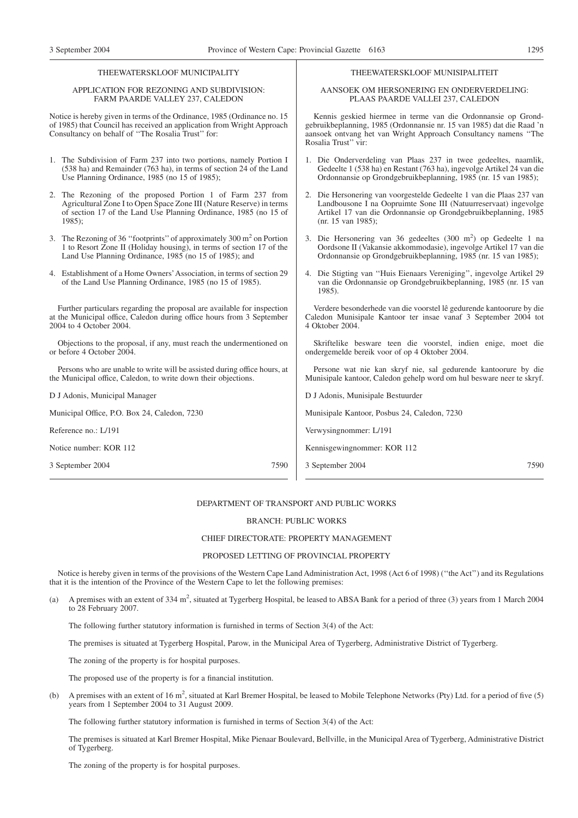#### THEEWATERSKLOOF MUNICIPALITY

#### APPLICATION FOR REZONING AND SUBDIVISION: FARM PAARDE VALLEY 237, CALEDON

Notice is hereby given in terms of the Ordinance, 1985 (Ordinance no. 15 of 1985) that Council has received an application from Wright Approach Consultancy on behalf of ''The Rosalia Trust'' for:

- 1. The Subdivision of Farm 237 into two portions, namely Portion I (538 ha) and Remainder (763 ha), in terms of section 24 of the Land Use Planning Ordinance, 1985 (no 15 of 1985);
- 2. The Rezoning of the proposed Portion 1 of Farm 237 from Agricultural Zone I to Open Space Zone III (Nature Reserve) in terms of section 17 of the Land Use Planning Ordinance, 1985 (no 15 of 1985);
- 3. The Rezoning of 36 "footprints" of approximately 300 m<sup>2</sup> on Portion 1 to Resort Zone II (Holiday housing), in terms of section 17 of the Land Use Planning Ordinance, 1985 (no 15 of 1985); and
- 4. Establishment of a Home Owners'Association, in terms of section 29 of the Land Use Planning Ordinance, 1985 (no 15 of 1985).

Further particulars regarding the proposal are available for inspection at the Municipal office, Caledon during office hours from 3 September 2004 to 4 October 2004.

Objections to the proposal, if any, must reach the undermentioned on or before 4 October 2004.

Persons who are unable to write will be assisted during office hours, at the Municipal office, Caledon, to write down their objections.

D J Adonis, Municipal Manager

Municipal Office, P.O. Box 24, Caledon, 7230

Reference no.: L/191

Notice number: KOR 112

3 September 2004 7590

#### THEEWATERSKLOOF MUNISIPALITEIT

AANSOEK OM HERSONERING EN ONDERVERDELING: PLAAS PAARDE VALLEI 237, CALEDON

Kennis geskied hiermee in terme van die Ordonnansie op Grondgebruikbeplanning, 1985 (Ordonnansie nr. 15 van 1985) dat die Raad 'n aansoek ontvang het van Wright Approach Consultancy namens ''The Rosalia Trust'' vir:

- 1. Die Onderverdeling van Plaas 237 in twee gedeeltes, naamlik, Gedeelte 1 (538 ha) en Restant (763 ha), ingevolge Artikel 24 van die Ordonnansie op Grondgebruikbeplanning, 1985 (nr. 15 van 1985);
- 2. Die Hersonering van voorgestelde Gedeelte 1 van die Plaas 237 van Landbousone I na Oopruimte Sone III (Natuurreservaat) ingevolge Artikel 17 van die Ordonnansie op Grondgebruikbeplanning, 1985 (nr. 15 van 1985);
- 3. Die Hersonering van 36 gedeeltes (300 m<sup>2</sup>) op Gedeelte 1 na Oordsone II (Vakansie akkommodasie), ingevolge Artikel 17 van die Ordonnansie op Grondgebruikbeplanning, 1985 (nr. 15 van 1985);
- 4. Die Stigting van ''Huis Eienaars Vereniging'', ingevolge Artikel 29 van die Ordonnansie op Grondgebruikbeplanning, 1985 (nr. 15 van 1985).

Verdere besonderhede van die voorstel lê gedurende kantoorure by die Caledon Munisipale Kantoor ter insae vanaf 3 September 2004 tot 4 Oktober 2004.

Skriftelike besware teen die voorstel, indien enige, moet die

Persone wat nie kan skryf nie, sal gedurende kantoorure by die Munisipale kantoor, Caledon gehelp word om hul besware neer te skryf.

Verwysingnommer: L/191

Kennisgewingnommer: KOR 112

3 September 2004 7590

#### DEPARTMENT OF TRANSPORT AND PUBLIC WORKS

#### BRANCH: PUBLIC WORKS

#### CHIEF DIRECTORATE: PROPERTY MANAGEMENT

#### PROPOSED LETTING OF PROVINCIAL PROPERTY

Notice is hereby given in terms of the provisions of the Western Cape Land Administration Act, 1998 (Act 6 of 1998) ("the Act") and its Regulations that it is the intention of the Province of the Western Cape to let the following premises:

(a) A premises with an extent of 334  $m^2$ , situated at Tygerberg Hospital, be leased to ABSA Bank for a period of three (3) years from 1 March 2004 to 28 February 2007.

The following further statutory information is furnished in terms of Section 3(4) of the Act:

The premises is situated at Tygerberg Hospital, Parow, in the Municipal Area of Tygerberg, Administrative District of Tygerberg.

The zoning of the property is for hospital purposes.

The proposed use of the property is for a financial institution.

(b) A premises with an extent of 16 m<sup>2</sup>, situated at Karl Bremer Hospital, be leased to Mobile Telephone Networks (Pty) Ltd. for a period of five (5) years from 1 September 2004 to 31 August 2009.

The following further statutory information is furnished in terms of Section 3(4) of the Act:

The premises is situated at Karl Bremer Hospital, Mike Pienaar Boulevard, Bellville, in the Municipal Area of Tygerberg, Administrative District of Tygerberg.

The zoning of the property is for hospital purposes.

# ondergemelde bereik voor of op 4 Oktober 2004. D J Adonis, Munisipale Bestuurder Munisipale Kantoor, Posbus 24, Caledon, 7230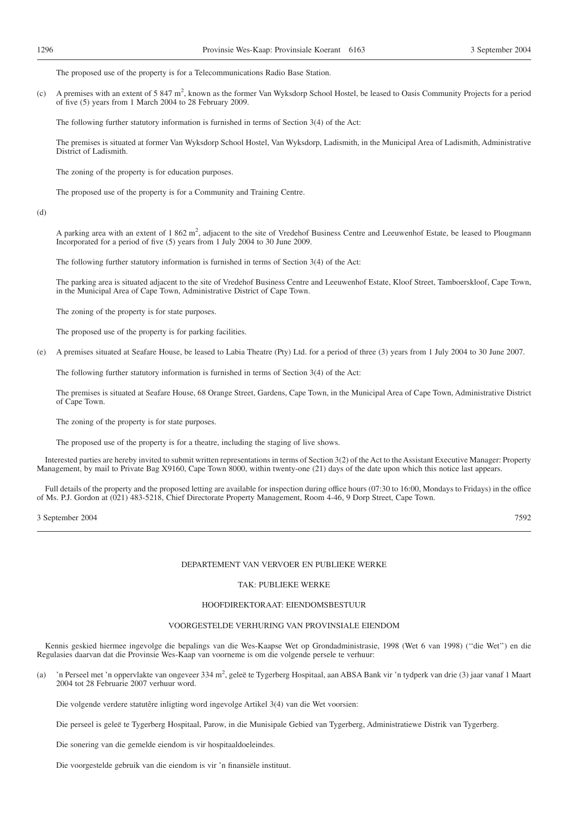The proposed use of the property is for a Telecommunications Radio Base Station.

(c) A premises with an extent of 5 847 m<sup>2</sup>, known as the former Van Wyksdorp School Hostel, be leased to Oasis Community Projects for a period of five (5) years from 1 March 2004 to 28 February 2009.

The following further statutory information is furnished in terms of Section 3(4) of the Act:

The premises is situated at former Van Wyksdorp School Hostel, Van Wyksdorp, Ladismith, in the Municipal Area of Ladismith, Administrative District of Ladismith.

The zoning of the property is for education purposes.

The proposed use of the property is for a Community and Training Centre.

(d)

A parking area with an extent of 1 862 m<sup>2</sup>, adjacent to the site of Vredehof Business Centre and Leeuwenhof Estate, be leased to Plougmann Incorporated for a period of five (5) years from 1 July 2004 to 30 June 2009.

The following further statutory information is furnished in terms of Section 3(4) of the Act:

The parking area is situated adjacent to the site of Vredehof Business Centre and Leeuwenhof Estate, Kloof Street, Tamboerskloof, Cape Town, in the Municipal Area of Cape Town, Administrative District of Cape Town.

The zoning of the property is for state purposes.

The proposed use of the property is for parking facilities.

(e) A premises situated at Seafare House, be leased to Labia Theatre (Pty) Ltd. for a period of three (3) years from 1 July 2004 to 30 June 2007.

The following further statutory information is furnished in terms of Section 3(4) of the Act:

The premises is situated at Seafare House, 68 Orange Street, Gardens, Cape Town, in the Municipal Area of Cape Town, Administrative District of Cape Town.

The zoning of the property is for state purposes.

The proposed use of the property is for a theatre, including the staging of live shows.

Interested parties are hereby invited to submit written representations in terms of Section 3(2) of the Act to the Assistant Executive Manager: Property Management, by mail to Private Bag X9160, Cape Town 8000, within twenty-one (21) days of the date upon which this notice last appears.

Full details of the property and the proposed letting are available for inspection during office hours (07:30 to 16:00, Mondays to Fridays) in the office of Ms. P.J. Gordon at (021) 483-5218, Chief Directorate Property Management, Room 4-46, 9 Dorp Street, Cape Town.

3 September 2004 7592

#### DEPARTEMENT VAN VERVOER EN PUBLIEKE WERKE

#### TAK: PUBLIEKE WERKE

#### HOOFDIREKTORAAT: EIENDOMSBESTUUR

#### VOORGESTELDE VERHURING VAN PROVINSIALE EIENDOM

Kennis geskied hiermee ingevolge die bepalings van die Wes-Kaapse Wet op Grondadministrasie, 1998 (Wet 6 van 1998) (''die Wet'') en die Regulasies daarvan dat die Provinsie Wes-Kaap van voorneme is om die volgende persele te verhuur:

(a) 'n Perseel met 'n oppervlakte van ongeveer 334 m<sup>2</sup>, geleë te Tygerberg Hospitaal, aan ABSA Bank vir 'n tydperk van drie (3) jaar vanaf 1 Maart 2004 tot 28 Februarie 2007 verhuur word.

Die volgende verdere statutêre inligting word ingevolge Artikel 3(4) van die Wet voorsien:

Die perseel is geleë te Tygerberg Hospitaal, Parow, in die Munisipale Gebied van Tygerberg, Administratiewe Distrik van Tygerberg.

Die sonering van die gemelde eiendom is vir hospitaaldoeleindes.

Die voorgestelde gebruik van die eiendom is vir 'n finansiële instituut.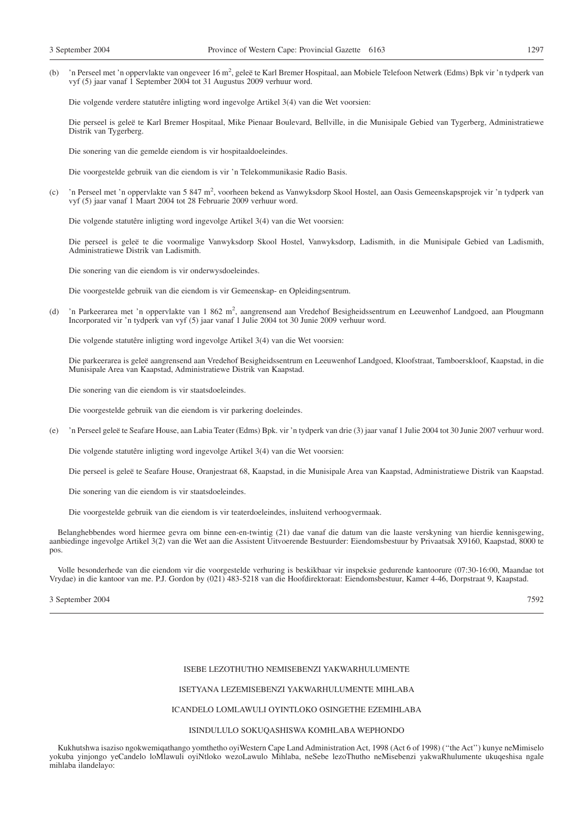(b) 'n Perseel met 'n oppervlakte van ongeveer 16 m<sup>2</sup>, geleë te Karl Bremer Hospitaal, aan Mobiele Telefoon Netwerk (Edms) Bpk vir 'n tydperk van vyf (5) jaar vanaf 1 September 2004 tot 31 Augustus 2009 verhuur word.

Die volgende verdere statutêre inligting word ingevolge Artikel 3(4) van die Wet voorsien:

Die perseel is geleë te Karl Bremer Hospitaal, Mike Pienaar Boulevard, Bellville, in die Munisipale Gebied van Tygerberg, Administratiewe Distrik van Tygerberg.

Die sonering van die gemelde eiendom is vir hospitaaldoeleindes.

Die voorgestelde gebruik van die eiendom is vir 'n Telekommunikasie Radio Basis.

(c) 'n Perseel met 'n oppervlakte van 5 847 m2 , voorheen bekend as Vanwyksdorp Skool Hostel, aan Oasis Gemeenskapsprojek vir 'n tydperk van vyf (5) jaar vanaf 1 Maart 2004 tot 28 Februarie 2009 verhuur word.

Die volgende statutêre inligting word ingevolge Artikel 3(4) van die Wet voorsien:

Die perseel is geleë te die voormalige Vanwyksdorp Skool Hostel, Vanwyksdorp, Ladismith, in die Munisipale Gebied van Ladismith, Administratiewe Distrik van Ladismith.

Die sonering van die eiendom is vir onderwysdoeleindes.

Die voorgestelde gebruik van die eiendom is vir Gemeenskap- en Opleidingsentrum.

(d) 'n Parkeerarea met 'n oppervlakte van 1 862 m<sup>2</sup>, aangrensend aan Vredehof Besigheidssentrum en Leeuwenhof Landgoed, aan Plougmann Incorporated vir 'n tydperk van vyf (5) jaar vanaf 1 Julie 2004 tot 30 Junie 2009 verhuur word.

Die volgende statutêre inligting word ingevolge Artikel 3(4) van die Wet voorsien:

Die parkeerarea is geleë aangrensend aan Vredehof Besigheidssentrum en Leeuwenhof Landgoed, Kloofstraat, Tamboerskloof, Kaapstad, in die Munisipale Area van Kaapstad, Administratiewe Distrik van Kaapstad.

Die sonering van die eiendom is vir staatsdoeleindes.

Die voorgestelde gebruik van die eiendom is vir parkering doeleindes.

(e) 'n Perseel geleë te Seafare House, aan Labia Teater (Edms) Bpk. vir 'n tydperk van drie (3) jaar vanaf 1 Julie 2004 tot 30 Junie 2007 verhuur word.

Die volgende statutêre inligting word ingevolge Artikel 3(4) van die Wet voorsien:

Die perseel is geleë te Seafare House, Oranjestraat 68, Kaapstad, in die Munisipale Area van Kaapstad, Administratiewe Distrik van Kaapstad.

Die sonering van die eiendom is vir staatsdoeleindes.

Die voorgestelde gebruik van die eiendom is vir teaterdoeleindes, insluitend verhoogvermaak.

Belanghebbendes word hiermee gevra om binne een-en-twintig (21) dae vanaf die datum van die laaste verskyning van hierdie kennisgewing, aanbiedinge ingevolge Artikel 3(2) van die Wet aan die Assistent Uitvoerende Bestuurder: Eiendomsbestuur by Privaatsak X9160, Kaapstad, 8000 te pos.

Volle besonderhede van die eiendom vir die voorgestelde verhuring is beskikbaar vir inspeksie gedurende kantoorure (07:30-16:00, Maandae tot Vrydae) in die kantoor van me. P.J. Gordon by (021) 483-5218 van die Hoofdirektoraat: Eiendomsbestuur, Kamer 4-46, Dorpstraat 9, Kaapstad.

3 September 2004 7592

#### ISEBE LEZOTHUTHO NEMISEBENZI YAKWARHULUMENTE

#### ISETYANA LEZEMISEBENZI YAKWARHULUMENTE MIHLABA

#### ICANDELO LOMLAWULI OYINTLOKO OSINGETHE EZEMIHLABA

#### ISINDULULO SOKUQASHISWA KOMHLABA WEPHONDO

Kukhutshwa isaziso ngokwemiqathango yomthetho oyiWestern Cape Land Administration Act, 1998 (Act 6 of 1998) (''the Act'') kunye neMimiselo yokuba yinjongo yeCandelo loMlawuli oyiNtloko wezoLawulo Mihlaba, neSebe lezoThutho neMisebenzi yakwaRhulumente ukuqeshisa ngale mihlaba ilandelayo: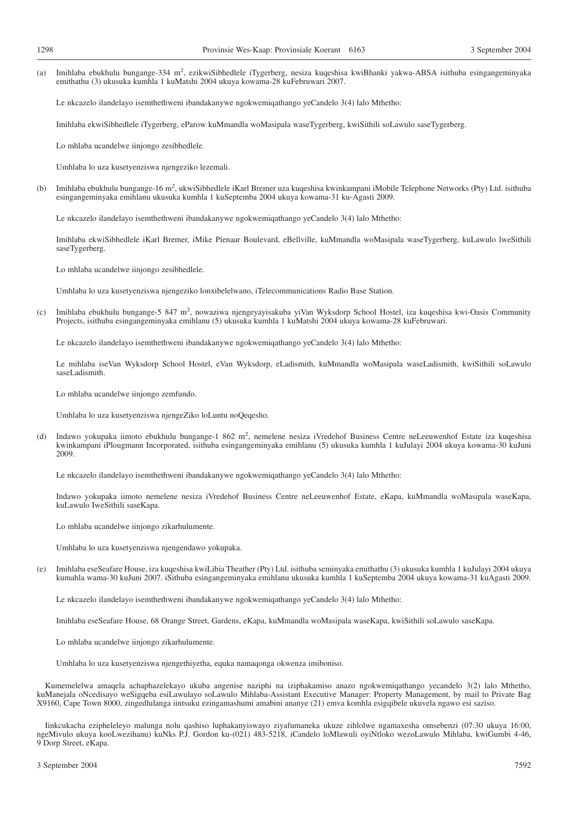(a) Imihlaba ebukhulu bungange-334 m<sup>2</sup>, ezikwiSibhedlele iTygerberg, nesiza kuqeshisa kwiBhanki yakwa-ABSA isithuba esingangeminyaka emithathu (3) ukusuka kumhla 1 kuMatshi 2004 ukuya kowama-28 kuFebruwari 2007.

Le nkcazelo ilandelayo isemthethweni ibandakanywe ngokwemiqathango yeCandelo 3(4) lalo Mthetho:

Imihlaba ekwiSibhedlele iTygerberg, eParow kuMmandla woMasipala waseTygerberg, kwiSithili soLawulo saseTygerberg.

Lo mhlaba ucandelwe iinjongo zesibhedlele.

Umhlaba lo uza kusetyenziswa njengeziko lezemali.

(b) Imihlaba ebukhulu bungange-16 m<sup>2</sup>, ukwiSibhedlele iKarl Bremer uza kuqeshisa kwinkampani iMobile Telephone Networks (Pty) Ltd. isithuba esingangeminyaka emihlanu ukusuka kumhla 1 kuSeptemba 2004 ukuya kowama-31 ku-Agasti 2009.

Le nkcazelo ilandelayo isemthethweni ibandakanywe ngokwemiqathango yeCandelo 3(4) lalo Mthetho:

Imihlaba ekwiSibhedlele iKarl Bremer, iMike Pienaar Boulevard, eBellville, kuMmandla woMasipala waseTygerberg, kuLawulo lweSithili saseTygerberg.

Lo mhlaba ucandelwe iinjongo zesibhedlele.

Umhlaba lo uza kusetyenziswa njengeziko lonxibelelwano, iTelecommunications Radio Base Station.

(c) Imihlaba ebukhulu bungange-5 847 m<sup>2</sup>, nowaziwa njengeyayisakuba yiVan Wyksdorp School Hostel, iza kuqeshisa kwi-Oasis Community Projects, isithuba esingangeminyaka emihlanu (5) ukusuka kumhla 1 kuMatshi 2004 ukuya kowama-28 kuFebruwari.

Le nkcazelo ilandelayo isemthethweni ibandakanywe ngokwemiqathango yeCandelo 3(4) lalo Mthetho:

Le mihlaba iseVan Wyksdorp School Hostel, eVan Wyksdorp, eLadismith, kuMmandla woMasipala waseLadismith, kwiSithili soLawulo saseLadismith.

Lo mhlaba ucandelwe iinjongo zemfundo.

Umhlaba lo uza kusetyenziswa njengeZiko loLuntu noQeqesho.

(d) Indawo yokupaka iimoto ebukhulu bungange-1 862 m<sup>2</sup>, nemelene nesiza iVredehof Business Centre neLeeuwenhof Estate iza kuqeshisa kwinkampani iPlougmann Incorporated, isithuba esingangeminyaka emihlanu (5) ukusuka kumhla 1 kuJulayi 2004 ukuya kowama-30 kuJuni 2009.

Le nkcazelo ilandelayo isemthethweni ibandakanywe ngokwemiqathango yeCandelo 3(4) lalo Mthetho:

Indawo yokupaka iimoto nemelene nesiza iVredehof Business Centre neLeeuwenhof Estate, eKapa, kuMmandla woMasipala waseKapa, kuLawulo IweSithili saseKapa.

Lo mhlaba ucandelwe iinjongo zikarhulumente.

Umhlaba lo uza kusetyenziswa njengendawo yokupaka.

(e) Imihlaba eseSeafare House, iza kuqeshisa kwiLibia Theather (Pty) Ltd. isithuba seminyaka emithathu (3) ukusuka kumhla 1 kuJulayi 2004 ukuya kumahla wama-30 kuJuni 2007. iSithuba esingangeminyaka emihlanu ukusuka kumhla 1 kuSeptemba 2004 ukuya kowama-31 kuAgasti 2009.

Le nkcazelo ilandelayo isemthethweni ibandakanywe ngokwemiqathango yeCandelo 3(4) lalo Mthetho:

Imihlaba eseSeafare House, 68 Orange Street, Gardens, eKapa, kuMmandla woMasipala waseKapa, kwiSithili soLawulo saseKapa.

Lo mhlaba ucandelwe iinjongo zikarhulumente.

Umhlaba lo uza kusetyenziswa njengethiyetha, equka namaqonga okwenza imiboniso.

Kumemelelwa amaqela achaphazelekayo ukuba angenise naziphi na iziphakamiso anazo ngokwemiqathango yecandelo 3(2) lalo Mthetho, kuManejala oNcedisayo weSigqeba esiLawulayo soLawulo Mihlaba-Assistant Executive Manager: Property Management, by mail to Private Bag X9160, Cape Town 8000, zingedlulanga iintsuku ezingamashumi amabini ananye (21) emva komhla esigqibele ukuvela ngawo esi saziso.

Iinkcukacha ezipheleleyo malunga nolu qashiso luphakanyiswayo ziyafumaneka ukuze zihlolwe ngamaxesha omsebenzi (07:30 ukuya 16:00, ngeMivulo ukuya kooLwezihanu) kuNks P.J. Gordon ku-(021) 483-5218, iCandelo loMlawuli oyiNtloko wezoLawulo Mihlaba, kwiGumbi 4-46, 9 Dorp Street, eKapa.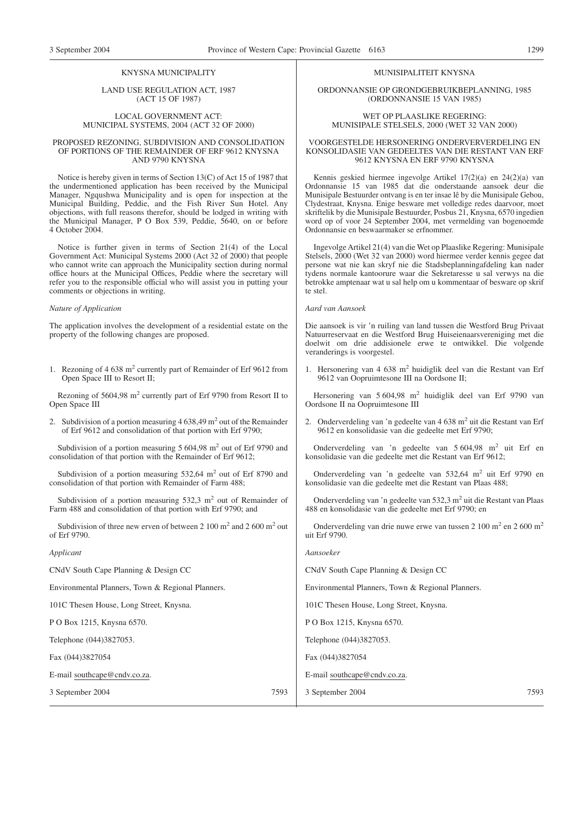#### KNYSNA MUNICIPALITY

LAND USE REGULATION ACT, 1987 (ACT 15 OF 1987)

#### LOCAL GOVERNMENT ACT: MUNICIPAL SYSTEMS, 2004 (ACT 32 OF 2000)

#### PROPOSED REZONING, SUBDIVISION AND CONSOLIDATION OF PORTIONS OF THE REMAINDER OF ERF 9612 KNYSNA AND 9790 KNYSNA

Notice is hereby given in terms of Section 13(C) of Act 15 of 1987 that the undermentioned application has been received by the Municipal Manager, Ngqushwa Municipality and is open for inspection at the Municipal Building, Peddie, and the Fish River Sun Hotel. Any objections, with full reasons therefor, should be lodged in writing with the Municipal Manager, P O Box 539, Peddie, 5640, on or before 4 October 2004.

Notice is further given in terms of Section 21(4) of the Local Government Act: Municipal Systems 2000 (Act 32 of 2000) that people who cannot write can approach the Municipality section during normal office hours at the Municipal Offices, Peddie where the secretary will refer you to the responsible official who will assist you in putting your comments or objections in writing.

#### *Nature of Application*

| The application involves the development of a residential estate on the<br>property of the following changes are proposed.                       | Die aansoek is vir 'n ruiling van land tussen die Westford Brug Privaat<br>Natuurreservaat en die Westford Brug Huiseienaarsvereniging met die<br>doelwit om drie addisionele erwe te ontwikkel. Die volgende<br>veranderings is voorgestel. |
|--------------------------------------------------------------------------------------------------------------------------------------------------|----------------------------------------------------------------------------------------------------------------------------------------------------------------------------------------------------------------------------------------------|
| 1. Rezoning of 4 638 m <sup>2</sup> currently part of Remainder of Erf 9612 from<br>Open Space III to Resort II;                                 | 1. Hersonering van 4 638 m <sup>2</sup> huidiglik deel van die Restant van Erf<br>9612 van Oopruimtesone III na Oordsone II;                                                                                                                 |
| Rezoning of 5604,98 m <sup>2</sup> currently part of Erf 9790 from Resort II to<br>Open Space III                                                | Hersonering van 5 604,98 m <sup>2</sup> huidiglik deel van Erf 9790 van<br>Oordsone II na Oopruimtesone III                                                                                                                                  |
| 2. Subdivision of a portion measuring $4638,49 \text{ m}^2$ out of the Remainder<br>of Erf 9612 and consolidation of that portion with Erf 9790; | 2. Onderverdeling van 'n gedeelte van 4 638 m <sup>2</sup> uit die Restant van Erf<br>9612 en konsolidasie van die gedeelte met Erf 9790;                                                                                                    |
| Subdivision of a portion measuring $5604,98 \text{ m}^2$ out of Erf 9790 and<br>consolidation of that portion with the Remainder of Erf 9612;    | Onderverdeling van 'n gedeelte van $5604,98$ m <sup>2</sup> uit Erf en<br>konsolidasie van die gedeelte met die Restant van Erf 9612;                                                                                                        |
| Subdivision of a portion measuring $532,64$ m <sup>2</sup> out of Erf 8790 and<br>consolidation of that portion with Remainder of Farm 488;      | Onderverdeling van 'n gedeelte van 532,64 m <sup>2</sup> uit Erf 9790 en<br>konsolidasie van die gedeelte met die Restant van Plaas 488;                                                                                                     |
| Subdivision of a portion measuring $532.3 \text{ m}^2$ out of Remainder of<br>Farm 488 and consolidation of that portion with Erf 9790; and      | Onderverdeling van 'n gedeelte van 532,3 m <sup>2</sup> uit die Restant van Plaas<br>488 en konsolidasie van die gedeelte met Erf 9790; en                                                                                                   |
| Subdivision of three new erven of between 2 100 $m2$ and 2 600 $m2$ out<br>of Erf 9790.                                                          | Onderverdeling van drie nuwe erwe van tussen 2 100 m <sup>2</sup> en 2 600 m <sup>2</sup><br>uit Erf 9790.                                                                                                                                   |
| Applicant                                                                                                                                        | Aansoeker                                                                                                                                                                                                                                    |
| CNdV South Cape Planning & Design CC                                                                                                             | CNdV South Cape Planning & Design CC                                                                                                                                                                                                         |
| Environmental Planners, Town & Regional Planners.                                                                                                | Environmental Planners, Town & Regional Planners.                                                                                                                                                                                            |
| 101C Thesen House, Long Street, Knysna.                                                                                                          | 101C Thesen House, Long Street, Knysna.                                                                                                                                                                                                      |
| P O Box 1215, Knysna 6570.                                                                                                                       | P O Box 1215, Knysna 6570.                                                                                                                                                                                                                   |
| Telephone (044)3827053.                                                                                                                          | Telephone (044)3827053.                                                                                                                                                                                                                      |
| Fax (044)3827054                                                                                                                                 | Fax (044)3827054                                                                                                                                                                                                                             |
| E-mail southcape@cndv.co.za.                                                                                                                     | E-mail southcape@cndv.co.za.                                                                                                                                                                                                                 |
| 7593<br>3 September 2004                                                                                                                         | 7593<br>3 September 2004                                                                                                                                                                                                                     |

#### MUNISIPALITEIT KNYSNA

ORDONNANSIE OP GRONDGEBRUIKBEPLANNING, 1985 (ORDONNANSIE 15 VAN 1985)

#### WET OP PLAASLIKE REGERING: MUNISIPALE STELSELS, 2000 (WET 32 VAN 2000)

#### VOORGESTELDE HERSONERING ONDERVERVERDELING EN KONSOLIDASIE VAN GEDEELTES VAN DIE RESTANT VAN ERF 9612 KNYSNA EN ERF 9790 KNYSNA

Kennis geskied hiermee ingevolge Artikel 17(2)(a) en 24(2)(a) van Ordonnansie 15 van 1985 dat die onderstaande aansoek deur die Munisipale Bestuurder ontvang is en ter insae lê by die Munisipale Gebou, Clydestraat, Knysna. Enige besware met volledige redes daarvoor, moet skriftelik by die Munisipale Bestuurder, Posbus 21, Knysna, 6570 ingedien word op of voor 24 September 2004, met vermelding van bogenoemde Ordonnansie en beswaarmaker se erfnommer.

Ingevolge Artikel 21(4) van die Wet op Plaaslike Regering: Munisipale Stelsels, 2000 (Wet 32 van 2000) word hiermee verder kennis gegee dat persone wat nie kan skryf nie die Stadsbeplanningafdeling kan nader tydens normale kantoorure waar die Sekretaresse u sal verwys na die betrokke amptenaar wat u sal help om u kommentaar of besware op skrif te stel.

#### *Aard van Aansoek*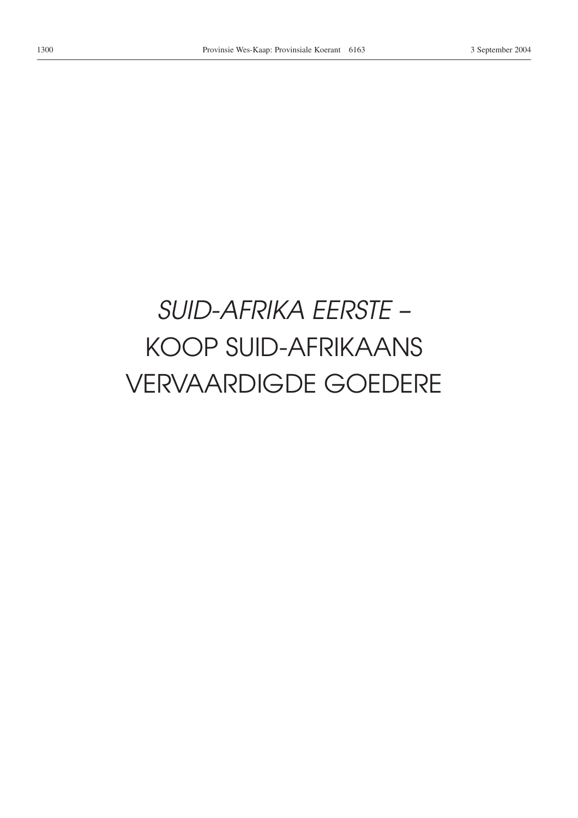# *SUID-AFRIKA EERSTE –* KOOP SUID-AFRIKAANS VERVAARDIGDE GOEDERE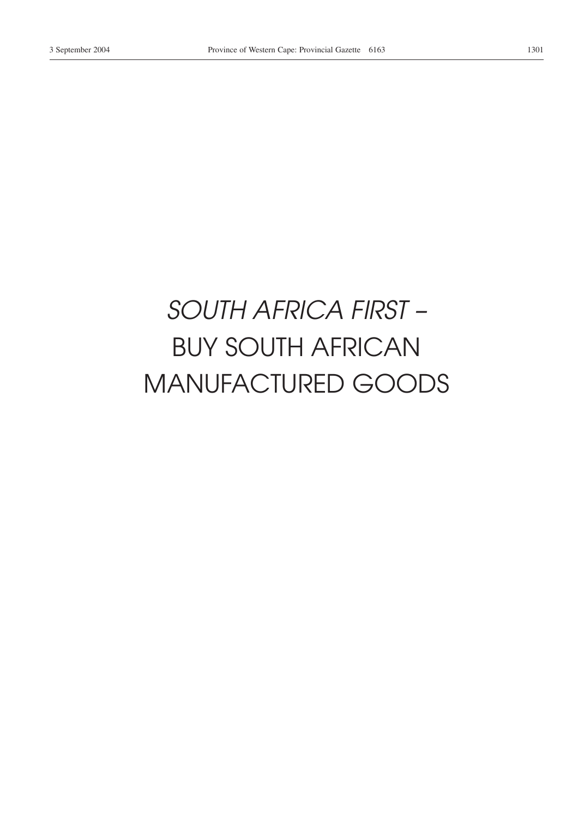# *SOUTH AFRICA FIRST –* BUY SOUTH AFRICAN MANUFACTURED GOODS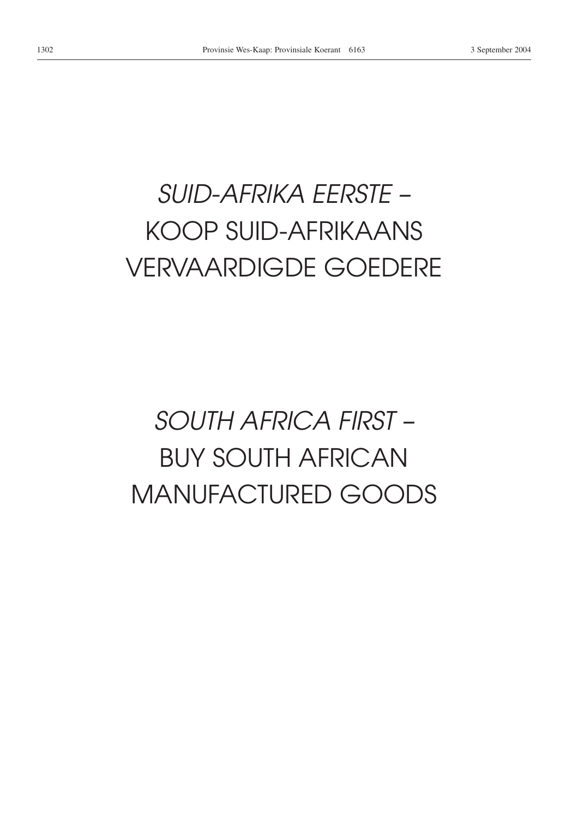# *SUID-AFRIKA EERSTE –* KOOP SUID-AFRIKAANS VERVAARDIGDE GOEDERE

# *SOUTH AFRICA FIRST –* BUY SOUTH AFRICAN MANUFACTURED GOODS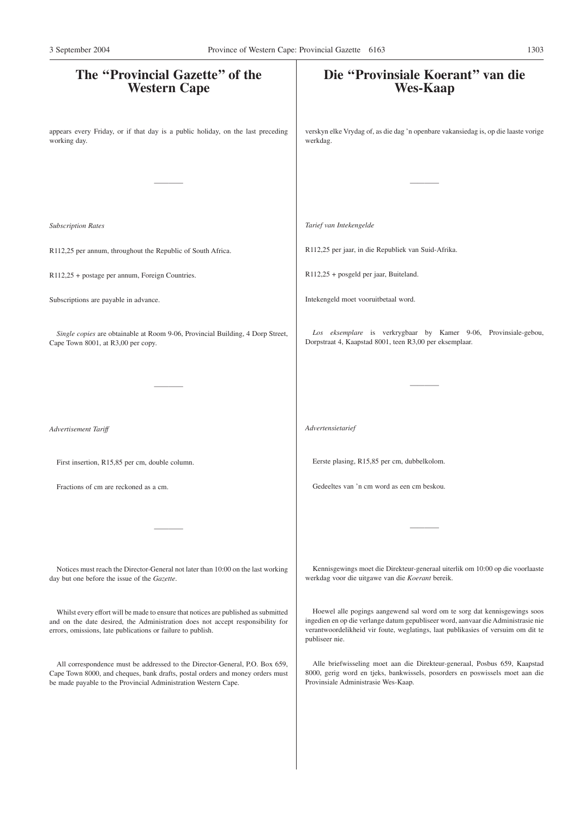| The "Provincial Gazette" of the<br><b>Western Cape</b>                                                                                                                                                                              | Die "Provinsiale Koerant" van die<br><b>Wes-Kaap</b>                                                                                                                                                                                                                |
|-------------------------------------------------------------------------------------------------------------------------------------------------------------------------------------------------------------------------------------|---------------------------------------------------------------------------------------------------------------------------------------------------------------------------------------------------------------------------------------------------------------------|
| appears every Friday, or if that day is a public holiday, on the last preceding<br>working day.                                                                                                                                     | verskyn elke Vrydag of, as die dag 'n openbare vakansiedag is, op die laaste vorige<br>werkdag.                                                                                                                                                                     |
|                                                                                                                                                                                                                                     |                                                                                                                                                                                                                                                                     |
| <b>Subscription Rates</b>                                                                                                                                                                                                           | Tarief van Intekengelde                                                                                                                                                                                                                                             |
| R112,25 per annum, throughout the Republic of South Africa.                                                                                                                                                                         | R112,25 per jaar, in die Republiek van Suid-Afrika.                                                                                                                                                                                                                 |
| R112,25 + postage per annum, Foreign Countries.                                                                                                                                                                                     | R112,25 + posgeld per jaar, Buiteland.                                                                                                                                                                                                                              |
| Subscriptions are payable in advance.                                                                                                                                                                                               | Intekengeld moet vooruitbetaal word.                                                                                                                                                                                                                                |
| Single copies are obtainable at Room 9-06, Provincial Building, 4 Dorp Street,<br>Cape Town 8001, at R3,00 per copy.                                                                                                                | Los eksemplare is verkrygbaar by Kamer 9-06, Provinsiale-gebou,<br>Dorpstraat 4, Kaapstad 8001, teen R3,00 per eksemplaar.                                                                                                                                          |
|                                                                                                                                                                                                                                     |                                                                                                                                                                                                                                                                     |
| Advertisement Tariff                                                                                                                                                                                                                | Advertensietarief                                                                                                                                                                                                                                                   |
| First insertion, R15,85 per cm, double column.                                                                                                                                                                                      | Eerste plasing, R15,85 per cm, dubbelkolom.                                                                                                                                                                                                                         |
| Fractions of cm are reckoned as a cm.                                                                                                                                                                                               | Gedeeltes van 'n cm word as een cm beskou.                                                                                                                                                                                                                          |
|                                                                                                                                                                                                                                     |                                                                                                                                                                                                                                                                     |
| Notices must reach the Director-General not later than 10:00 on the last working<br>day but one before the issue of the Gazette.                                                                                                    | Kennisgewings moet die Direkteur-generaal uiterlik om 10:00 op die voorlaaste<br>werkdag voor die uitgawe van die Koerant bereik.                                                                                                                                   |
| Whilst every effort will be made to ensure that notices are published as submitted<br>and on the date desired, the Administration does not accept responsibility for<br>errors, omissions, late publications or failure to publish. | Hoewel alle pogings aangewend sal word om te sorg dat kennisgewings soos<br>ingedien en op die verlange datum gepubliseer word, aanvaar die Administrasie nie<br>verantwoordelikheid vir foute, weglatings, laat publikasies of versuim om dit te<br>publiseer nie. |
| All correspondence must be addressed to the Director-General, P.O. Box 659,<br>Cape Town 8000, and cheques, bank drafts, postal orders and money orders must<br>be made payable to the Provincial Administration Western Cape.      | Alle briefwisseling moet aan die Direkteur-generaal, Posbus 659, Kaapstad<br>8000, gerig word en tjeks, bankwissels, posorders en poswissels moet aan die<br>Provinsiale Administrasie Wes-Kaap.                                                                    |
|                                                                                                                                                                                                                                     |                                                                                                                                                                                                                                                                     |